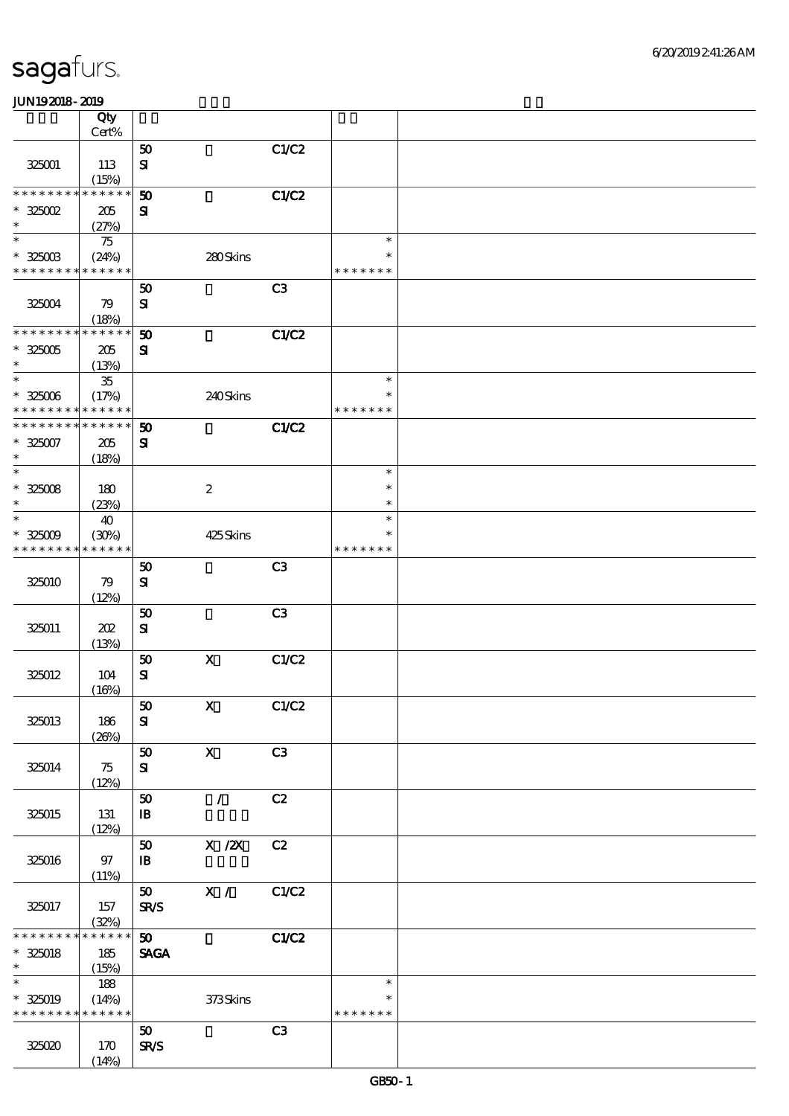|                  | Qty<br>Cert%         |                      |                           |       |                  |  |
|------------------|----------------------|----------------------|---------------------------|-------|------------------|--|
|                  |                      | 50                   |                           | C1/C2 |                  |  |
| 325001           | 113                  | $\mathbf{S}$         |                           |       |                  |  |
|                  | (15%)                |                      |                           |       |                  |  |
| * * * * * * * *  | * * * * * *          | 50                   |                           | C1/C2 |                  |  |
| $^*$ 325002 $\,$ | 205                  | ${\bf s}$            |                           |       |                  |  |
| $\ast$           | (27%)                |                      |                           |       |                  |  |
| $\ast$           | 75                   |                      |                           |       | $\ast$           |  |
| $* 325003$       | (24%)                |                      | 280Skins                  |       | $\ast$           |  |
| * * * * * * * *  | * * * * * *          |                      |                           |       | * * * * * * *    |  |
|                  |                      | 50                   |                           | C3    |                  |  |
| 325004           | 79                   | $\mathbf{S}$         |                           |       |                  |  |
| * * * * * * * *  | (18%)<br>* * * * * * | 50                   |                           | C1/C2 |                  |  |
| $^\ast$ 325005   | 205                  | ${\bf s}$            |                           |       |                  |  |
| $\ast$           | (13%)                |                      |                           |       |                  |  |
| $\ast$           | ${\bf 35}$           |                      |                           |       | $\ast$           |  |
| $* 325006$       | (17%)                |                      | 240Skins                  |       | $\ast$           |  |
| * * * * * * * *  | * * * * * *          |                      |                           |       | * * * * * * *    |  |
| * * * * * * *    | * * * * * *          | 50                   |                           | C1/C2 |                  |  |
| $* 325007$       | 205                  | $\mathbf{S}$         |                           |       |                  |  |
| $\ast$           | (18%)                |                      |                           |       |                  |  |
| $\ast$           |                      |                      |                           |       | $\ast$           |  |
| $* 325008$       | 180                  |                      | $\boldsymbol{2}$          |       | $\ast$           |  |
| $\ast$<br>$\ast$ | (23%)                |                      |                           |       | $\ast$<br>$\ast$ |  |
| $* 325009$       | 40                   |                      | 425Skins                  |       | *                |  |
| * * * * * * * *  | (30%)<br>* * * * * * |                      |                           |       | * * * * * * *    |  |
|                  |                      | 50                   |                           | C3    |                  |  |
| 325010           | 79                   | $\bf S\bf I$         |                           |       |                  |  |
|                  | (12%)                |                      |                           |       |                  |  |
|                  |                      | 50                   |                           | C3    |                  |  |
| 325011           | 202                  | ${\bf S}$            |                           |       |                  |  |
|                  | (13%)                |                      |                           |       |                  |  |
|                  |                      | 50                   | $\mathbf X$               | C1/C2 |                  |  |
| 325012           | 104                  | $\mathbf{S}$         |                           |       |                  |  |
|                  | (16%)                |                      |                           |       |                  |  |
| 325013           |                      | ${\bf 50}$           | $\mathbf{X}$              | C1/C2 |                  |  |
|                  | 186<br>(20%)         | ${\bf s}$            |                           |       |                  |  |
|                  |                      | $\pmb{\mathfrak{D}}$ | $\mathbf{X}$              | C3    |                  |  |
| 325014           | 75                   | ${\bf s}$            |                           |       |                  |  |
|                  | (12%)                |                      |                           |       |                  |  |
|                  |                      | ${\bf 50}$           | $\mathcal{L}$             | C2    |                  |  |
| 325015           | 131                  | $\mathbf{B}$         |                           |       |                  |  |
|                  | (12%)                |                      |                           |       |                  |  |
|                  |                      | ${\bf 50}$           | $X$ / $ZX$                | C2    |                  |  |
| 325016           | 97                   | $\mathbf{B}$         |                           |       |                  |  |
|                  | (11%)                |                      |                           |       |                  |  |
|                  |                      | 50                   | $\overline{\mathbf{x}}$ / | C1/C2 |                  |  |
| 325017           | 157<br>(32%)         | $S\!R\!S$            |                           |       |                  |  |
| * * * * * * *    | * * * * * *          | 50 <sub>2</sub>      |                           | C1/C2 |                  |  |
| $* 325018$       | 185                  | <b>SAGA</b>          |                           |       |                  |  |
| $\ast$           | (15%)                |                      |                           |       |                  |  |
| $\ast$           | 188                  |                      |                           |       | $\ast$           |  |
| $* 325019$       | (14%)                |                      | 373Skins                  |       | $\ast$           |  |
| * * * * * * * *  | * * * * * *          |                      |                           |       | * * * * * * *    |  |
|                  |                      | 50                   |                           | C3    |                  |  |
| 325020           | 170                  | <b>SR/S</b>          |                           |       |                  |  |
|                  | (14%)                |                      |                           |       |                  |  |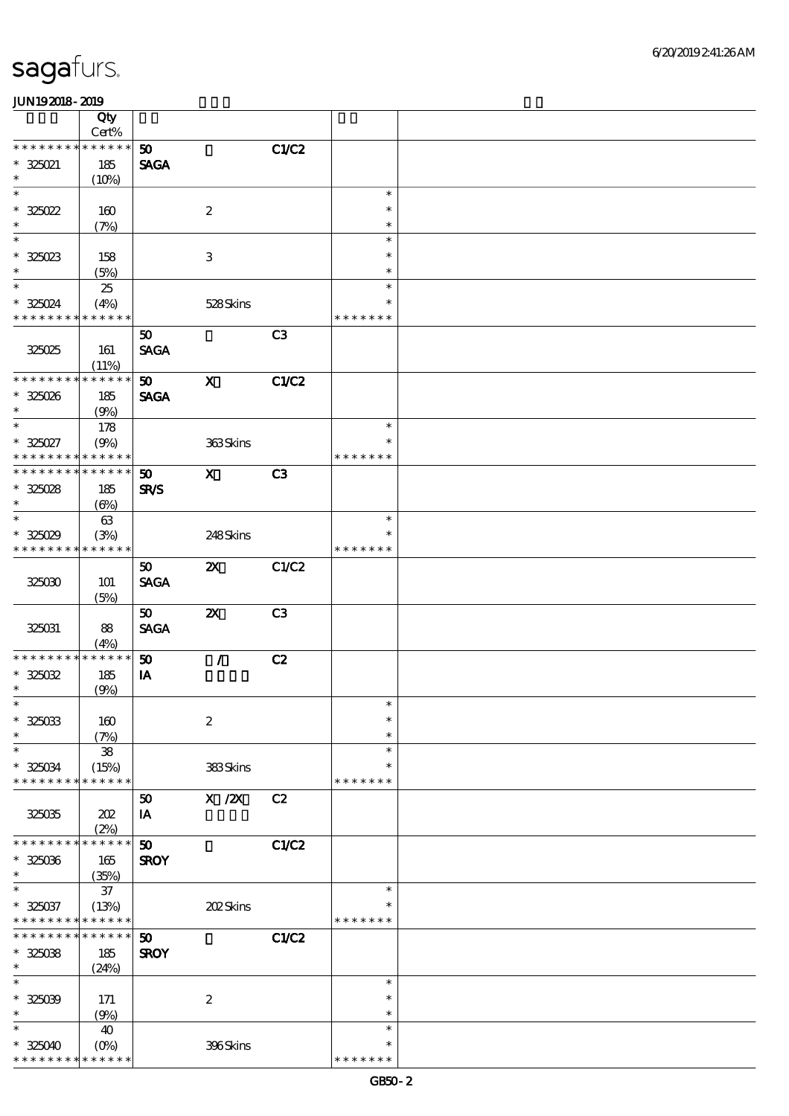|                      | Qty                  |                 |                                        |              |               |  |
|----------------------|----------------------|-----------------|----------------------------------------|--------------|---------------|--|
| * * * * * * * *      | Cert%<br>* * * * * * | 50              |                                        | C1/C2        |               |  |
| $* 325021$           | 185                  | <b>SAGA</b>     |                                        |              |               |  |
| $\ast$               | (10%)                |                 |                                        |              |               |  |
| $\ast$               |                      |                 |                                        |              | $\ast$        |  |
| $*325022$            | 160                  |                 | $\boldsymbol{2}$                       |              | $\ast$        |  |
| $\ast$               | (7%)                 |                 |                                        |              | $\ast$        |  |
| $\ast$               |                      |                 |                                        |              | $\ast$        |  |
| $* 325023$           | 158                  |                 | $\,3$                                  |              | $\ast$        |  |
| $\ast$               | (5%)                 |                 |                                        |              | $\ast$        |  |
| $\ast$               | 25                   |                 |                                        |              | $\ast$        |  |
| * 325024             | (4%)                 |                 | 528Skins                               |              | $\ast$        |  |
| * * * * * * * *      | * * * * * *          |                 |                                        |              | * * * * * * * |  |
|                      |                      | 50              |                                        | C3           |               |  |
| 325025               | 161                  | <b>SAGA</b>     |                                        |              |               |  |
|                      | (11%)                |                 |                                        |              |               |  |
| * * * * * * * *      | * * * * * *          | 50 <sub>2</sub> | $\mathbf{x}$                           | <b>C1/C2</b> |               |  |
| $* 325026$           | 185                  | <b>SAGA</b>     |                                        |              |               |  |
| $\ast$               | (9%)                 |                 |                                        |              |               |  |
| $\ast$               | 178                  |                 |                                        |              | $\ast$        |  |
| $*325027$            | (9%)                 |                 | 363Skins                               |              | $\ast$        |  |
| * * * * * * *        | * * * * * *          |                 |                                        |              | * * * * * * * |  |
| * * * * * * * *      | * * * * * *          | 50              | $\mathbf{x}$                           | C3           |               |  |
| $* 325028$           | 185                  | <b>SR/S</b>     |                                        |              |               |  |
| $\ast$               | $(\Theta)$           |                 |                                        |              |               |  |
| $\ast$               | 63                   |                 |                                        |              | $\ast$        |  |
| $* 325029$           | (3%)                 |                 | 248Skins                               |              | $\ast$        |  |
| * * * * * * * *      | * * * * * *          |                 |                                        |              | * * * * * * * |  |
|                      |                      | 50              | $\boldsymbol{\mathsf{Z}}$              | C1/C2        |               |  |
| 325030               | 101                  | <b>SAGA</b>     |                                        |              |               |  |
|                      | (5%)                 |                 |                                        |              |               |  |
|                      |                      | 50 <sub>o</sub> | $\boldsymbol{\mathsf{z}}$              | C3           |               |  |
| 325031               | 88                   | <b>SAGA</b>     |                                        |              |               |  |
| * * * * * * *        | (4%)<br>* * * * * *  |                 |                                        |              |               |  |
|                      |                      | 50              | $\mathcal{L}$                          | C2           |               |  |
| $* 325032$<br>$\ast$ | 185                  | IA              |                                        |              |               |  |
| $\ast$               | (9%)                 |                 |                                        |              | $\ast$        |  |
| $* 325033$           | 160                  |                 | $\boldsymbol{2}$                       |              | $\ast$        |  |
| $\ast$               |                      |                 |                                        |              | $\ast$        |  |
| $\ast$               | (7%)<br>${\bf 38}$   |                 |                                        |              | $\ast$        |  |
| $* 325034$           | (15%)                |                 | 383Skins                               |              | $\ast$        |  |
| * * * * * * * *      | * * * * * *          |                 |                                        |              | * * * * * * * |  |
|                      |                      | 50              | $\boldsymbol{\mathrm{X}}$ / <b>Z</b> X | C2           |               |  |
| 325035               | 202                  | IA              |                                        |              |               |  |
|                      | (2%)                 |                 |                                        |              |               |  |
| * * * * * * *        | * * * * * *          | 50              |                                        | <b>C1/C2</b> |               |  |
| $* 325036$           | 165                  | <b>SROY</b>     |                                        |              |               |  |
| $\ast$               | (35%)                |                 |                                        |              |               |  |
| $\ast$               | $37\,$               |                 |                                        |              | $\ast$        |  |
| $* 325037$           | (13%)                |                 | 202Skins                               |              | ∗             |  |
| * * * * * * * *      | * * * * * *          |                 |                                        |              | * * * * * * * |  |
| * * * * * * *        | * * * * * *          | 50              |                                        | C1/C2        |               |  |
| $* 32508$            | 185                  | <b>SROY</b>     |                                        |              |               |  |
| $\ast$               | (24%)                |                 |                                        |              |               |  |
| $\ast$               |                      |                 |                                        |              | $\ast$        |  |
| $* 32509$            | 171                  |                 | $\boldsymbol{2}$                       |              | $\ast$        |  |
| $\ast$               | (9%)                 |                 |                                        |              | $\ast$        |  |
| $\ast$               | 40                   |                 |                                        |              | $\ast$        |  |
| $* 325040$           | $(0\%)$              |                 | 396Skins                               |              | $\ast$        |  |
| * * * * * * *        | * * * * * *          |                 |                                        |              | * * * * * * * |  |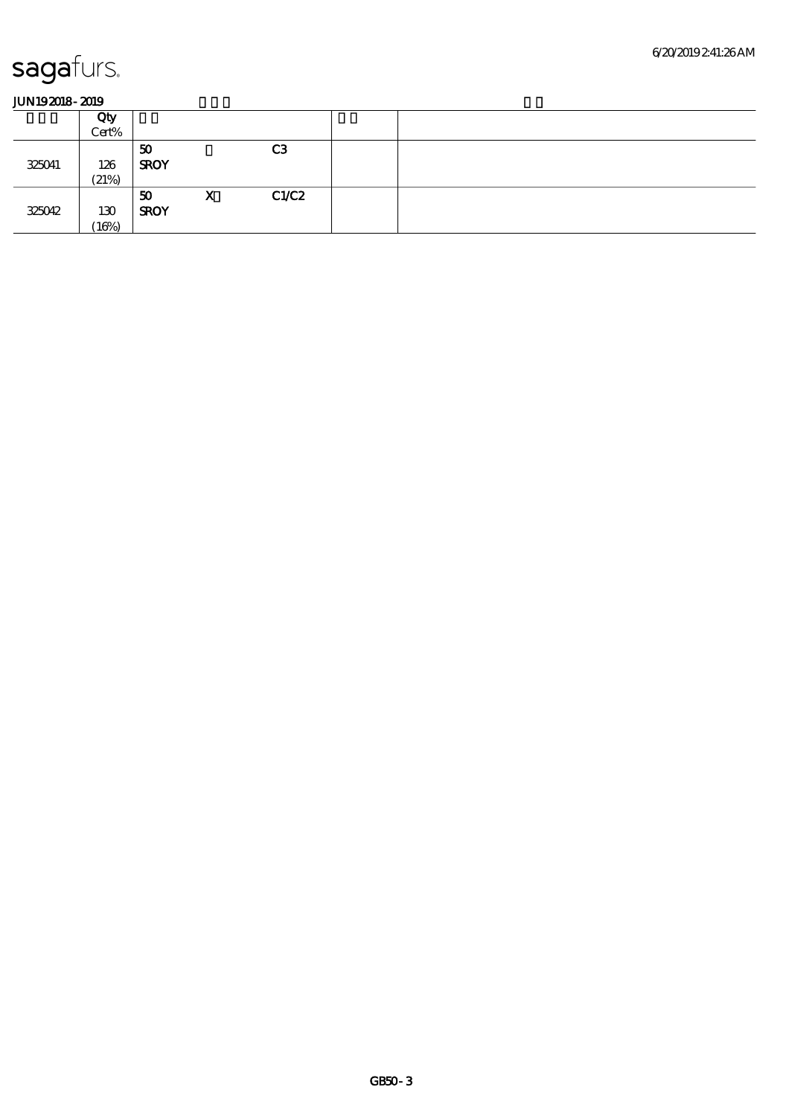|        | Qty<br>Cert% |                   |   |                |  |
|--------|--------------|-------------------|---|----------------|--|
| 325041 | 126<br>(21%) | 50<br><b>SROY</b> |   | C <sub>3</sub> |  |
| 325042 | 130<br>16%   | 50<br><b>SROY</b> | X | C1/C2          |  |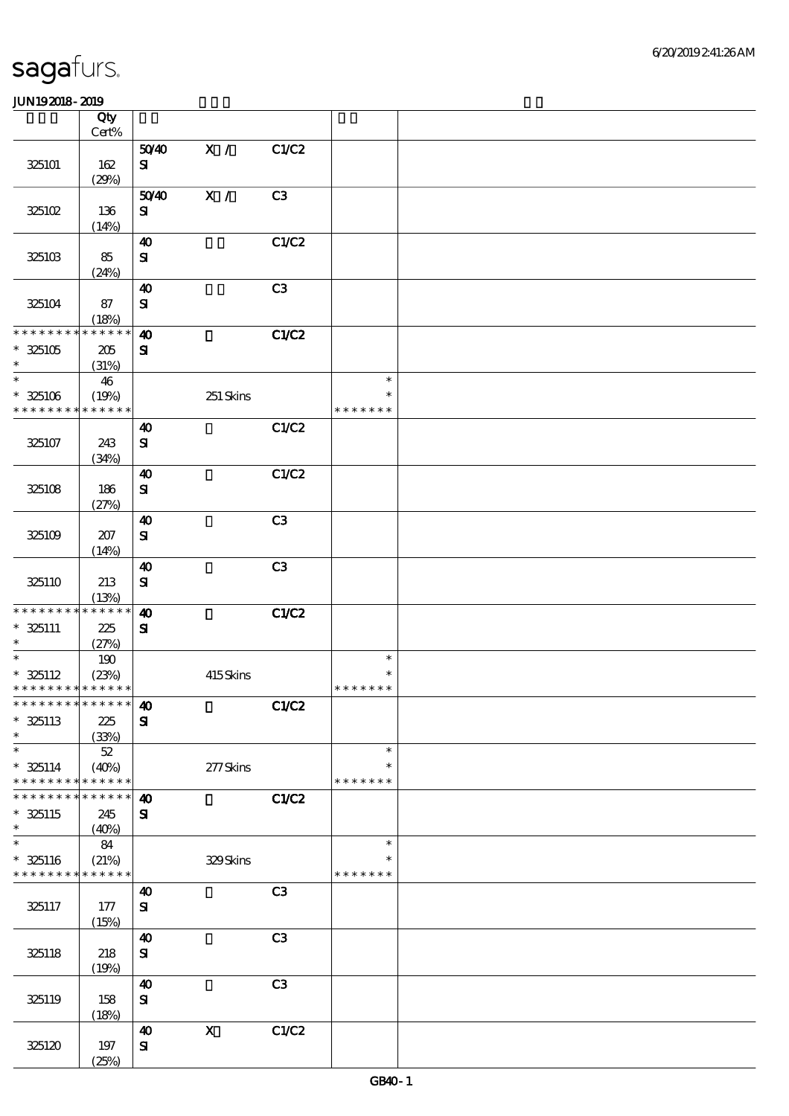|                                                     | Qty<br>$Cert\%$                   |                                       |             |                |                                   |  |
|-----------------------------------------------------|-----------------------------------|---------------------------------------|-------------|----------------|-----------------------------------|--|
|                                                     |                                   |                                       | X /         |                |                                   |  |
| 325101                                              | 162<br>(29%)                      | 5040<br>${\bf s}$                     |             | C1/C2          |                                   |  |
| 325102                                              | 136                               | 5040<br>${\bf s}$                     | X /         | C3             |                                   |  |
| 325103                                              | (14%)<br>85<br>(24%)              | $\boldsymbol{\omega}$<br>${\bf S\!I}$ |             | C1/C2          |                                   |  |
| 325104                                              | 87<br>(18%)                       | $\boldsymbol{\omega}$<br>$\mathbf{S}$ |             | C3             |                                   |  |
| * * * * * * * *<br>$*325105$<br>$\ast$              | $***$ * * * *<br>$205\,$<br>(31%) | $\boldsymbol{\omega}$<br>${\bf s}$    |             | C1/C2          |                                   |  |
| $\overline{\ast}$<br>$* 325106$<br>* * * * * * * *  | 46<br>(19%)<br>* * * * * *        |                                       | 251 Skins   |                | $\ast$<br>$\ast$<br>* * * * * * * |  |
| 325107                                              | 243<br>(34%)                      | $\boldsymbol{\omega}$<br>$\mathbf{S}$ |             | C1/C2          |                                   |  |
| 325108                                              | 186<br>(27%)                      | $\boldsymbol{\omega}$<br>${\bf S}$    |             | C1/C2          |                                   |  |
| 325109                                              | 207<br>(14%)                      | $\boldsymbol{\omega}$<br>${\bf S\!I}$ |             | C3             |                                   |  |
| 325110                                              | 213<br>(13%)                      | $\boldsymbol{\omega}$<br>$\mathbf{S}$ |             | C3             |                                   |  |
| * * * * * * * * * * * * * *<br>$* 325111$<br>$\ast$ | 225<br>(27%)                      | $\boldsymbol{\omega}$<br>${\bf s}$    |             | C1/C2          |                                   |  |
| $\ast$<br>$* 325112$<br>* * * * * * * * * * * * * * | 190<br>(23%)                      |                                       | 415Skins    |                | $\ast$<br>$\ast$<br>* * * * * * * |  |
| ***************** 40<br>$*$ 325113<br>$\ast$        | 225<br>(33%)                      | ${\bf s}$                             |             | C1/C2          |                                   |  |
| $\ast$<br>$* 325114$<br>* * * * * * * *             | $5\!2$<br>(40%)<br>* * * * * *    |                                       | $277$ Skins |                | $\ast$<br>$\ast$<br>* * * * * * * |  |
| * * * * * * *<br>$*325115$<br>$\ast$                | * * * * * *<br>245<br>(40%)       | $\boldsymbol{\omega}$<br>$\mathbf{S}$ |             | C1/C2          |                                   |  |
| $\ast$<br>$* 325116$<br>* * * * * * * *             | 84<br>(21%)<br>* * * * * *        |                                       | 329Skins    |                | $\ast$<br>$\ast$<br>* * * * * * * |  |
| 325117                                              | 177<br>(15%)                      | 40<br>$\mathbf{S}$                    |             | C <sub>3</sub> |                                   |  |
| 325118                                              | 218<br>(19%)                      | $\boldsymbol{\omega}$<br>${\bf s}$    |             | C3             |                                   |  |
| 325119                                              | 158<br>(18%)                      | $\boldsymbol{\omega}$<br>${\bf s}$    |             | C <sub>3</sub> |                                   |  |
| 325120                                              | 197<br>(25%)                      | 40<br>${\bf S\!I}$                    | $\mathbf X$ | C1/C2          |                                   |  |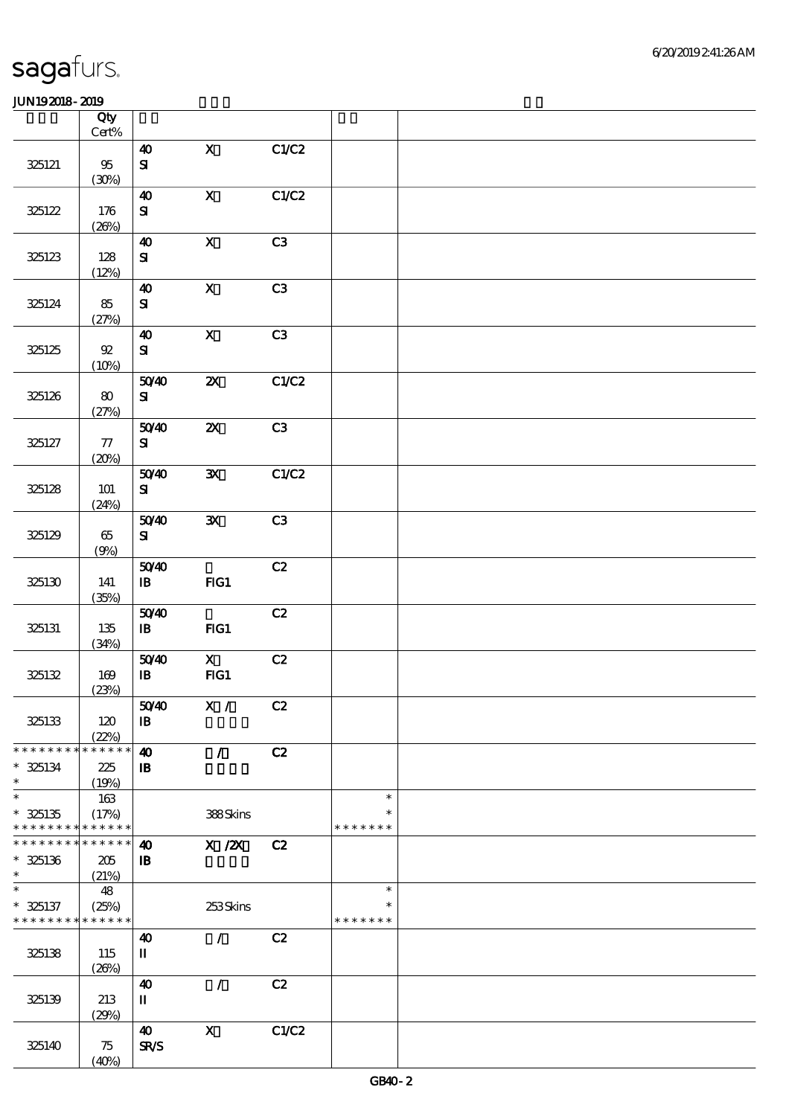|                 | Qty<br>$Cert\%$ |                            |                           |       |               |  |
|-----------------|-----------------|----------------------------|---------------------------|-------|---------------|--|
|                 |                 | $\boldsymbol{\omega}$      | $\mathbf{x}$              | C1/C2 |               |  |
| 325121          | $95\,$<br>(30%) | $\mathbf{S}$               |                           |       |               |  |
|                 |                 | $\boldsymbol{40}$          | $\mathbf X$               | C1/C2 |               |  |
| 325122          | 176<br>(20%)    | ${\bf s}$                  |                           |       |               |  |
|                 |                 | $\boldsymbol{\omega}$      | $\boldsymbol{\mathrm{X}}$ | C3    |               |  |
| 325123          | 128<br>(12%)    | ${\bf s}$                  |                           |       |               |  |
|                 |                 | $\boldsymbol{\omega}$      | $\mathbf X$               | C3    |               |  |
| 325124          | 85<br>(27%)     | ${\bf s}$                  |                           |       |               |  |
|                 |                 | $\boldsymbol{\omega}$      | $\overline{\mathbf{X}}$   | C3    |               |  |
| 325125          | $92\,$<br>(10%) | ${\bf S}$                  |                           |       |               |  |
|                 |                 | 5040                       | $\boldsymbol{\mathsf{z}}$ | C1/C2 |               |  |
| 325126          | 80<br>(27%)     | ${\bf s}$                  |                           |       |               |  |
|                 |                 | 5040                       | $\boldsymbol{\mathsf{z}}$ | C3    |               |  |
| 325127          | $77\,$<br>(20%) | ${\bf s}$                  |                           |       |               |  |
|                 |                 | 5040                       | $\mathbf{x}$              | C1/C2 |               |  |
| 325128          | 101<br>(24%)    | ${\bf s}$                  |                           |       |               |  |
|                 |                 | 5040                       | ${\bf x}$                 | C3    |               |  |
| 325129          | 65<br>(9%)      | ${\bf s}$                  |                           |       |               |  |
|                 |                 | 5040                       |                           | C2    |               |  |
| 325130          | 141<br>(35%)    | $\mathbf{B}$               | FG1                       |       |               |  |
|                 |                 | 5040                       |                           | C2    |               |  |
| 325131          | 135<br>(34%)    | $\, {\bf I} \! {\bf B} \,$ | FG1                       |       |               |  |
|                 |                 | 5040                       | $\mathbf{x}$              | C2    |               |  |
| 325132          | 169             | $\, {\bf I} \! {\bf B} \,$ | FG1                       |       |               |  |
|                 | (23%)           |                            |                           |       |               |  |
|                 |                 | 5040                       | X /                       | C2    |               |  |
| 325133          | 120<br>(22%)    | $\, {\bf I} \! {\bf B} \,$ |                           |       |               |  |
| * * * * * * * * | * * * * * *     | $\boldsymbol{\omega}$      | $\mathcal{L}$             | C2    |               |  |
| $* 325134$      | 225             | $\mathbf{B}$               |                           |       |               |  |
| $\ast$          | (19%)           |                            |                           |       |               |  |
| $\ast$          | 163             |                            |                           |       | $\ast$        |  |
| $* 325135$      | (17%)           |                            | 388Skins                  |       | ∗             |  |
| * * * * * * * * | * * * * * *     |                            |                           |       | * * * * * * * |  |
| * * * * * * * * | * * * * * *     | $\boldsymbol{\omega}$      | X / ZX                    | C2    |               |  |
| $* 325136$      | 205             | $\, {\bf I} \! {\bf B} \,$ |                           |       |               |  |
| $\ast$          | (21%)           |                            |                           |       |               |  |
| $\ast$          | 48              |                            |                           |       | $\ast$        |  |
| $* 325137$      | (25%)           |                            | 253Skins                  |       | $\ast$        |  |
| * * * * * * * * | * * * * * *     |                            |                           |       | * * * * * * * |  |
|                 |                 | 40                         | $\mathcal{L}$             | C2    |               |  |
| 325138          | 115             | П                          |                           |       |               |  |
|                 | (20%)           |                            |                           |       |               |  |
|                 |                 | 40                         | $\mathcal{L}$             | C2    |               |  |
| 325139          | 213             | $\mathbf I$                |                           |       |               |  |
|                 | (29%)           |                            |                           |       |               |  |
|                 |                 | 40                         | $\mathbf X$               | C1/C2 |               |  |
| 325140          | 75              | <b>SR/S</b>                |                           |       |               |  |
|                 | (40%)           |                            |                           |       |               |  |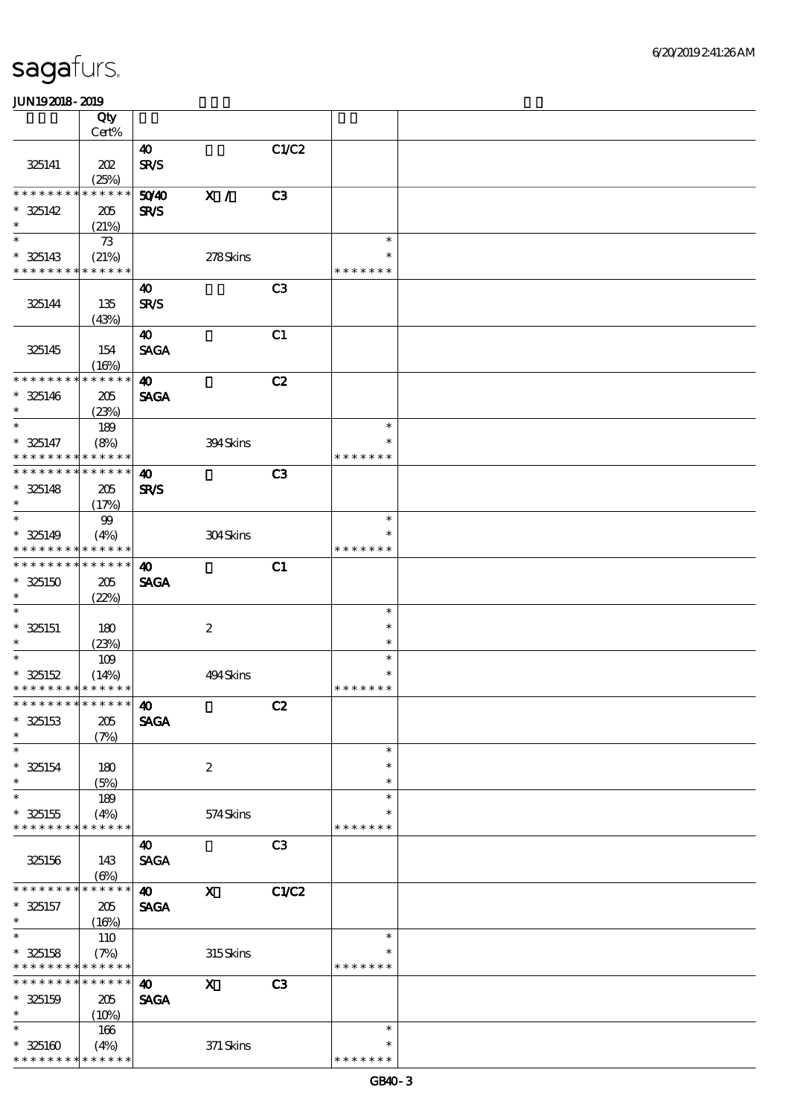|                                           | Qty                  |                       |                           |                |                  |  |
|-------------------------------------------|----------------------|-----------------------|---------------------------|----------------|------------------|--|
|                                           | Cert%                |                       |                           |                |                  |  |
|                                           |                      | 40                    |                           | C1/C2          |                  |  |
| 325141                                    | 202                  | <b>SR/S</b>           |                           |                |                  |  |
|                                           | (25%)                |                       |                           |                |                  |  |
| * * * * * * * * * * * * * *               |                      | 50YD                  | X /                       | C3             |                  |  |
| $* 325142$                                | 205                  | <b>SR/S</b>           |                           |                |                  |  |
| $\ast$                                    | (21%)                |                       |                           |                |                  |  |
| $\ast$                                    | 73                   |                       |                           |                | $\ast$           |  |
| $* 325143$                                | (21%)                |                       | 278Skins                  |                | $\ast$           |  |
| * * * * * * * * * * * * * *               |                      |                       |                           |                | * * * * * * *    |  |
|                                           |                      | 40                    |                           | C3             |                  |  |
| 325144                                    | 135                  | <b>SR/S</b>           |                           |                |                  |  |
|                                           | (43%)                |                       |                           |                |                  |  |
|                                           |                      | 40                    |                           | C1             |                  |  |
| 325145                                    | 154                  | <b>SAGA</b>           |                           |                |                  |  |
|                                           | (16%)                |                       |                           |                |                  |  |
| * * * * * * * * * * * * * *               |                      | $\boldsymbol{\omega}$ |                           | C2             |                  |  |
| $* 325146$                                | 205                  | <b>SAGA</b>           |                           |                |                  |  |
| $\ast$                                    | (23%)                |                       |                           |                |                  |  |
| $\ast$                                    | 189                  |                       |                           |                | $\ast$           |  |
| $* 325147$                                | (8%)                 |                       | 394Skins                  |                | $\ast$           |  |
| * * * * * * * * * * * * * *               |                      |                       |                           |                | * * * * * * *    |  |
| * * * * * * * * * * * * * *               |                      | $\boldsymbol{\omega}$ |                           | C3             |                  |  |
| $* 325148$                                | 205                  | <b>SR/S</b>           |                           |                |                  |  |
| $\ast$                                    | (17%)                |                       |                           |                |                  |  |
| $\ast$                                    | $99$                 |                       |                           |                | $\ast$           |  |
| $* 325149$                                | (4%)                 |                       | 304Skins                  |                |                  |  |
| * * * * * * * * * * * * * *               |                      |                       |                           |                | * * * * * * *    |  |
| * * * * * * * * * * * * * *               |                      | $\boldsymbol{\omega}$ |                           | C1             |                  |  |
| $* 325150$                                | 205                  | <b>SAGA</b>           |                           |                |                  |  |
| $\ast$                                    | (22%)                |                       |                           |                |                  |  |
| $\ast$                                    |                      |                       |                           |                | $\ast$           |  |
| $* 325151$                                | 180                  |                       | $\boldsymbol{2}$          |                | $\ast$           |  |
| $\ast$                                    | (23%)                |                       |                           |                | $\ast$           |  |
| $\ast$                                    | 109                  |                       |                           |                | $\ast$           |  |
| $* 325152$                                | (14%)                |                       | 494Skins                  |                | $\ast$           |  |
| * * * * * * * * * * * * * *               |                      |                       |                           |                | * * * * * * *    |  |
| *************** <b>40</b>                 |                      |                       |                           | C2             |                  |  |
| $* 325153$                                | 205                  | <b>SAGA</b>           |                           |                |                  |  |
| $\ast$<br>$\ast$                          | (7%)                 |                       |                           |                | $\ast$           |  |
|                                           |                      |                       |                           |                |                  |  |
| $* 325154$<br>$\ast$                      | 180                  |                       | $\boldsymbol{2}$          |                | $\ast$<br>$\ast$ |  |
| $\ast$                                    | (5%)                 |                       |                           |                |                  |  |
|                                           | 189                  |                       |                           |                | $\ast$           |  |
| $* 325155$<br>* * * * * * * * * * * * * * | (4%)                 |                       | 574Skins                  |                | * * * * * * *    |  |
|                                           |                      |                       |                           | C <sub>3</sub> |                  |  |
|                                           |                      | 40                    |                           |                |                  |  |
| 325156                                    | 143                  | <b>SAGA</b>           |                           |                |                  |  |
| * * * * * * * *                           | $(\Theta)$<br>****** | $\boldsymbol{\omega}$ | $\boldsymbol{\mathsf{X}}$ | C1/C2          |                  |  |
| $* 325157$                                | 205                  | <b>SAGA</b>           |                           |                |                  |  |
| $\ast$                                    |                      |                       |                           |                |                  |  |
| $\ast$                                    | (16%)<br>110         |                       |                           |                | $\ast$           |  |
| $* 325158$                                | (7%)                 |                       | 315Skins                  |                |                  |  |
| * * * * * * * * * * * * * *               |                      |                       |                           |                | * * * * * * *    |  |
| * * * * * * * *                           | * * * * * *          | $\boldsymbol{\omega}$ | $\mathbf X$               | C <sub>3</sub> |                  |  |
| $* 325159$                                | 205                  | <b>SAGA</b>           |                           |                |                  |  |
| $\ast$                                    | (10%)                |                       |                           |                |                  |  |
| $\ast$                                    | 166                  |                       |                           |                | $\ast$           |  |
| $* 325160$                                | (4%)                 |                       | 371 Skins                 |                | *                |  |
| * * * * * * * * * * * * * *               |                      |                       |                           |                | * * * * * * *    |  |
|                                           |                      |                       |                           |                |                  |  |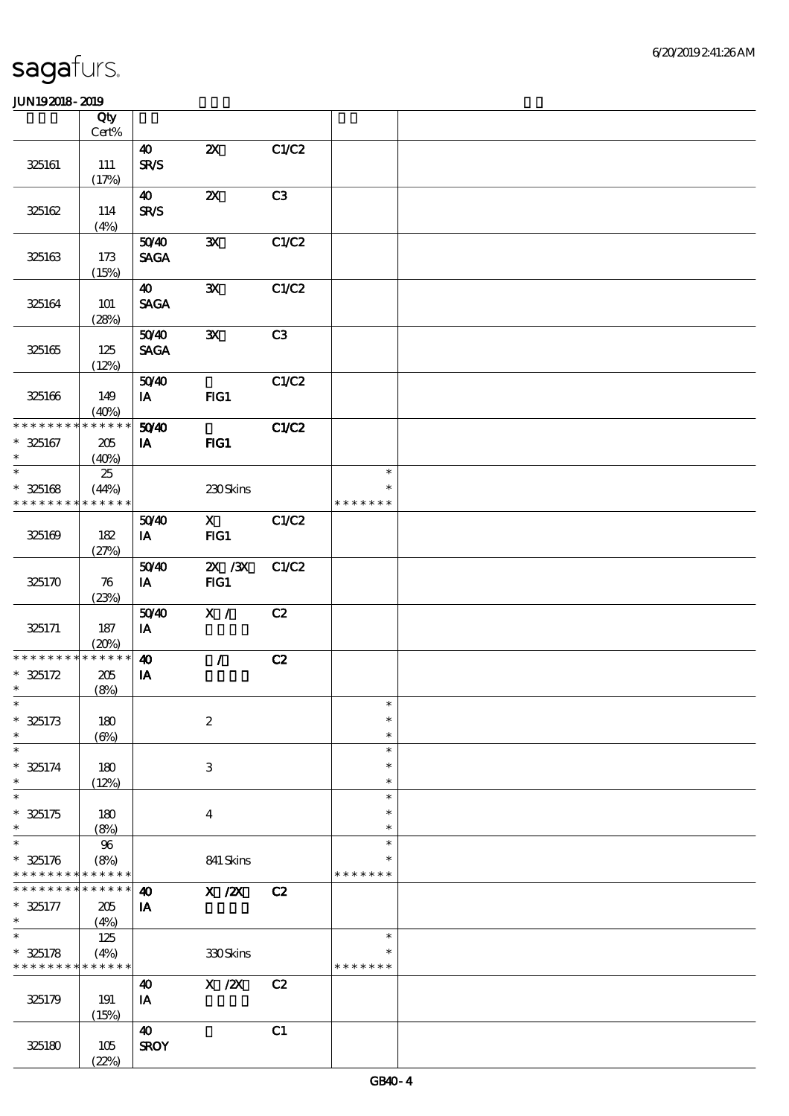|                                         | Qty<br>Cert%                |                                      |                                       |       |                                   |  |
|-----------------------------------------|-----------------------------|--------------------------------------|---------------------------------------|-------|-----------------------------------|--|
| 325161                                  | 111                         | $\boldsymbol{\omega}$<br><b>SR/S</b> | $\boldsymbol{\mathsf{z}}$             | C1/C2 |                                   |  |
| 325162                                  | (17%)<br>114                | $\boldsymbol{\omega}$<br><b>SR/S</b> | $\boldsymbol{\mathsf{z}}$             | C3    |                                   |  |
| 325163                                  | (4%)<br>173                 | 5040<br><b>SAGA</b>                  | $\mathbf{x}$                          | C1/C2 |                                   |  |
| 325164                                  | (15%)<br><b>101</b>         | 40<br><b>SAGA</b>                    | ${\bf X}$                             | C1/C2 |                                   |  |
| 325165                                  | (28%)<br>125                | 5040<br><b>SAGA</b>                  | $\mathbf{x}$                          | C3    |                                   |  |
| 325166                                  | (12%)<br>149                | 5040<br>$I$ A                        | FIG1                                  | C1/C2 |                                   |  |
| * * * * * * * *<br>$* 325167$           | (40%)<br>* * * * * *<br>205 | 50 <sup>/40</sup><br>IA              | $HG1$                                 | C1/C2 |                                   |  |
| $\ast$<br>$\ast$<br>$* 325168$          | (40%)<br>25<br>(44%)        |                                      | 230Skins                              |       | $\ast$<br>$\ast$                  |  |
| * * * * * * * *                         | * * * * * *                 |                                      |                                       |       | * * * * * * *                     |  |
| 325169                                  | 182<br>(27%)                | 5040<br>IA                           | $\mathbf{X}$<br>FG1                   | C1/C2 |                                   |  |
| 325170                                  | 76<br>(23%)                 | 5040<br>IA                           | $ZX$ / $ZX$<br>FG1                    | C1/C2 |                                   |  |
| 325171                                  | $187\,$<br>(20%)            | 5040<br>IA                           | X /                                   | C2    |                                   |  |
| * * * * * * * *<br>$* 325172$<br>$\ast$ | * * * * * *<br>205<br>(8%)  | $\boldsymbol{\omega}$<br>IA          | $\mathcal{L}$                         | C2    |                                   |  |
| $\ast$                                  |                             |                                      |                                       |       | $\ast$                            |  |
| $* 325173$<br>$\ast$                    | 180<br>$(\Theta)$           |                                      | $\boldsymbol{2}$                      |       | $\ast$<br>$\ast$                  |  |
| $\ast$<br>$* 325174$<br>$\ast$          | 180<br>(12%)                |                                      | $\,3$                                 |       | $\ast$<br>$\ast$<br>$\ast$        |  |
| $\ast$<br>$* 325175$<br>$\ast$          | 180<br>(8%)                 |                                      | $\boldsymbol{4}$                      |       | $\ast$<br>$\ast$<br>$\ast$        |  |
| $\ast$<br>$* 325176$<br>* * * * * * * * | 96<br>(8%)<br>* * * * * *   |                                      | 841 Skins                             |       | $\ast$<br>∗<br>* * * * * * *      |  |
| * * * * * * * *<br>$* 325177$<br>$\ast$ | * * * * * *<br>205<br>(4%)  | $\boldsymbol{\omega}$<br>IA          | $\boldsymbol{\mathrm{X}}$ / <b>ZX</b> | C2    |                                   |  |
| $\ast$<br>$* 325178$<br>* * * * * * * * | 125<br>(4%)<br>* * * * * *  |                                      | 330Skins                              |       | $\ast$<br>$\ast$<br>* * * * * * * |  |
| 325179                                  | 191<br>(15%)                | 40<br>IA                             | $X$ / $ZX$                            | C2    |                                   |  |
| 325180                                  | 105<br>(22%)                | $\boldsymbol{\omega}$<br><b>SROY</b> |                                       | C1    |                                   |  |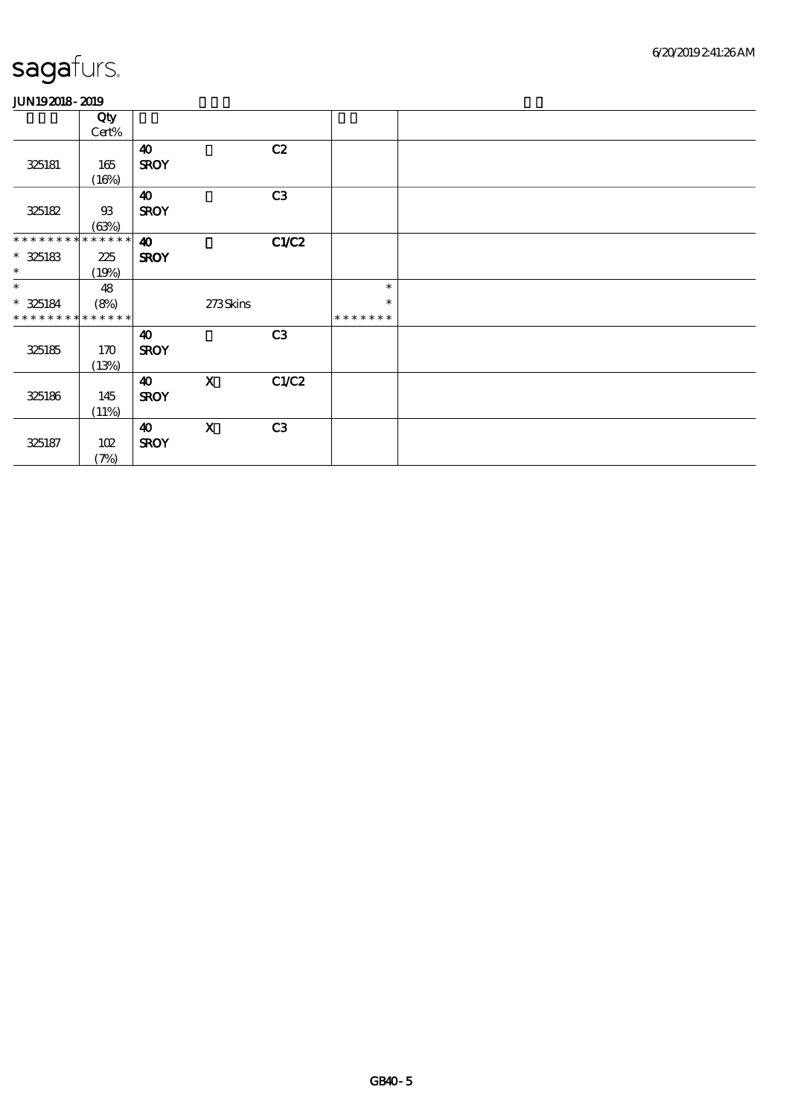|                             | Qty   |                       |                           |       |               |  |
|-----------------------------|-------|-----------------------|---------------------------|-------|---------------|--|
|                             | Cert% |                       |                           |       |               |  |
|                             |       | $\boldsymbol{\omega}$ |                           | C2    |               |  |
| 325181                      | 165   | <b>SROY</b>           |                           |       |               |  |
|                             | (16%) |                       |                           |       |               |  |
|                             |       | 40                    |                           | C3    |               |  |
| 325182                      | $93$  | <b>SROY</b>           |                           |       |               |  |
|                             | (63%) |                       |                           |       |               |  |
| * * * * * * * * * * * * * * |       | $\boldsymbol{\omega}$ |                           | C1/C2 |               |  |
| $* 325183$                  | 225   | <b>SROY</b>           |                           |       |               |  |
| $\ast$                      | (19%) |                       |                           |       |               |  |
| $\ast$                      | 48    |                       |                           |       | $\ast$        |  |
| $* 325184$                  | (8%)  |                       | 273Skins                  |       | $\ast$        |  |
| * * * * * * * * * * * * * * |       |                       |                           |       | * * * * * * * |  |
|                             |       | $\boldsymbol{\omega}$ |                           | C3    |               |  |
| 325185                      | 170   | <b>SROY</b>           |                           |       |               |  |
|                             | (13%) |                       |                           |       |               |  |
|                             |       | $\boldsymbol{\omega}$ | $\boldsymbol{\mathrm{X}}$ | C1/C2 |               |  |
| 325186                      | 145   | <b>SROY</b>           |                           |       |               |  |
|                             | (11%) |                       |                           |       |               |  |
|                             |       | 40                    | $\mathbf x$               | C3    |               |  |
| 325187                      | 102   | <b>SROY</b>           |                           |       |               |  |
|                             | (7%)  |                       |                           |       |               |  |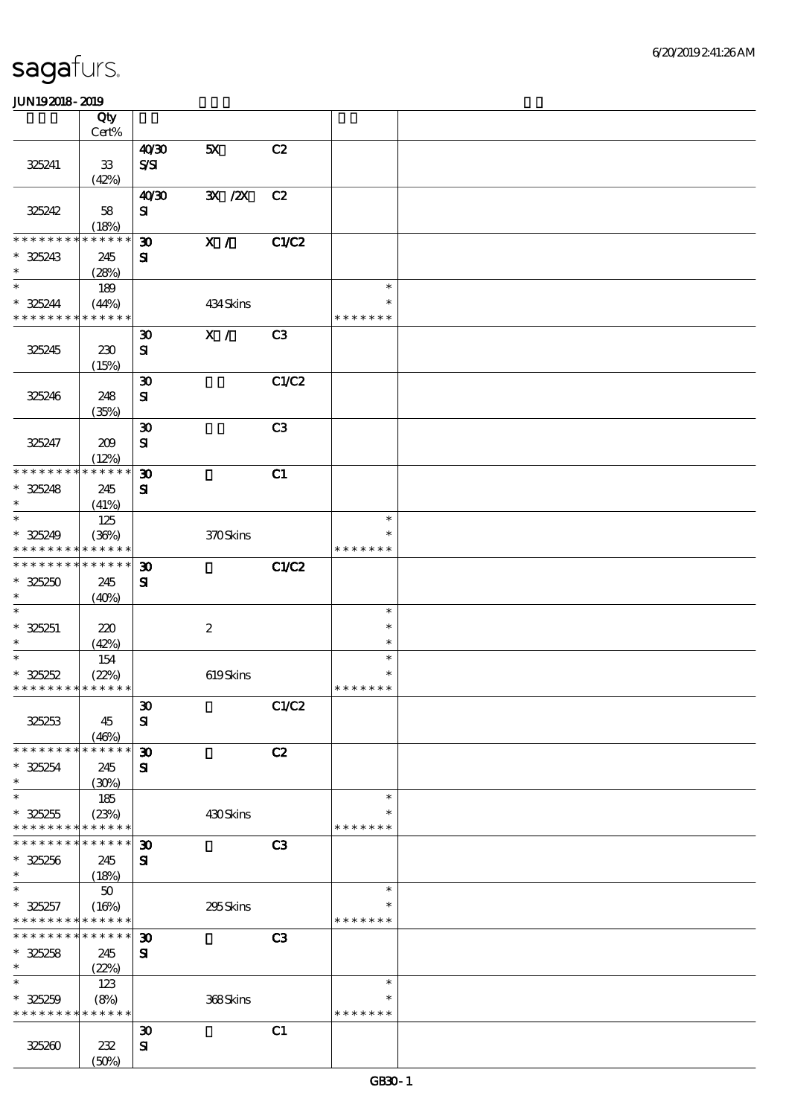|                               | Qty<br>Cert%         |                             |                  |                |               |  |
|-------------------------------|----------------------|-----------------------------|------------------|----------------|---------------|--|
|                               |                      |                             |                  |                |               |  |
|                               |                      | 40'30                       | 5X               | C2             |               |  |
| 325241                        | ${\bf 33}$           | $S\!S\!I$                   |                  |                |               |  |
|                               | (42%)                |                             |                  |                |               |  |
|                               |                      | 40'30                       | 3X / 2X          | C2             |               |  |
| 325242                        | 58                   | ${\bf s}$                   |                  |                |               |  |
|                               | (18%)                |                             |                  |                |               |  |
| * * * * * * *                 | * * * * * *          | $\boldsymbol{\mathfrak{D}}$ | X /              | C1/C2          |               |  |
|                               |                      |                             |                  |                |               |  |
| $* 325243$                    | 245                  | ${\bf s}$                   |                  |                |               |  |
| $\ast$                        | (28%)                |                             |                  |                |               |  |
| $\ast$                        | 189                  |                             |                  |                | $\ast$        |  |
| $* 325244$                    | (44%)                |                             | 434Skins         |                | $\ast$        |  |
| * * * * * * * *               | * * * * * *          |                             |                  |                | * * * * * * * |  |
|                               |                      | $\boldsymbol{\mathfrak{D}}$ | X /              | C <sub>3</sub> |               |  |
| 325245                        | 230                  | ${\bf s}$                   |                  |                |               |  |
|                               | (15%)                |                             |                  |                |               |  |
|                               |                      | $\boldsymbol{\mathfrak{D}}$ |                  | C1/C2          |               |  |
|                               |                      |                             |                  |                |               |  |
| 325246                        | 248                  | ${\bf s}$                   |                  |                |               |  |
|                               | (35%)                |                             |                  |                |               |  |
|                               |                      | $\boldsymbol{\mathfrak{D}}$ |                  | C <sub>3</sub> |               |  |
| 325247                        | 209                  | $\mathbf{S}$                |                  |                |               |  |
|                               | (12%)                |                             |                  |                |               |  |
| * * * * * * * *               | * * * * * *          | $\boldsymbol{\mathfrak{D}}$ |                  | C1             |               |  |
| $* 325248$                    | 245                  | ${\bf s}$                   |                  |                |               |  |
| $\ast$                        | (41%)                |                             |                  |                |               |  |
| $\ast$                        | 125                  |                             |                  |                | $\ast$        |  |
| $* 325249$                    |                      |                             |                  |                |               |  |
|                               | (36%)<br>* * * * * * |                             | 370Skins         |                | * * * * * * * |  |
| * * * * * * * *               |                      |                             |                  |                |               |  |
| * * * * * * * *               | * * * * * *          | $\boldsymbol{\mathfrak{D}}$ |                  | C1/C2          |               |  |
| $* 325250$                    | 245                  | ${\bf s}$                   |                  |                |               |  |
| $\ast$                        | (40%)                |                             |                  |                |               |  |
| $\ast$                        |                      |                             |                  |                | $\ast$        |  |
| $* 325251$                    | 220                  |                             | $\boldsymbol{2}$ |                | $\ast$        |  |
| $\ast$                        | (42%)                |                             |                  |                | $\ast$        |  |
| $\ast$                        | 154                  |                             |                  |                | $\ast$        |  |
| $* 325252$                    | (22%)                |                             | 619Skins         |                | $\ast$        |  |
| * * * * * * * * * * * * * *   |                      |                             |                  |                | * * * * * * * |  |
|                               |                      |                             |                  |                |               |  |
|                               |                      | $\boldsymbol{\mathfrak{D}}$ |                  | C1/C2          |               |  |
| 325253                        | 45                   | ${\bf s}$                   |                  |                |               |  |
|                               | (46%)                |                             |                  |                |               |  |
| * * * * * * * *               | * * * * * *          | $\boldsymbol{\mathfrak{D}}$ |                  | C2             |               |  |
| $* 325254$                    | 245                  | ${\bf s}$                   |                  |                |               |  |
| $\ast$                        | (30%)                |                             |                  |                |               |  |
| $\ast$                        | 185                  |                             |                  |                | $\ast$        |  |
| $* 325255$                    | (23%)                |                             | 430Skins         |                |               |  |
| * * * * * * * *               | * * * * * *          |                             |                  |                | * * * * * * * |  |
| * * * * * * * *               | * * * * * *          |                             |                  |                |               |  |
|                               |                      | $\boldsymbol{\mathfrak{D}}$ |                  | C <sub>3</sub> |               |  |
| $* 325256$                    | 245                  | ${\bf s}$                   |                  |                |               |  |
| $\ast$                        | (18%)                |                             |                  |                |               |  |
| $\ast$                        | $50\,$               |                             |                  |                | $\ast$        |  |
| $* 325257$                    | (16%)                |                             | 295Skins         |                | ∗             |  |
| * * * * * * * *               | * * * * * *          |                             |                  |                | * * * * * * * |  |
| * * * * * * * *               | * * * * * *          | $\boldsymbol{\mathfrak{D}}$ |                  | C <sub>3</sub> |               |  |
| $* 325258$                    | 245                  | ${\bf s}$                   |                  |                |               |  |
| $\ast$                        | (22%)                |                             |                  |                |               |  |
| $\ast$                        | 123                  |                             |                  |                | $\ast$        |  |
|                               |                      |                             |                  |                | $\ast$        |  |
| $* 325259$<br>* * * * * * * * | (8%)<br>* * * * * *  |                             | 368Skins         |                | * * * * * * * |  |
|                               |                      |                             |                  |                |               |  |
|                               |                      | $\boldsymbol{\mathfrak{D}}$ |                  | C1             |               |  |
| 325260                        | 232                  | $\mathbf{S}$                |                  |                |               |  |
|                               | (50%)                |                             |                  |                |               |  |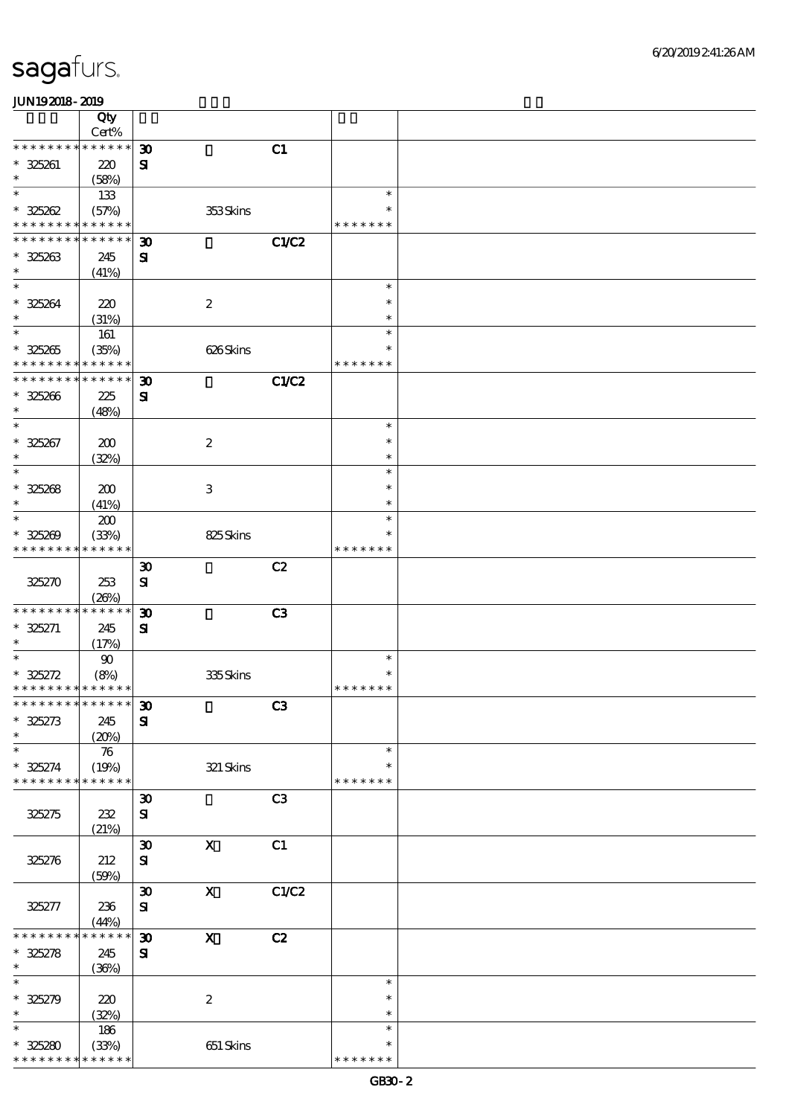|                                                        | Qty                         |                             |                           |                |               |  |
|--------------------------------------------------------|-----------------------------|-----------------------------|---------------------------|----------------|---------------|--|
|                                                        | Cert%                       |                             |                           |                |               |  |
| * * * * * * * *                                        | $******$                    | $\boldsymbol{\mathfrak{D}}$ |                           | C1             |               |  |
| $* 325261$<br>$\ast$                                   | 220                         | ${\bf s}$                   |                           |                |               |  |
| $\ast$                                                 | (58%)                       |                             |                           |                | $\ast$        |  |
|                                                        | 133                         |                             |                           |                | $\ast$        |  |
| $* 325262$<br>* * * * * * * * <mark>* * * * * *</mark> | (57%)                       |                             | 353Skins                  |                | * * * * * * * |  |
| * * * * * * * *                                        | * * * * * *                 |                             |                           |                |               |  |
|                                                        |                             | $\boldsymbol{\mathfrak{D}}$ |                           | <b>C1/C2</b>   |               |  |
| $* 325263$<br>$\ast$                                   | 245                         | ${\bf s}$                   |                           |                |               |  |
| $\ast$                                                 | (41%)                       |                             |                           |                | $\ast$        |  |
|                                                        |                             |                             |                           |                | $\ast$        |  |
| $* 325264$<br>$\ast$                                   | 220                         |                             | $\boldsymbol{2}$          |                | $\ast$        |  |
| $\ast$                                                 | (31%)                       |                             |                           |                | $\ast$        |  |
|                                                        | 161                         |                             |                           |                | $\ast$        |  |
| $* 325265$<br>* * * * * * * * * * * * * *              | (35%)                       |                             | 626Skins                  |                | * * * * * * * |  |
| * * * * * * * *                                        | * * * * * *                 |                             |                           |                |               |  |
|                                                        |                             | $\boldsymbol{\mathfrak{D}}$ |                           | <b>C1/C2</b>   |               |  |
| $* 325266$<br>$\ast$                                   | 225                         | ${\bf s}$                   |                           |                |               |  |
| $\ast$                                                 | (48%)                       |                             |                           |                | $\ast$        |  |
| $* 325267$                                             |                             |                             |                           |                | $\ast$        |  |
| $\ast$                                                 | 200                         |                             | $\boldsymbol{2}$          |                | $\ast$        |  |
| $\ast$                                                 | (32%)                       |                             |                           |                | $\ast$        |  |
|                                                        |                             |                             |                           |                | $\ast$        |  |
| $* 325268$<br>$\ast$                                   | 200                         |                             | 3                         |                | $\ast$        |  |
| $\ast$                                                 | (41%)                       |                             |                           |                | $\ast$        |  |
|                                                        | 200                         |                             |                           |                | $\ast$        |  |
| $* 325209$<br>* * * * * * * *                          | (33%)<br>* * * * * *        |                             | 825Skins                  |                | * * * * * * * |  |
|                                                        |                             |                             |                           |                |               |  |
|                                                        |                             | $\boldsymbol{\mathfrak{D}}$ |                           | C2             |               |  |
| 325270                                                 | 253                         | ${\bf S}$                   |                           |                |               |  |
| * * * * * * * *                                        | (20%)<br>* * * * * *        |                             |                           |                |               |  |
|                                                        |                             | $\boldsymbol{\mathfrak{D}}$ |                           | C <sub>3</sub> |               |  |
| $* 325271$<br>$\ast$                                   | 245                         | ${\bf s}$                   |                           |                |               |  |
| $\ast$                                                 | (17%)                       |                             |                           |                | $\ast$        |  |
| $* 325272$                                             | 90                          |                             |                           |                | $\ast$        |  |
| * * * * * * * * * * * * * *                            | (8%)                        |                             | 335Skins                  |                | * * * * * * * |  |
| *************** 30                                     |                             |                             |                           |                |               |  |
| $* 325273$                                             | 245                         | ${\bf s}$                   |                           | C3             |               |  |
| $\ast$                                                 |                             |                             |                           |                |               |  |
| $\ast$                                                 | (20%)<br>$\boldsymbol{\pi}$ |                             |                           |                | $\ast$        |  |
| $* 325274$                                             | (19%)                       |                             | 321 Skins                 |                | $\ast$        |  |
| * * * * * * * *                                        | * * * * * *                 |                             |                           |                | * * * * * * * |  |
|                                                        |                             | $\boldsymbol{\mathfrak{D}}$ |                           | C <sub>3</sub> |               |  |
| 325275                                                 | 232                         | $\mathbf{S}$                |                           |                |               |  |
|                                                        | (21%)                       |                             |                           |                |               |  |
|                                                        |                             | $\boldsymbol{\mathfrak{D}}$ | $\boldsymbol{\mathrm{X}}$ | C1             |               |  |
| 325276                                                 | 212                         | ${\bf s}$                   |                           |                |               |  |
|                                                        | (50%)                       |                             |                           |                |               |  |
|                                                        |                             | $\boldsymbol{\mathfrak{D}}$ | $\mathbf{x}$              | C1/C2          |               |  |
| 325277                                                 | 236                         | ${\bf s}$                   |                           |                |               |  |
|                                                        | (44%)                       |                             |                           |                |               |  |
| * * * * * * *                                          | * * * * * *                 | $\boldsymbol{\mathfrak{D}}$ | $\mathbf X$               | C2             |               |  |
| $* 325278$                                             | 245                         | ${\bf s}$                   |                           |                |               |  |
| $\ast$                                                 | (36%)                       |                             |                           |                |               |  |
| $\ast$                                                 |                             |                             |                           |                | $\ast$        |  |
| $* 325279$                                             | 220                         |                             | $\boldsymbol{z}$          |                | $\ast$        |  |
| $\ast$                                                 | (32%)                       |                             |                           |                | $\ast$        |  |
| $\ast$                                                 | 186                         |                             |                           |                | $\ast$        |  |
| $* 325280$                                             | (33%)                       |                             | 651 Skins                 |                | $\ast$        |  |
| * * * * * * * *                                        | * * * * * *                 |                             |                           |                | * * * * * * * |  |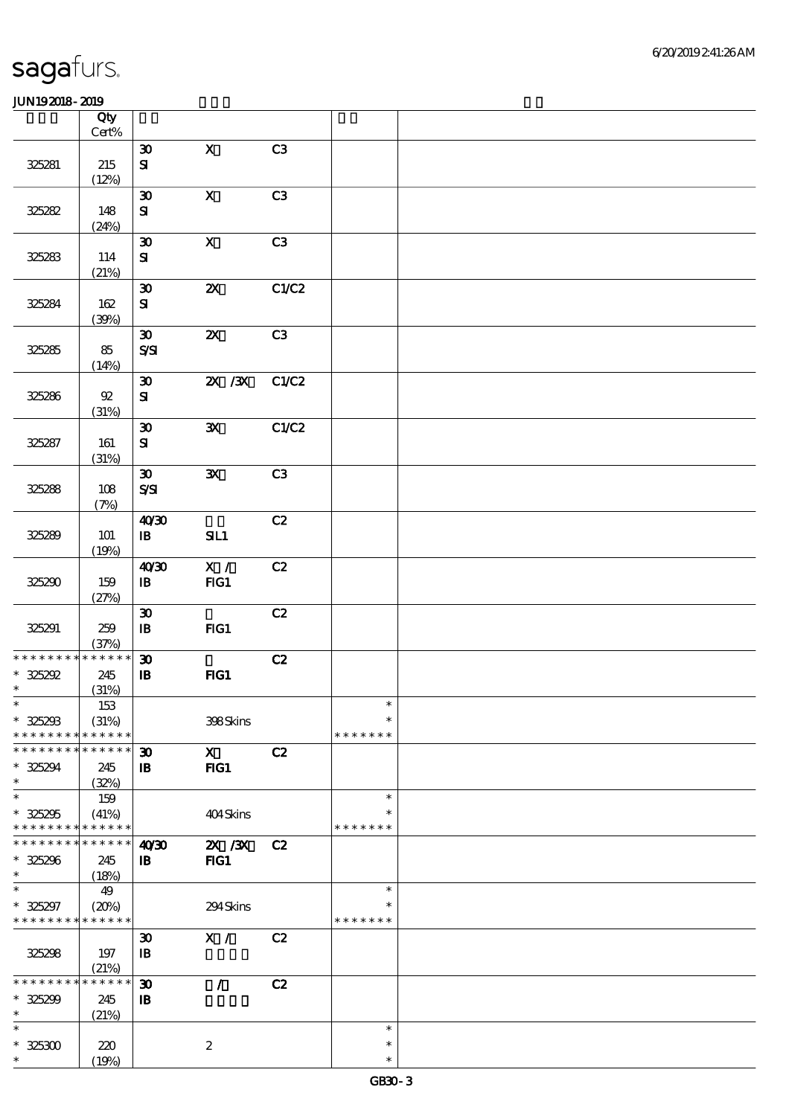|                 | Qty<br>$Cert\%$ |                             |                           |       |               |  |
|-----------------|-----------------|-----------------------------|---------------------------|-------|---------------|--|
|                 |                 |                             | $\mathbf{x}$              | C3    |               |  |
|                 |                 | $\boldsymbol{\mathfrak{D}}$ |                           |       |               |  |
| 325281          | 215             | ${\bf S}$                   |                           |       |               |  |
|                 | (12%)           |                             |                           |       |               |  |
|                 |                 | $\pmb{\mathfrak{D}}$        | $\mathbf X$               | C3    |               |  |
| 325282          | 148             | ${\bf S}$                   |                           |       |               |  |
|                 | (24%)           |                             |                           |       |               |  |
|                 |                 | $\boldsymbol{\mathfrak{D}}$ | $\boldsymbol{\mathrm{X}}$ | C3    |               |  |
| 325283          | 114             | ${\bf s}$                   |                           |       |               |  |
|                 | (21%)           |                             |                           |       |               |  |
|                 |                 | $\boldsymbol{\mathfrak{D}}$ | $\boldsymbol{\mathsf{z}}$ | C1/C2 |               |  |
| 325284          | $162$           | ${\bf s}$                   |                           |       |               |  |
|                 | (30%)           |                             |                           |       |               |  |
|                 |                 | $\boldsymbol{\mathfrak{D}}$ | $\boldsymbol{\mathsf{X}}$ | C3    |               |  |
| 325285          | 85              | $S\mathcal{S}$              |                           |       |               |  |
|                 | (14%)           |                             |                           |       |               |  |
|                 |                 | $\boldsymbol{\mathfrak{D}}$ | $X \, X$                  | C1/C2 |               |  |
| 325286          | $92\,$          | ${\bf S\!I}$                |                           |       |               |  |
|                 | (31%)           |                             |                           |       |               |  |
|                 |                 | $\boldsymbol{\mathfrak{D}}$ | $\mathbf{x}$              | C1/C2 |               |  |
| 325287          | 161             | ${\bf s}$                   |                           |       |               |  |
|                 | (31%)           |                             |                           |       |               |  |
|                 |                 | $\boldsymbol{\mathfrak{D}}$ | $\mathbf{x}$              | C3    |               |  |
|                 |                 | $S\!S\!S\!I$                |                           |       |               |  |
| 325288          | 108             |                             |                           |       |               |  |
|                 | (7%)            |                             |                           |       |               |  |
|                 |                 | 40'30                       |                           | C2    |               |  |
| 325289          | <b>101</b>      | $\mathbf{B}$                | SL1                       |       |               |  |
|                 | (19%)           |                             |                           |       |               |  |
|                 |                 | 40'30                       | $\mathbf{X}$ /            | C2    |               |  |
| 325290          | 159             | $\, {\bf I} \! {\bf B} \,$  | FG1                       |       |               |  |
|                 | (27%)           |                             |                           |       |               |  |
|                 |                 | $\boldsymbol{\mathfrak{D}}$ |                           | C2    |               |  |
| 325291          | 259             | $\, {\bf I} \! {\bf B} \,$  | FG1                       |       |               |  |
|                 | (37%)           |                             |                           |       |               |  |
| * * * * * * * * | ******          | $\boldsymbol{\mathfrak{D}}$ |                           | C2    |               |  |
| $* 325292$      | 245             | ${\bf I\!B}$                | HG1                       |       |               |  |
| $\ast$          | (31%)           |                             |                           |       |               |  |
| $\ast$          | 153             |                             |                           |       | $\ast$        |  |
| $* 325293$      | (31%)           |                             | 398Skins                  |       | $\ast$        |  |
| * * * * * * *   | * * * * * *     |                             |                           |       | * * * * * * * |  |
| * * * * * *     | * * * * * *     | 30                          | $\mathbf{x}$              | C2    |               |  |
| $* 325294$      | 245             | $\mathbf{B}$                | FIG1                      |       |               |  |
| $\ast$          | (32%)           |                             |                           |       |               |  |
| $\ast$          | 159             |                             |                           |       | $\ast$        |  |
| $* 325295$      | (41%)           |                             | 404Skins                  |       |               |  |
| * * * * * * * * | * * * * * *     |                             |                           |       | * * * * * * * |  |
| * * *           | * * * * * *     | 40 <sup>30</sup>            | $X$ / $X$                 | C2    |               |  |
| $* 325296$      | 245             | $\, {\bf I} \! {\bf B} \,$  | $HG1$                     |       |               |  |
| $\ast$          | (18%)           |                             |                           |       |               |  |
| $\ast$          | 49              |                             |                           |       | $\ast$        |  |
| * 325297        | (20%)           |                             | 294Skins                  |       | $\ast$        |  |
| * * * * * * * * | * * * * * *     |                             |                           |       | * * * * * * * |  |
|                 |                 | $\boldsymbol{\mathfrak{D}}$ | X /                       | C2    |               |  |
| 325298          | 197             | $\mathbf{B}$                |                           |       |               |  |
|                 | (21%)           |                             |                           |       |               |  |
| * * * * * *     | * * * * * *     | $\boldsymbol{\mathfrak{D}}$ | $\mathcal{L}$             | C2    |               |  |
| $* 325299$      | 245             | $\, {\bf B}$                |                           |       |               |  |
| $\ast$          | (21%)           |                             |                           |       |               |  |
| $\ast$          |                 |                             |                           |       | $\ast$        |  |
| $* 325300$      | 220             |                             | $\boldsymbol{2}$          |       | $\ast$        |  |
| $\ast$          | (19%)           |                             |                           |       | $\ast$        |  |
|                 |                 |                             |                           |       |               |  |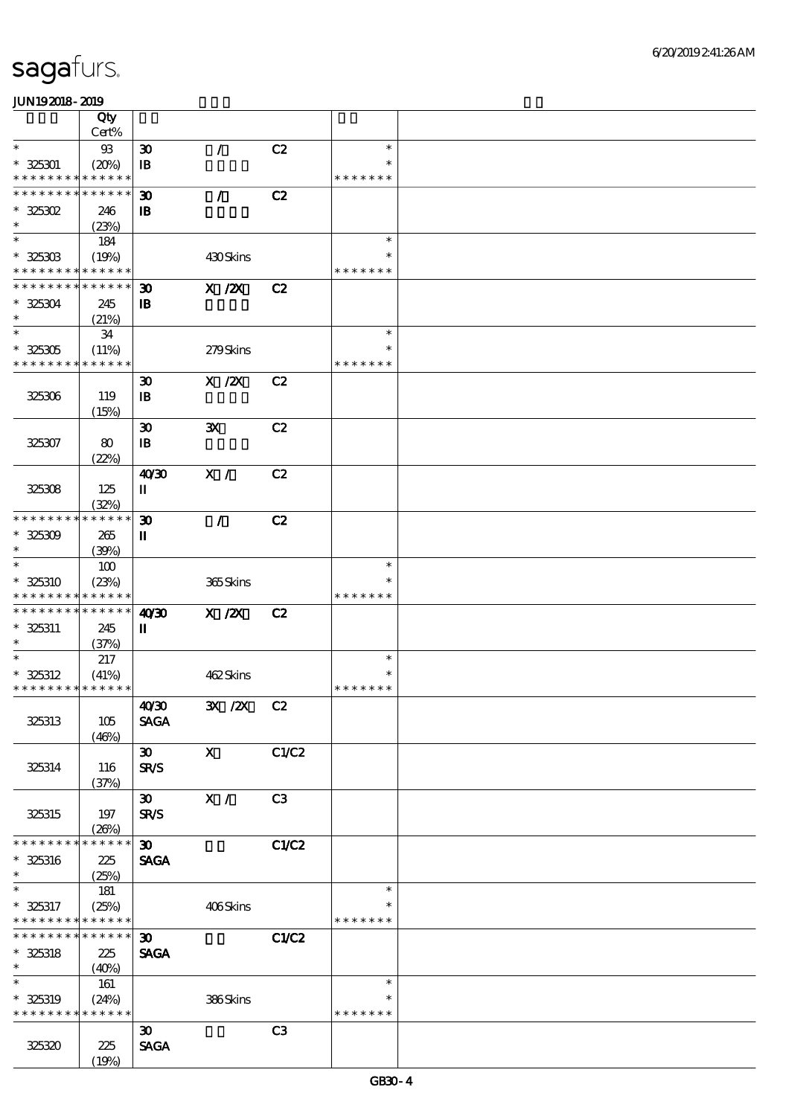|                             | Qty             |                                |                |                |               |  |
|-----------------------------|-----------------|--------------------------------|----------------|----------------|---------------|--|
|                             | Cert%           |                                |                |                |               |  |
| $\ast$                      | $93\,$          | $\boldsymbol{\mathfrak{D}}$    | $\mathcal{L}$  | C2             | $\ast$        |  |
| $* 325301$                  | (20%)           | $\mathbf{B}$                   |                |                | $\ast$        |  |
| * * * * * * * *             | * * * * * *     |                                |                |                | * * * * * * * |  |
| * * * * * * * * * * * * * * |                 | $\boldsymbol{\mathfrak{D}}$    | $\mathcal{L}$  | C2             |               |  |
| $*$ 325302                  | 246             | $\mathbf{B}$                   |                |                |               |  |
| $\ast$                      | (23%)           |                                |                |                |               |  |
| $\ast$                      | 184             |                                |                |                | $\ast$        |  |
| $* 325303$                  | (19%)           |                                | 430Skins       |                | *             |  |
| * * * * * * * * * * * * * * |                 |                                |                |                | * * * * * * * |  |
| * * * * * * * * * * * * * * |                 | $\boldsymbol{\mathfrak{D}}$    | $X$ / $ZX$     | C2             |               |  |
| $* 325304$                  | 245             | $\mathbf{B}$                   |                |                |               |  |
| $\ast$                      | (21%)           |                                |                |                |               |  |
| $\ast$                      | 34              |                                |                |                | $\ast$        |  |
| $* 325305$                  | (11%)           |                                | 279Skins       |                | $\ast$        |  |
| * * * * * * * * * * * * * * |                 |                                |                |                | * * * * * * * |  |
|                             |                 | $\boldsymbol{\mathfrak{D}}$    | $X$ / $ZX$     | C2             |               |  |
| 325306                      | 119             | $\mathbf{B}$                   |                |                |               |  |
|                             | (15%)           |                                |                |                |               |  |
|                             |                 | $\boldsymbol{\mathfrak{D}}$    | ${\bf X}$      | C2             |               |  |
| 325307                      | 80              | $\mathbf{B}$                   |                |                |               |  |
|                             | (22%)           |                                |                |                |               |  |
|                             |                 | 40'30                          | X /            | C2             |               |  |
| 325308                      | 125             | $\rm I\hspace{-.1em}I$         |                |                |               |  |
|                             | (32%)           |                                |                |                |               |  |
| * * * * * * * *             | * * * * * *     | $\boldsymbol{\mathfrak{D}}$    | $\mathcal{L}$  | C2             |               |  |
| $* 325309$                  | 265             | П                              |                |                |               |  |
| $\ast$                      | (39%)           |                                |                |                |               |  |
| $\ast$                      | 100             |                                |                |                | $\ast$        |  |
| * 325310                    | (23%)           |                                | 365Skins       |                | $\ast$        |  |
| * * * * * * * *             | * * * * * *     |                                |                |                | * * * * * * * |  |
| * * * * * * * * * * * * * * |                 | 40'30                          | $X$ / $ZX$     | C2             |               |  |
| $* 325311$                  | 245             | П                              |                |                |               |  |
| $\ast$                      | (37%)           |                                |                |                |               |  |
|                             | 217             |                                |                |                | $\ast$        |  |
| $* 325312$                  | (41%)           |                                | 462Skins       |                | $\ast$        |  |
| * * * * * * * * * * * * * * |                 |                                |                |                | * * * * * * * |  |
|                             |                 | 40'30                          | 3X /2X C2      |                |               |  |
| 325313                      | 105             | <b>SAGA</b>                    |                |                |               |  |
|                             | (46%)           |                                |                |                |               |  |
|                             |                 | $\boldsymbol{\mathfrak{D}}$    | $\mathbf{X}$   | C1/C2          |               |  |
| 325314                      | 116             | <b>SR/S</b>                    |                |                |               |  |
|                             | (37%)           |                                |                |                |               |  |
|                             |                 | $\boldsymbol{\mathfrak{D}}$    | $\mathbf{X}$ / | C3             |               |  |
| 325315                      | 197             | <b>SR/S</b>                    |                |                |               |  |
|                             | (20%)           |                                |                |                |               |  |
| * * * * * * * *             | * * * * * *     | $\boldsymbol{\mathfrak{D}}$    |                | C1/C2          |               |  |
| $* 325316$                  | 225             | <b>SAGA</b>                    |                |                |               |  |
| $\ast$                      | (25%)           |                                |                |                |               |  |
| $\ast$                      | 181             |                                |                |                | $\ast$        |  |
| $* 325317$                  | (25%)           |                                | 406Skins       |                | *             |  |
| * * * * * * * *             | * * * * * *     |                                |                |                | * * * * * * * |  |
| * * * * * * * *             | $* * * * * * *$ | $\boldsymbol{\mathfrak{D}}$    |                | C1/C2          |               |  |
| $* 325318$                  | 225             | <b>SAGA</b>                    |                |                |               |  |
| $\ast$                      | (40%)           |                                |                |                |               |  |
| $\ast$                      | 161             |                                |                |                | $\ast$        |  |
| $* 325319$                  | (24%)           |                                | 386Skins       |                | $\ast$        |  |
| * * * * * * * * * * * * * * |                 |                                |                |                | * * * * * * * |  |
|                             |                 | $\boldsymbol{\mathfrak{D}}$    |                | C <sub>3</sub> |               |  |
| 325320                      | 225             | $\operatorname{\mathsf{SAGA}}$ |                |                |               |  |
|                             | (19%)           |                                |                |                |               |  |
|                             |                 |                                |                |                |               |  |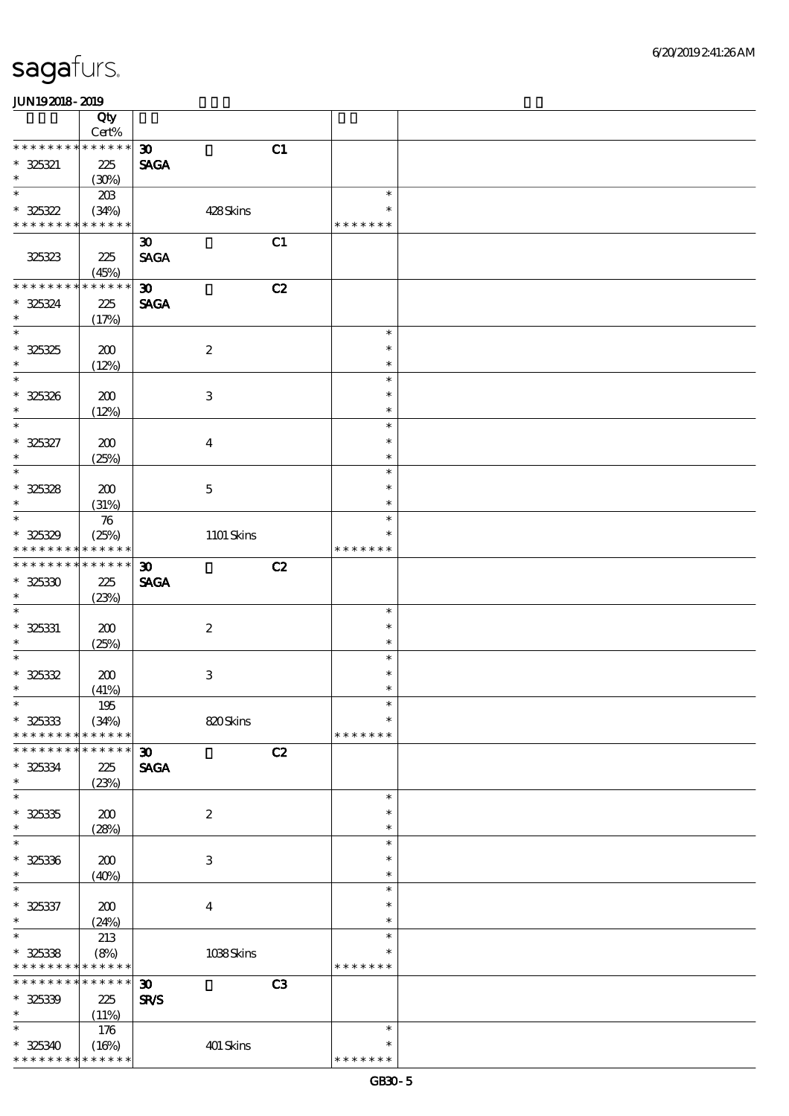|                                                        | Qty                  |                             |    |                  |  |
|--------------------------------------------------------|----------------------|-----------------------------|----|------------------|--|
| * * * * * * * *                                        | Cert%<br>$******$    |                             |    |                  |  |
|                                                        |                      | $\boldsymbol{\mathfrak{D}}$ | C1 |                  |  |
| $* 325321$<br>$\ast$                                   | 225                  | <b>SAGA</b>                 |    |                  |  |
| $\ast$                                                 | (30%)                |                             |    | $\ast$           |  |
|                                                        | 20B                  |                             |    | $\ast$           |  |
| $* 325322$<br>* * * * * * * *                          | (34%)<br>* * * * * * | 428Skins                    |    |                  |  |
|                                                        |                      |                             |    | * * * * * * *    |  |
|                                                        |                      | $\boldsymbol{\mathfrak{D}}$ | C1 |                  |  |
| 325323                                                 | 225                  | <b>SAGA</b>                 |    |                  |  |
| * * * * * * * *                                        | (45%)<br>* * * * * * |                             |    |                  |  |
|                                                        |                      | $\boldsymbol{\mathfrak{D}}$ | C2 |                  |  |
| $* 325324$                                             | 225                  | <b>SAGA</b>                 |    |                  |  |
| $\ast$<br>$\overline{\ast}$                            | (17%)                |                             |    |                  |  |
|                                                        |                      |                             |    | $\ast$           |  |
| $* 325325$                                             | 200                  | $\boldsymbol{2}$            |    | $\ast$           |  |
| $\ast$<br>$\ast$                                       | (12%)                |                             |    | $\ast$           |  |
|                                                        |                      |                             |    | $\ast$           |  |
| $* 325326$                                             | 200                  | 3                           |    | $\ast$           |  |
| $\ast$                                                 | (12%)                |                             |    | $\ast$           |  |
| $\ast$                                                 |                      |                             |    | $\ast$           |  |
| $* 325327$                                             | 200                  | $\overline{4}$              |    | $\ast$           |  |
| $\ast$                                                 | (25%)                |                             |    | $\ast$           |  |
| $\overline{\ast}$                                      |                      |                             |    | $\ast$           |  |
| $* 325328$                                             | 200                  | $\mathbf 5$                 |    | $\ast$           |  |
| $\ast$                                                 | (31%)                |                             |    | $\ast$           |  |
| $\ast$                                                 | $\boldsymbol{\pi}$   |                             |    | $\ast$           |  |
| $* 325329$                                             | (25%)                | 1101 Skins                  |    | $\ast$           |  |
| * * * * * * * *                                        | * * * * * *          |                             |    | * * * * * * *    |  |
| * * * * * * *                                          | $******$             | $\boldsymbol{\mathfrak{D}}$ | C2 |                  |  |
| $* 325330$                                             | 225                  | <b>SAGA</b>                 |    |                  |  |
| $\ast$                                                 | (23%)                |                             |    |                  |  |
| $\ast$                                                 |                      |                             |    | $\ast$           |  |
| $* 325331$                                             | 200                  | $\boldsymbol{2}$            |    | $\ast$           |  |
| $\ast$                                                 | (25%)                |                             |    | $\ast$           |  |
| $\ast$                                                 |                      |                             |    | $\ast$           |  |
| $* 325332$                                             | 200                  | $\,3$                       |    | $\ast$           |  |
| $\ast$                                                 | (41%)                |                             |    | $\ast$           |  |
| $\ast$                                                 | $195\,$              |                             |    | $\ast$           |  |
| $* 325333$                                             | (34%)                | 820Skins                    |    | $\ast$           |  |
| * * * * * * * *                                        | * * * * * *          |                             |    | * * * * * * *    |  |
| * * * * * * *                                          | * * * * * *          | $\boldsymbol{\mathfrak{D}}$ | C2 |                  |  |
| $* 325334$                                             | 225                  | <b>SAGA</b>                 |    |                  |  |
| $\ast$                                                 | (23%)                |                             |    |                  |  |
| $\ast$                                                 |                      |                             |    | $\ast$           |  |
| $* 325335$                                             | 200                  | $\boldsymbol{2}$            |    | $\ast$           |  |
| $\ast$                                                 | (28%)                |                             |    | $\ast$           |  |
| $\ast$                                                 |                      |                             |    | $\ast$           |  |
| $* 325336$                                             | 200                  | $\,3$                       |    | $\ast$           |  |
| $\ast$<br>$\ast$                                       | (40%)                |                             |    | $\ast$           |  |
|                                                        |                      |                             |    | $\ast$           |  |
| $* 325337$                                             | 200                  | $\boldsymbol{4}$            |    | $\ast$           |  |
| $\ast$<br>$\ast$                                       | (24%)                |                             |    | $\ast$<br>$\ast$ |  |
|                                                        | 213                  |                             |    | $\ast$           |  |
| $* 325338$<br>* * * * * * * * <mark>* * * * * *</mark> | (8%)                 | 1038Skins                   |    | * * * * * * *    |  |
| * * * * * * * *                                        | * * * * * *          |                             |    |                  |  |
|                                                        |                      | $\boldsymbol{\mathfrak{D}}$ | C3 |                  |  |
| $* 325339$<br>$\ast$                                   | 225                  | SR/S                        |    |                  |  |
| $\ast$                                                 | (11%)                |                             |    | $\ast$           |  |
|                                                        | 176                  |                             |    | $\ast$           |  |
| $* 325340$<br>* * * * * * * *                          | (16%)<br>* * * * * * | 401 Skins                   |    | * * * * * * *    |  |
|                                                        |                      |                             |    |                  |  |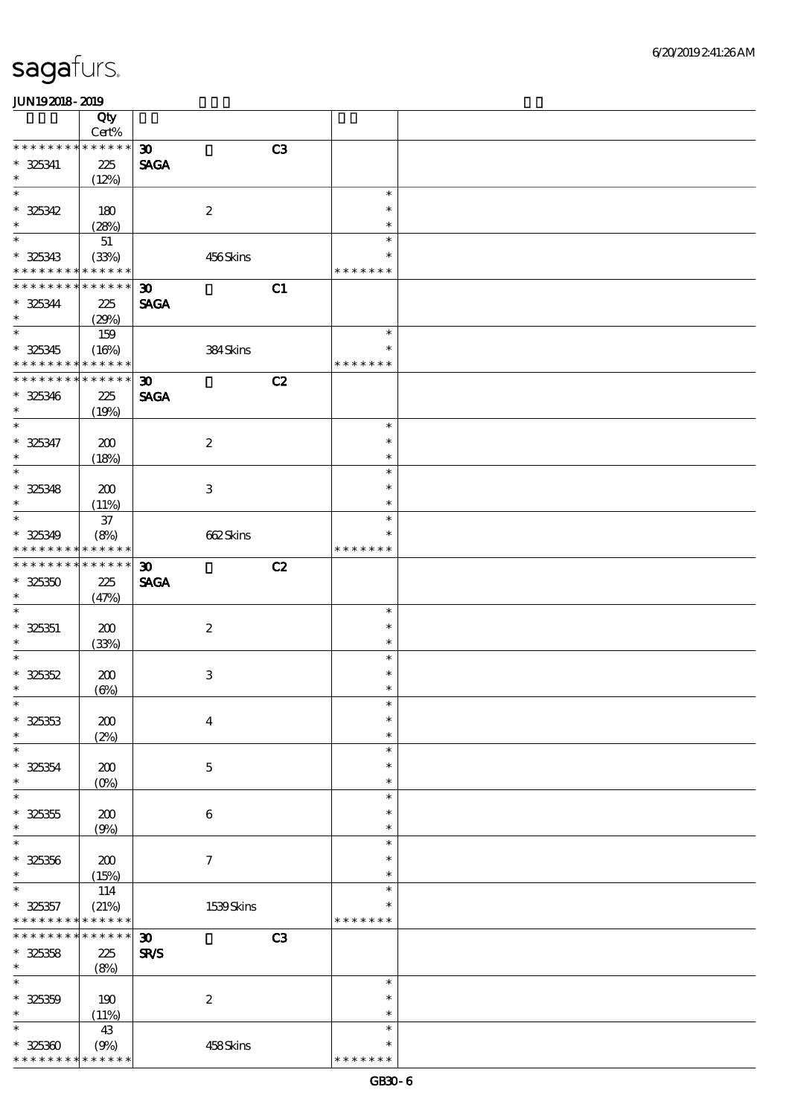|                            | Qty           |                             |    |               |  |
|----------------------------|---------------|-----------------------------|----|---------------|--|
|                            | Cert%         |                             |    |               |  |
| * * * * * * * *            | * * * * * *   | $\boldsymbol{\mathfrak{D}}$ | C3 |               |  |
| $* 325341$                 | 225           | <b>SAGA</b>                 |    |               |  |
| $\ast$                     |               |                             |    |               |  |
|                            | (12%)         |                             |    |               |  |
| $\ast$                     |               |                             |    | $\ast$        |  |
| $* 325342$                 | 180           | $\boldsymbol{2}$            |    | $\ast$        |  |
| $\ast$                     | (28%)         |                             |    | $\ast$        |  |
| $\overline{\phantom{0}}$   |               |                             |    |               |  |
|                            | $51\,$        |                             |    | $\ast$        |  |
| $* 325343$                 | (33%)         | 456Skins                    |    | $\ast$        |  |
| * * * * * * * *            | * * * * * *   |                             |    | * * * * * * * |  |
| * * * * * * * *            | * * * * * *   |                             |    |               |  |
|                            |               | $\boldsymbol{\mathfrak{D}}$ | C1 |               |  |
| $* 325344$                 | 225           | <b>SAGA</b>                 |    |               |  |
| $\ast$                     | (29%)         |                             |    |               |  |
| $\ast$                     | 159           |                             |    | $\ast$        |  |
|                            |               |                             |    | $\ast$        |  |
| $* 325345$                 | (16%)         | 384Skins                    |    |               |  |
| * * * * * * * *            | * * * * * *   |                             |    | * * * * * * * |  |
| * * * * * * * *            | * * * * * *   | $\boldsymbol{\mathfrak{D}}$ | C2 |               |  |
| $* 325346$                 | 225           | <b>SAGA</b>                 |    |               |  |
|                            |               |                             |    |               |  |
| $\ast$                     | (19%)         |                             |    |               |  |
| $\ast$                     |               |                             |    | $\ast$        |  |
| $* 325347$                 | 200           | $\boldsymbol{2}$            |    | $\ast$        |  |
| $\ast$                     | (18%)         |                             |    | $\ast$        |  |
| $\ast$                     |               |                             |    |               |  |
|                            |               |                             |    | $\ast$        |  |
| $* 325348$                 | 200           | 3                           |    | $\ast$        |  |
| $\ast$                     | (11%)         |                             |    | $\ast$        |  |
| $\overline{\phantom{a}^*}$ |               |                             |    | $\ast$        |  |
|                            | $3\!7$        |                             |    |               |  |
| $* 325349$                 | (8%)          | 662Skins                    |    | $\ast$        |  |
| * * * * * * * *            | * * * * * *   |                             |    | * * * * * * * |  |
| * * * * * * * *            | * * * * * *   | $\boldsymbol{\mathfrak{D}}$ | C2 |               |  |
|                            |               |                             |    |               |  |
| $* 325350$                 | 225           | <b>SAGA</b>                 |    |               |  |
| $\ast$                     | (47%)         |                             |    |               |  |
| $\ast$                     |               |                             |    | $\ast$        |  |
| $* 325351$                 | 200           | $\boldsymbol{2}$            |    | $\ast$        |  |
| $\ast$                     |               |                             |    | $\ast$        |  |
|                            | (33%)         |                             |    |               |  |
| $\ast$                     |               |                             |    | $\ast$        |  |
| $* 325352$                 | 200           | $\,3$                       |    | $\ast$        |  |
| $\ast$                     | $(\Theta\% )$ |                             |    | $\ast$        |  |
| $\ast$                     |               |                             |    | $\ast$        |  |
|                            |               |                             |    | $\ast$        |  |
| $* 325353$                 | 200           | $\boldsymbol{4}$            |    |               |  |
| $\ast$                     | (2%)          |                             |    | $\ast$        |  |
| $\ast$                     |               |                             |    | $\ast$        |  |
| $* 325354$                 | 200           | $\mathbf 5$                 |    | $\ast$        |  |
| $\ast$                     |               |                             |    | $\ast$        |  |
|                            | $(0\%)$       |                             |    |               |  |
| $\ast$                     |               |                             |    | $\ast$        |  |
| $* 325355$                 | 200           | $\,6\,$                     |    | $\ast$        |  |
| $\ast$                     | (9%)          |                             |    | $\ast$        |  |
| $\ast$                     |               |                             |    | $\ast$        |  |
|                            |               |                             |    |               |  |
| $* 325356$                 | 200           | $\boldsymbol{\tau}$         |    | $\ast$        |  |
| $\ast$                     | (15%)         |                             |    | $\ast$        |  |
| $\ast$                     | 114           |                             |    | $\ast$        |  |
|                            |               |                             |    | $\ast$        |  |
| $* 325357$                 | (21%)         | 1539Skins                   |    |               |  |
| * * * * * * * *            | * * * * * *   |                             |    | * * * * * * * |  |
| * * * * * * *              | * * * * * *   | $\boldsymbol{\mathfrak{D}}$ | C3 |               |  |
| $* 325358$                 | 225           | SR/S                        |    |               |  |
| $\ast$                     | (8%)          |                             |    |               |  |
| $\ast$                     |               |                             |    | $\ast$        |  |
|                            |               |                             |    |               |  |
| $* 325359$                 | 190           | $\boldsymbol{2}$            |    | $\ast$        |  |
| $\ast$                     | (11%)         |                             |    | $\ast$        |  |
| $\ast$                     | 43            |                             |    | $\ast$        |  |
|                            |               |                             |    | ∗             |  |
| $* 325300$                 | (9%)          | 458Skins                    |    |               |  |
| * * * * * * * *            | * * * * * *   |                             |    | * * * * * * * |  |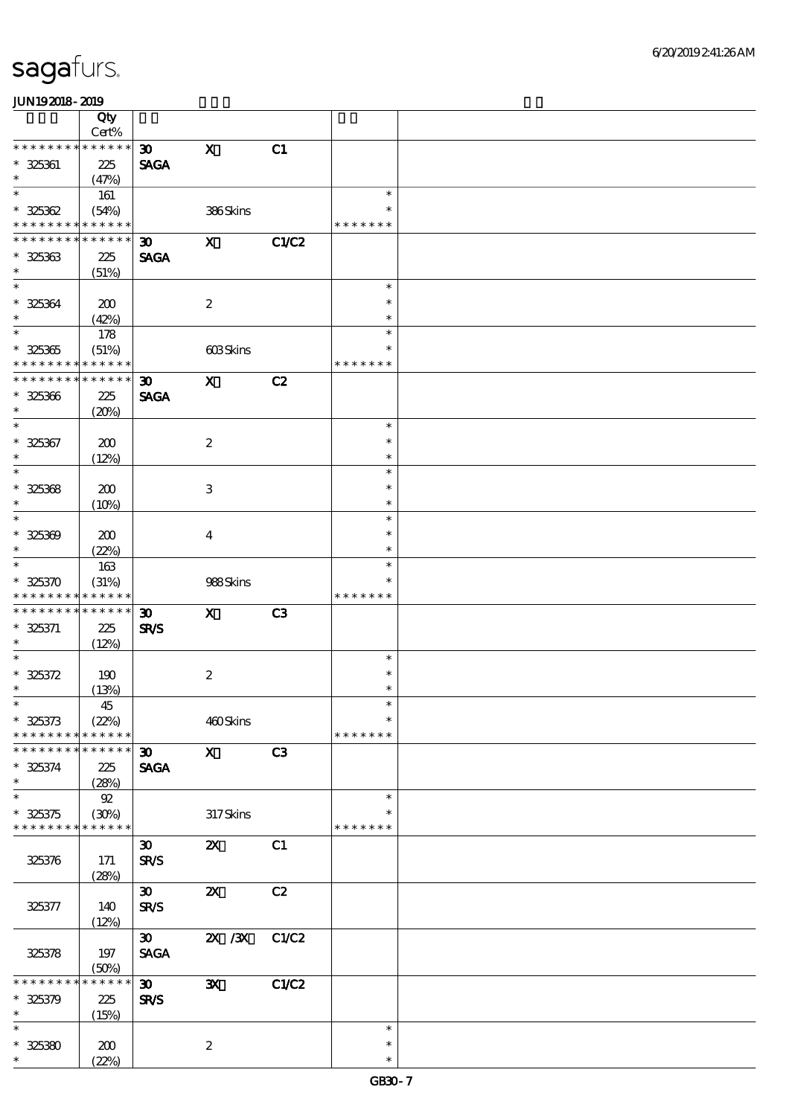|                               | Qty                  |                             |                                                   |                |               |  |
|-------------------------------|----------------------|-----------------------------|---------------------------------------------------|----------------|---------------|--|
|                               | $Cert\%$             |                             |                                                   |                |               |  |
| * * * * * * * *               | * * * * * *          | $\boldsymbol{\mathfrak{D}}$ | $\boldsymbol{\mathrm{X}}$                         | C1             |               |  |
| $* 325361$                    | 225                  | <b>SAGA</b>                 |                                                   |                |               |  |
| $\ast$                        | (47%)                |                             |                                                   |                |               |  |
| $\ast$                        | 161                  |                             |                                                   |                | $\ast$        |  |
| $* 325362$                    | (54%)                |                             | 386Skins                                          |                | $\ast$        |  |
| * * * * * * * *               | * * * * * *          |                             |                                                   |                | * * * * * * * |  |
| * * * * * * * * * * * * * *   |                      | $\boldsymbol{\mathfrak{D}}$ | $\mathbf{x}$                                      | C1/C2          |               |  |
| $* 325363$                    | 225                  | <b>SAGA</b>                 |                                                   |                |               |  |
| $\ast$                        |                      |                             |                                                   |                |               |  |
| $\ast$                        | (51%)                |                             |                                                   |                | $\ast$        |  |
|                               |                      |                             |                                                   |                |               |  |
| $* 325364$                    | 200                  |                             | $\boldsymbol{2}$                                  |                | $\ast$        |  |
| $\ast$                        | (42%)                |                             |                                                   |                | $\ast$        |  |
| $\ast$                        | 178                  |                             |                                                   |                | $\ast$        |  |
| $* 325365$                    | (51%)                |                             | 603Skins                                          |                | $\ast$        |  |
| * * * * * * * * * * * * * *   |                      |                             |                                                   |                | * * * * * * * |  |
| * * * * * * * *               | * * * * * *          | $\boldsymbol{\mathfrak{D}}$ | $\boldsymbol{\mathsf{X}}$                         | C2             |               |  |
| $* 325366$                    | 225                  | <b>SAGA</b>                 |                                                   |                |               |  |
| $\ast$                        | (20%)                |                             |                                                   |                |               |  |
| $\overline{\ast}$             |                      |                             |                                                   |                | $\ast$        |  |
|                               |                      |                             |                                                   |                |               |  |
| $* 325367$                    | 200                  |                             | $\boldsymbol{2}$                                  |                | $\ast$        |  |
| $\ast$                        | (12%)                |                             |                                                   |                | $\ast$        |  |
| $\ast$                        |                      |                             |                                                   |                | $\ast$        |  |
| $* 325368$                    | 200                  |                             | $\,3\,$                                           |                | $\ast$        |  |
| $\ast$                        | (10%)                |                             |                                                   |                | $\ast$        |  |
| $\ast$                        |                      |                             |                                                   |                | $\ast$        |  |
| $* 325309$                    | 200                  |                             | $\boldsymbol{4}$                                  |                | $\ast$        |  |
| $\ast$                        | (22%)                |                             |                                                   |                | $\ast$        |  |
| $\ast$                        | 163                  |                             |                                                   |                | $\ast$        |  |
|                               |                      |                             |                                                   |                | *             |  |
| $* 325370$                    | (31%)                |                             | 988Skins                                          |                |               |  |
| * * * * * * * *               | * * * * * *          |                             |                                                   |                | * * * * * * * |  |
|                               |                      |                             |                                                   |                |               |  |
| * * * * * * * *               | * * * * * *          | $\boldsymbol{\mathfrak{D}}$ | $\mathbf{x}$                                      | C <sub>3</sub> |               |  |
| $* 325371$                    | 225                  | <b>SR/S</b>                 |                                                   |                |               |  |
| $\ast$                        | (12%)                |                             |                                                   |                |               |  |
| $\ast$                        |                      |                             |                                                   |                | $\ast$        |  |
| $* 325372$                    | 190                  |                             | $\boldsymbol{2}$                                  |                | $\ast$        |  |
| $\ast$                        |                      |                             |                                                   |                | $\ast$        |  |
| $*$                           | (13%)                |                             |                                                   |                | $\ast$        |  |
|                               | 45                   |                             |                                                   |                | $\ast$        |  |
| $* 325373$<br>* * * * * * * * | (22%)<br>* * * * * * |                             | 460Skins                                          |                | * * * * * * * |  |
| * * * * * * * *               | * * * * * *          |                             |                                                   |                |               |  |
|                               |                      | 30 <sub>o</sub>             | $\mathbf{x}$                                      | C3             |               |  |
| $* 325374$                    | 225                  | <b>SAGA</b>                 |                                                   |                |               |  |
| $\ast$                        | (28%)                |                             |                                                   |                |               |  |
| $\ast$                        | $92\,$               |                             |                                                   |                | $\ast$        |  |
| $* 325375$                    | (30%)                |                             | $317$ Skins                                       |                | $\ast$        |  |
| * * * * * * * *               | * * * * * *          |                             |                                                   |                | * * * * * * * |  |
|                               |                      | $\boldsymbol{\mathfrak{D}}$ | $\boldsymbol{\mathsf{Z}}$                         | C1             |               |  |
| 325376                        | 171                  | <b>SR/S</b>                 |                                                   |                |               |  |
|                               |                      |                             |                                                   |                |               |  |
|                               | (28%)                |                             |                                                   |                |               |  |
|                               |                      | $\boldsymbol{\mathfrak{D}}$ | $\boldsymbol{\mathsf{X}}$                         | C2             |               |  |
| 325377                        | 140                  | <b>SR/S</b>                 |                                                   |                |               |  |
|                               | (12%)                |                             |                                                   |                |               |  |
|                               |                      | $\boldsymbol{\mathfrak{D}}$ | $\overline{\mathbf{X}}$ / $\overline{\mathbf{X}}$ | C1/C2          |               |  |
| 325378                        | 197                  | <b>SAGA</b>                 |                                                   |                |               |  |
|                               | (50%)                |                             |                                                   |                |               |  |
| * * * * * * *                 | * * * * * *          | $\boldsymbol{\mathfrak{D}}$ | $\mathbf{x}$                                      | C1/C2          |               |  |
| $* 325379$                    | 225                  | <b>SR/S</b>                 |                                                   |                |               |  |
| $\ast$                        | (15%)                |                             |                                                   |                |               |  |
| $\ast$                        |                      |                             |                                                   |                | $\ast$        |  |
| $* 32530$<br>$\ast$           | 200<br>(22%)         |                             | $\boldsymbol{2}$                                  |                | $\ast$        |  |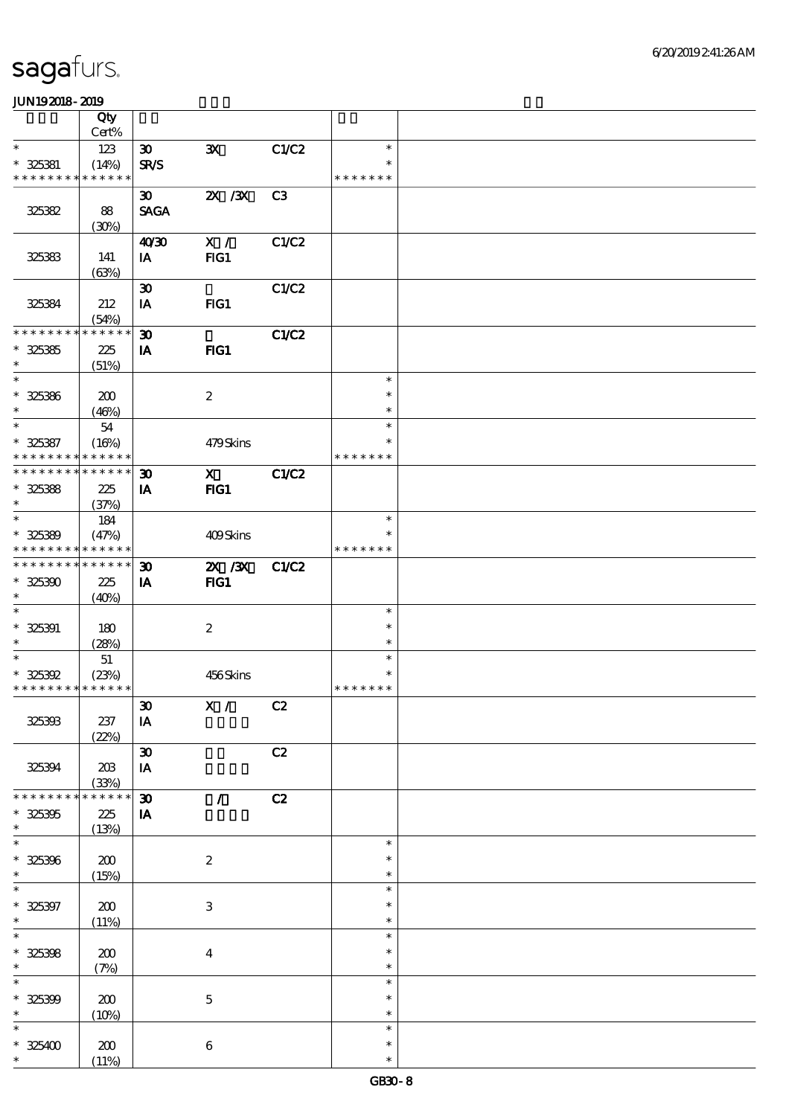|                             | Qty         |                             |                           |                |               |  |
|-----------------------------|-------------|-----------------------------|---------------------------|----------------|---------------|--|
|                             | Cert%       |                             |                           |                |               |  |
| $\ast$                      | 123         | $\boldsymbol{\mathfrak{D}}$ | $\mathbf{x}$              | C1/C2          | $\ast$        |  |
| $* 325381$                  | (14%)       | <b>SR/S</b>                 |                           |                | $\ast$        |  |
| * * * * * * * * * * * * * * |             |                             |                           |                | * * * * * * * |  |
|                             |             | $\boldsymbol{\mathfrak{D}}$ | $X \, X$                  | C <sub>3</sub> |               |  |
| 325382                      | 88          | <b>SAGA</b>                 |                           |                |               |  |
|                             | (30%)       |                             |                           |                |               |  |
|                             |             | 40'30                       | X /                       | C1/C2          |               |  |
| 325383                      | 141         | IA                          | FG1                       |                |               |  |
|                             | (63%)       |                             |                           |                |               |  |
|                             |             | $\boldsymbol{\mathfrak{D}}$ |                           | C1/C2          |               |  |
| 325384                      | 212         | IA                          | FG1                       |                |               |  |
|                             | (54%)       |                             |                           |                |               |  |
| * * * * * * * *             | * * * * * * | $\boldsymbol{\mathfrak{D}}$ |                           | C1/C2          |               |  |
| $* 325385$                  | 225         | IA                          | FIG1                      |                |               |  |
| $\ast$                      | (51%)       |                             |                           |                |               |  |
| $\ast$                      |             |                             |                           |                | $\ast$        |  |
| $* 325386$                  | 200         |                             | $\boldsymbol{2}$          |                | $\ast$        |  |
| $\ast$                      | (46%)       |                             |                           |                | $\ast$        |  |
| $\ast$                      | ${\bf 54}$  |                             |                           |                | $\ast$        |  |
| $* 325387$                  | (16%)       |                             | 479Skins                  |                | $\ast$        |  |
| * * * * * * * *             | * * * * * * |                             |                           |                | * * * * * * * |  |
| * * * * * * * *             | * * * * * * | $\boldsymbol{\mathfrak{D}}$ | $\mathbf{x}$              | C1/C2          |               |  |
| $* 325388$                  | 225         | IA                          | $HG1$                     |                |               |  |
| $\ast$                      | (37%)       |                             |                           |                |               |  |
| $\ast$                      | 184         |                             |                           |                | $\ast$        |  |
| $* 325389$                  | (47%)       |                             | 409Skins                  |                | $\ast$        |  |
| * * * * * * * *             | * * * * * * |                             |                           |                | * * * * * * * |  |
| * * * * * * * *             | * * * * * * | $\boldsymbol{\mathfrak{D}}$ | $ZX$ / $ZX$               | C1/C2          |               |  |
| $* 325300$                  | 225         | IA                          | FIG1                      |                |               |  |
| $\ast$                      | (40%)       |                             |                           |                |               |  |
| $\ast$                      |             |                             |                           |                | $\ast$        |  |
| $* 325391$                  | 180         |                             | $\boldsymbol{2}$          |                | $\ast$        |  |
| $\ast$                      | (28%)       |                             |                           |                | $\ast$        |  |
| $\ast$                      | 51          |                             |                           |                | $\ast$        |  |
| $* 325392$                  | (23%)       |                             | 456Skins                  |                | $\ast$        |  |
| * * * * * * * * * * * * * * |             |                             |                           |                | * * * * * * * |  |
|                             |             | $\pmb{\mathfrak{D}}$        | X /                       | C2             |               |  |
| 325393                      | 237         | IA                          |                           |                |               |  |
|                             | (22%)       |                             |                           |                |               |  |
|                             |             | $\pmb{\mathfrak{D}}$        |                           | C2             |               |  |
| 325394                      | $203\,$     | $\mathbf{I}\mathbf{A}$      |                           |                |               |  |
|                             | (33%)       |                             |                           |                |               |  |
| * * * * * * * *             | * * * * * * | $\boldsymbol{\mathfrak{D}}$ | $\mathcal{L}$             | C2             |               |  |
| $* 325305$                  | 225         | ${\bf I} {\bf A}$           |                           |                |               |  |
| $\ast$                      | (13%)       |                             |                           |                |               |  |
| $\ast$                      |             |                             |                           |                | $\ast$        |  |
| $* 325396$                  | 200         |                             | $\boldsymbol{2}$          |                | $\ast$        |  |
| $\ast$                      | (15%)       |                             |                           |                | $\ast$        |  |
| $\ast$                      |             |                             |                           |                | $\ast$        |  |
| $* 325397$                  | $\pmb{30}$  |                             | $\ensuremath{\mathbf{3}}$ |                | $\ast$        |  |
| $\ast$                      | (11%)       |                             |                           |                | $\ast$        |  |
| $\overline{\ast}$           |             |                             |                           |                | $\ast$        |  |
| $* 325398$                  | $\pmb{30}$  |                             | $\boldsymbol{4}$          |                | $\ast$        |  |
| $\ast$                      | (7%)        |                             |                           |                | $\ast$        |  |
| $\ast$                      |             |                             |                           |                | $\ast$        |  |
| $* 325309$                  | 200         |                             | $\bf 5$                   |                | $\ast$        |  |
| $\ast$                      | (10%)       |                             |                           |                | $\ast$        |  |
| $\ast$                      |             |                             |                           |                | $\ast$        |  |
| $* 325400$                  | $200$       |                             | $\,6\,$                   |                | $\ast$        |  |
| $\ast$                      | (11%)       |                             |                           |                | $\ast$        |  |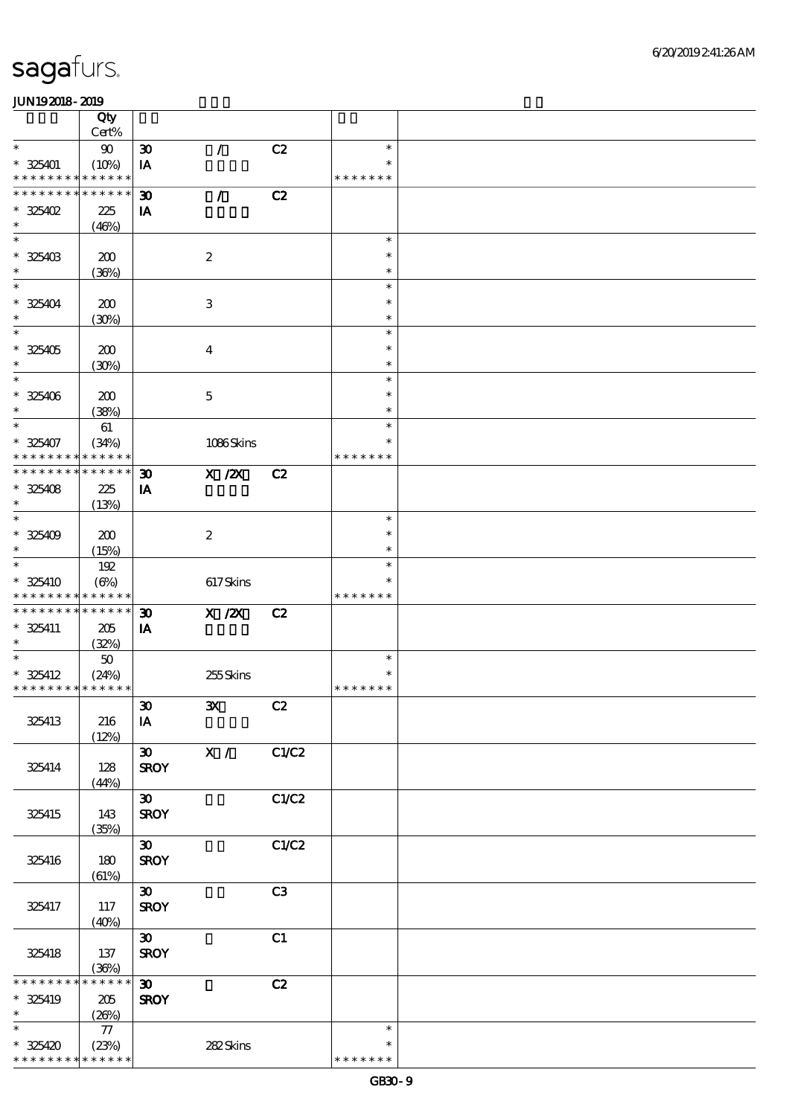|                                                        | Qty             |                                            |                  |       |                         |  |
|--------------------------------------------------------|-----------------|--------------------------------------------|------------------|-------|-------------------------|--|
| $\ast$                                                 | Cert%           |                                            |                  |       | $\ast$                  |  |
| $*325401$                                              | $90\,$<br>(10%) | $\boldsymbol{\mathfrak{D}}$<br>IA          | $\mathcal{L}$    | C2    | $\ast$                  |  |
| * * * * * * * * <mark>* * * * * *</mark>               |                 |                                            |                  |       | * * * * * * *           |  |
| * * * * * * * * * * * * * *                            |                 | $\boldsymbol{\mathfrak{D}}$                | $\mathcal{L}$    | C2    |                         |  |
| $*325402$                                              | 225             | IA                                         |                  |       |                         |  |
| $\ast$                                                 | (46%)           |                                            |                  |       |                         |  |
| $\ast$                                                 |                 |                                            |                  |       | $\ast$                  |  |
| $* 325403$                                             | 200             |                                            | $\boldsymbol{2}$ |       | $\ast$                  |  |
| $\ast$<br>$\ast$                                       | (36%)           |                                            |                  |       | $\ast$<br>$\ast$        |  |
| $* 325404$                                             | 200             |                                            | $\,3$            |       | $\ast$                  |  |
| $\ast$                                                 | (30%)           |                                            |                  |       | $\ast$                  |  |
| $\overline{\phantom{1}}$                               |                 |                                            |                  |       | $\ast$                  |  |
| $* 325405$                                             | 200             |                                            | $\boldsymbol{4}$ |       | $\ast$                  |  |
| $\ast$                                                 | (30%)           |                                            |                  |       | $\ast$                  |  |
| $\ast$                                                 |                 |                                            |                  |       | $\ast$                  |  |
| $* 325406$<br>$\ast$                                   | 200             |                                            | $\mathbf 5$      |       | $\ast$<br>$\ast$        |  |
| $\ast$                                                 | (38%)<br>61     |                                            |                  |       | $\ast$                  |  |
| $* 325407$                                             | (34%)           |                                            | 1086Skins        |       | $\ast$                  |  |
| * * * * * * * *                                        | * * * * * *     |                                            |                  |       | * * * * * * *           |  |
| * * * * * * * * * * * * * *                            |                 | $\boldsymbol{\mathfrak{D}}$                | $X$ / $ZX$       | C2    |                         |  |
| $* 325408$                                             | 225             | IA                                         |                  |       |                         |  |
| $\ast$<br>$\ast$                                       | (13%)           |                                            |                  |       | $\ast$                  |  |
| $* 325409$                                             | 200             |                                            | $\boldsymbol{2}$ |       | $\ast$                  |  |
| $\ast$                                                 | (15%)           |                                            |                  |       | $\ast$                  |  |
| $\ast$                                                 | 192             |                                            |                  |       | $\ast$                  |  |
| $* 325410$                                             | $(\Theta)$      |                                            | 617Skins         |       | $\ast$                  |  |
| * * * * * * * * <mark>* * * * * *</mark>               |                 |                                            |                  |       | * * * * * * *           |  |
| * * * * * * * * * * * * * *                            |                 | $\boldsymbol{\mathfrak{D}}$                | X / ZX           | C2    |                         |  |
| $* 325411$<br>$\ast$                                   | 205<br>(32%)    | IA                                         |                  |       |                         |  |
| $\ast$                                                 | $50\,$          |                                            |                  |       | $\ast$                  |  |
| $*$ 325412                                             | (24%)           |                                            | 255Skins         |       | ∗                       |  |
| * * * * * * * * * * * * * *                            |                 |                                            |                  |       | * * * * * * *           |  |
|                                                        |                 | $\boldsymbol{\mathfrak{D}}$                | $\mathbf{x}$     | C2    |                         |  |
| 325413                                                 | 216             | IA                                         |                  |       |                         |  |
|                                                        | (12%)           | $\boldsymbol{\mathfrak{D}}$                | X /              | C1/C2 |                         |  |
| 325414                                                 | 128             | <b>SROY</b>                                |                  |       |                         |  |
|                                                        | (44%)           |                                            |                  |       |                         |  |
|                                                        |                 | $\boldsymbol{\mathfrak{D}}$                |                  | C1/C2 |                         |  |
| 325415                                                 | 143             | <b>SROY</b>                                |                  |       |                         |  |
|                                                        | (35%)           |                                            |                  |       |                         |  |
| 325416                                                 | 180             | $\boldsymbol{\mathfrak{D}}$<br><b>SROY</b> |                  | C1/C2 |                         |  |
|                                                        | (61%)           |                                            |                  |       |                         |  |
|                                                        |                 | $\boldsymbol{\mathfrak{D}}$                |                  | C3    |                         |  |
| 325417                                                 | 117             | <b>SROY</b>                                |                  |       |                         |  |
|                                                        | (40%)           |                                            |                  |       |                         |  |
|                                                        |                 | $\boldsymbol{\mathfrak{D}}$                |                  | C1    |                         |  |
| 325418                                                 | 137<br>(36%)    | <b>SROY</b>                                |                  |       |                         |  |
| * * * * * * * *                                        | * * * * * *     | $\boldsymbol{\mathfrak{D}}$                |                  | C2    |                         |  |
| $* 325419$                                             | 205             | <b>SROY</b>                                |                  |       |                         |  |
| $\ast$                                                 | (20%)           |                                            |                  |       |                         |  |
| $\ast$                                                 | $77\,$          |                                            |                  |       | $\ast$                  |  |
| $* 325420$<br>* * * * * * * * <mark>* * * * * *</mark> | (23%)           |                                            | 282Skins         |       | $\ast$<br>* * * * * * * |  |
|                                                        |                 |                                            |                  |       |                         |  |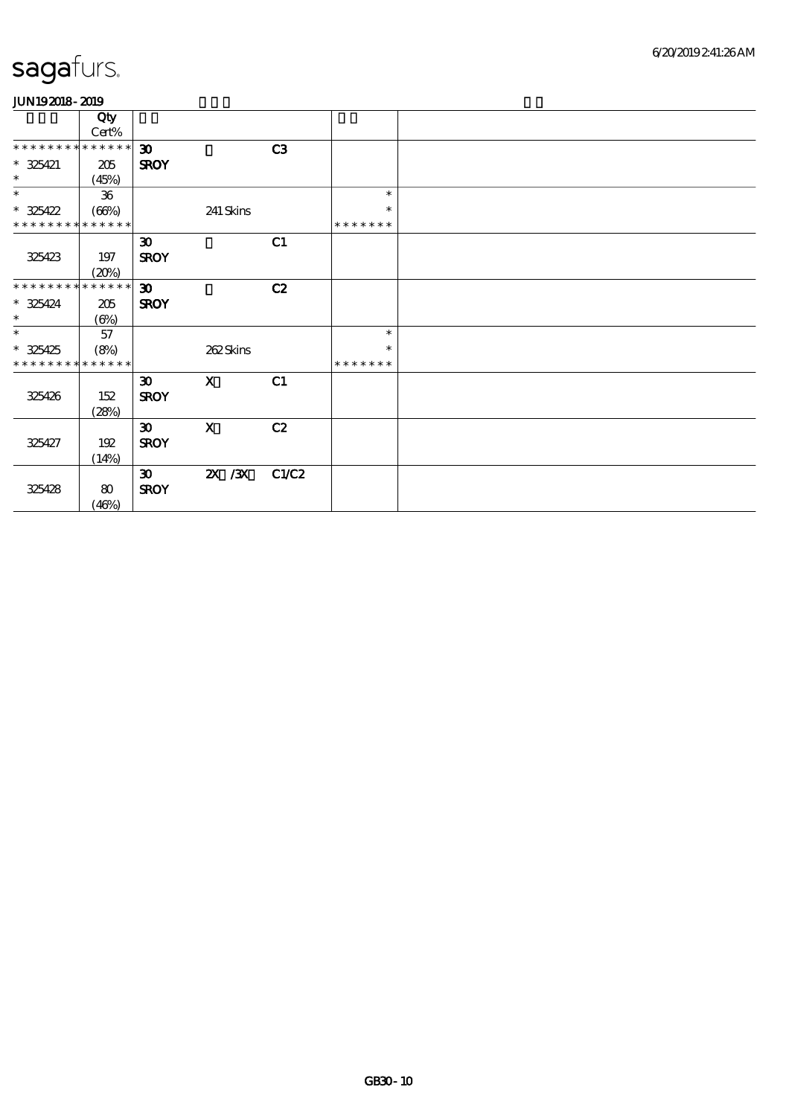| Qty                            |                                                                |                                                                                                        |                         |               |  |
|--------------------------------|----------------------------------------------------------------|--------------------------------------------------------------------------------------------------------|-------------------------|---------------|--|
|                                |                                                                |                                                                                                        |                         |               |  |
| * * * * * * * *                | $\boldsymbol{\mathfrak{D}}$                                    |                                                                                                        | C3                      |               |  |
| 205                            | <b>SROY</b>                                                    |                                                                                                        |                         |               |  |
| (45%)                          |                                                                |                                                                                                        |                         |               |  |
| 36                             |                                                                |                                                                                                        |                         | $\ast$        |  |
| (66%)                          |                                                                | 241 Skins                                                                                              |                         | $\ast$        |  |
| * * * * * * * *<br>* * * * * * |                                                                |                                                                                                        |                         | * * * * * * * |  |
|                                | $\boldsymbol{\mathfrak{D}}$                                    |                                                                                                        | C1                      |               |  |
| 197                            | <b>SROY</b>                                                    |                                                                                                        |                         |               |  |
|                                |                                                                |                                                                                                        |                         |               |  |
| * * * * * * * *                | $\boldsymbol{\mathfrak{D}}$                                    |                                                                                                        | C2                      |               |  |
| 205                            | <b>SROY</b>                                                    |                                                                                                        |                         |               |  |
|                                |                                                                |                                                                                                        |                         |               |  |
| 57                             |                                                                |                                                                                                        |                         | $\ast$        |  |
| (8%)                           |                                                                | 262Skins                                                                                               |                         | $\ast$        |  |
| * * * * * * * *<br>* * * * * * |                                                                |                                                                                                        |                         | * * * * * * * |  |
|                                | $\boldsymbol{\mathfrak{D}}$                                    | $\mathbf{X}$                                                                                           | C1                      |               |  |
| 152                            |                                                                |                                                                                                        |                         |               |  |
|                                |                                                                |                                                                                                        |                         |               |  |
|                                |                                                                |                                                                                                        |                         |               |  |
|                                |                                                                |                                                                                                        |                         |               |  |
|                                |                                                                |                                                                                                        |                         |               |  |
|                                | $\boldsymbol{\mathfrak{D}}$                                    |                                                                                                        |                         |               |  |
|                                |                                                                |                                                                                                        |                         |               |  |
| (46%)                          |                                                                |                                                                                                        |                         |               |  |
|                                | Cert%<br>(20%)<br>$(\Theta\% )$<br>(28%)<br>192<br>(14%)<br>80 | * * * * * *<br>* * * * * *<br><b>SROY</b><br>$\boldsymbol{\mathfrak{D}}$<br><b>SROY</b><br><b>SROY</b> | $\mathbf X$<br>$X \, X$ | C2<br>C1/C2   |  |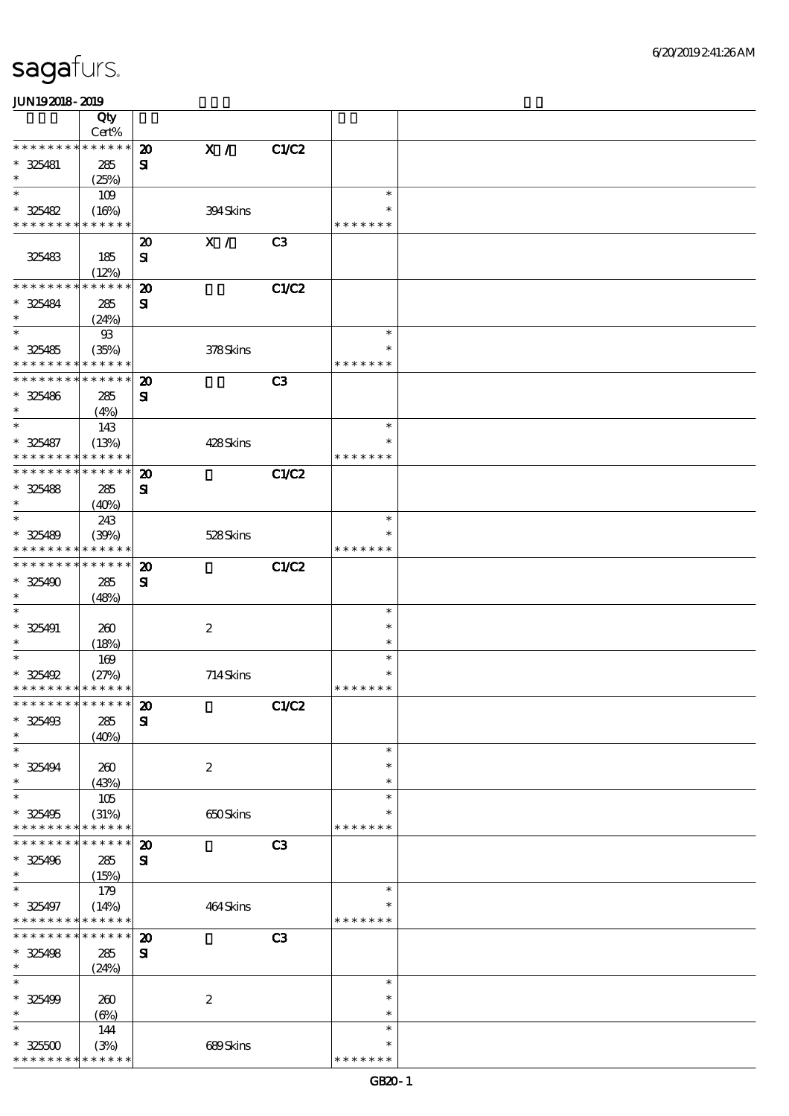|                               | Qty                  |                             |                  |                |                         |  |
|-------------------------------|----------------------|-----------------------------|------------------|----------------|-------------------------|--|
|                               | Cert%                |                             |                  |                |                         |  |
| * * * * * * * *               | * * * * * *          | $\boldsymbol{\mathfrak{D}}$ | X /              | C1/C2          |                         |  |
| $* 325481$<br>$\ast$          | 285                  | ${\bf s}$                   |                  |                |                         |  |
| $\ast$                        | (25%)                |                             |                  |                | $\ast$                  |  |
|                               | 109                  |                             |                  |                | $\ast$                  |  |
| $* 325482$<br>* * * * * * * * | (16%)<br>* * * * * * |                             | 394Skins         |                | * * * * * * *           |  |
|                               |                      |                             |                  |                |                         |  |
|                               |                      | $\boldsymbol{\mathbf{z}}$   | X /              | C <sub>3</sub> |                         |  |
| 325483                        | 185                  | ${\bf s}$                   |                  |                |                         |  |
| * * * * * * * *               | (12%)<br>* * * * * * |                             |                  |                |                         |  |
| * 325484                      |                      | $\boldsymbol{\mathbf{z}}$   |                  | <b>C1/C2</b>   |                         |  |
| $\ast$                        | 285                  | ${\bf s}$                   |                  |                |                         |  |
| $\ast$                        | (24%)<br>$93$        |                             |                  |                | $\ast$                  |  |
| $* 325485$                    |                      |                             | 378Skins         |                | $\ast$                  |  |
| * * * * * * * *               | (35%)<br>* * * * * * |                             |                  |                | * * * * * * *           |  |
| * * * * * * * *               | * * * * * *          | $\boldsymbol{\mathbf{z}}$   |                  | C <sub>3</sub> |                         |  |
| $* 325486$                    | 285                  | ${\bf s}$                   |                  |                |                         |  |
| $\ast$                        | (4%)                 |                             |                  |                |                         |  |
| $\ast$                        | 143                  |                             |                  |                | $\ast$                  |  |
| $* 325487$                    | (13%)                |                             | 428Skins         |                | $\ast$                  |  |
| * * * * * * * *               | * * * * * *          |                             |                  |                | * * * * * * *           |  |
| * * * * * * * *               | * * * * * *          | $\boldsymbol{\mathbf{z}}$   |                  | C1/C2          |                         |  |
| $* 325488$                    | 285                  | ${\bf s}$                   |                  |                |                         |  |
| $\ast$                        | (40%)                |                             |                  |                |                         |  |
| $\ast$                        | 243                  |                             |                  |                | $\ast$                  |  |
| $* 325489$                    | (30%)                |                             | 528Skins         |                | $\ast$                  |  |
| * * * * * * * *               | * * * * * *          |                             |                  |                | * * * * * * *           |  |
| * * * * * * * *               | * * * * * *          | $\boldsymbol{\mathbf{z}}$   |                  | <b>C1/C2</b>   |                         |  |
| $* 325490$                    | 285                  | ${\bf s}$                   |                  |                |                         |  |
| $\ast$                        | (48%)                |                             |                  |                |                         |  |
| $\ast$                        |                      |                             |                  |                | $\ast$                  |  |
| $* 325491$                    | 260                  |                             | $\boldsymbol{2}$ |                | $\ast$                  |  |
| $\ast$                        | (18%)                |                             |                  |                | $\ast$                  |  |
| $\ast$                        | 169                  |                             |                  |                | $\ast$                  |  |
| $* 325492$                    | (27%)                |                             | 714Skins         |                | $\ast$                  |  |
| * * * * * * * * * * * * * *   |                      |                             |                  |                | * * * * * * *           |  |
| *************** 20            |                      |                             |                  | C1/C2          |                         |  |
| $* 325493$                    | 285                  | ${\bf S}$                   |                  |                |                         |  |
| $\ast$                        | (40%)                |                             |                  |                |                         |  |
| $\ast$                        |                      |                             |                  |                | $\ast$                  |  |
| $* 325494$                    | 260                  |                             | $\boldsymbol{2}$ |                | $\ast$                  |  |
| $\ast$                        | (43%)                |                             |                  |                | $\ast$                  |  |
| $\ast$                        | 105                  |                             |                  |                | $\ast$                  |  |
| $* 325495$                    | (31%)                |                             | 650Skins         |                | $\ast$                  |  |
| * * * * * * * *               | * * * * * *          |                             |                  |                | * * * * * * *           |  |
| * * *<br>* * * *              | * * * * * *          | $\boldsymbol{\mathbf{z}}$   |                  | C <sub>3</sub> |                         |  |
| $* 325496$<br>$\ast$          | 285                  | ${\bf s}$                   |                  |                |                         |  |
| $\ast$                        | (15%)                |                             |                  |                | $\ast$                  |  |
|                               | 179                  |                             |                  |                |                         |  |
| $* 325497$<br>* * * * * * * * | (14%)<br>* * * * * * |                             | 464Skins         |                | $\ast$<br>* * * * * * * |  |
| * * * * * * * *               | * * * * * *          | $\boldsymbol{\mathbf{z}}$   |                  | C <sub>3</sub> |                         |  |
| $* 325498$                    | 285                  | ${\bf s}$                   |                  |                |                         |  |
| $\ast$                        | (24%)                |                             |                  |                |                         |  |
| $\ast$                        |                      |                             |                  |                | $\ast$                  |  |
| * 325499                      | 260                  |                             | $\boldsymbol{2}$ |                | $\ast$                  |  |
| $\ast$                        | $(\Theta)$           |                             |                  |                | $\ast$                  |  |
| $\ast$                        | 144                  |                             |                  |                | $\ast$                  |  |
| $* 32500$                     | (3%)                 |                             | 689Skins         |                | $\ast$                  |  |
| * * * * * * * *               | * * * * * *          |                             |                  |                | * * * * * * *           |  |
|                               |                      |                             |                  |                |                         |  |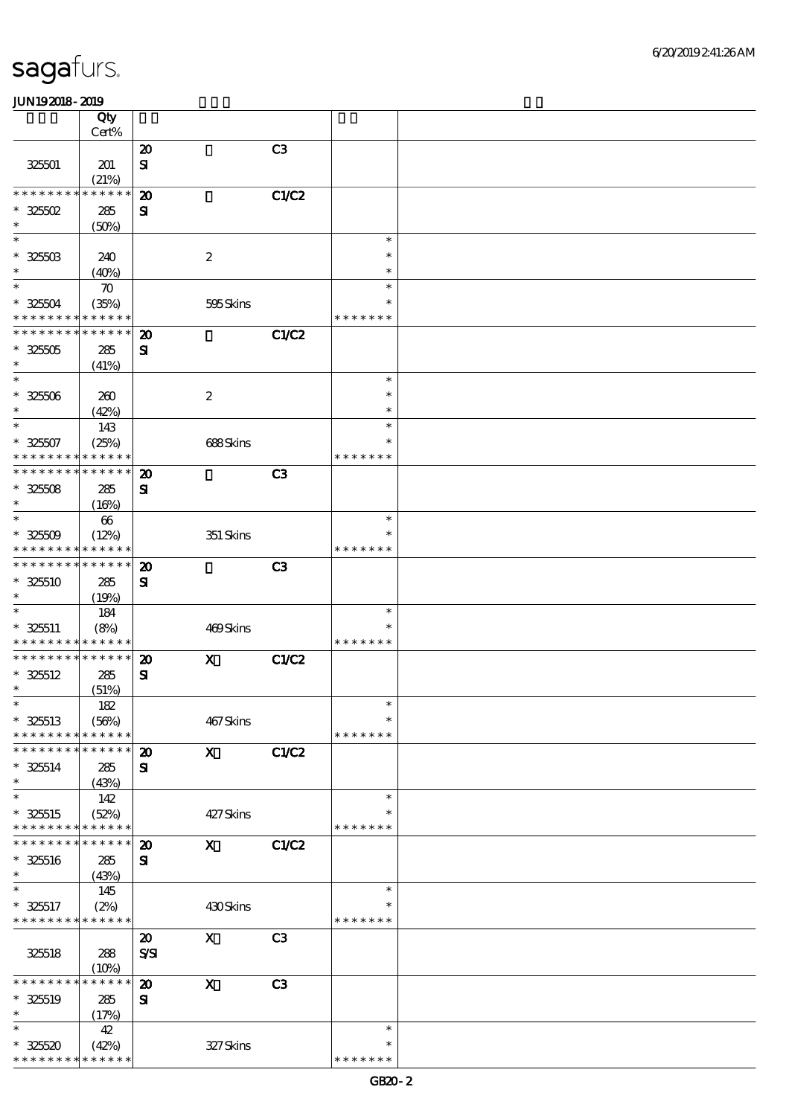|                                          | Qty                  |                                             |                           |                |                    |  |
|------------------------------------------|----------------------|---------------------------------------------|---------------------------|----------------|--------------------|--|
|                                          | Cert%                |                                             |                           |                |                    |  |
|                                          |                      | $\boldsymbol{\mathbf{z}}$                   |                           | C <sub>3</sub> |                    |  |
| 325501                                   | 201                  | ${\bf s}$                                   |                           |                |                    |  |
| * * * * * * * *                          | (21%)<br>* * * * * * | $\boldsymbol{\mathbf{z}}$                   |                           | <b>C1/C2</b>   |                    |  |
| $*32502$                                 | 285                  | $\mathbf{S}$                                |                           |                |                    |  |
| $\ast$                                   | (50%)                |                                             |                           |                |                    |  |
| $\ast$                                   |                      |                                             |                           |                | $\ast$             |  |
| $* 3250B$                                | 240                  |                                             | $\boldsymbol{2}$          |                | $\ast$             |  |
| $\ast$                                   | (40%)                |                                             |                           |                | $\ast$             |  |
| $\ast$                                   | $\boldsymbol{\pi}$   |                                             |                           |                | $\ast$             |  |
| $* 32504$                                | (35%)                |                                             | 595Skins                  |                | $\ast$             |  |
| * * * * * * * *                          | * * * * * *          |                                             |                           |                | * * * * * * *      |  |
| * * * * * * * *                          | * * * * * *          | $\boldsymbol{\mathbf{z}}$                   |                           | <b>C1/C2</b>   |                    |  |
| $* 325005$                               | 285                  | ${\bf s}$                                   |                           |                |                    |  |
| $\ast$                                   | (41%)                |                                             |                           |                |                    |  |
| $\ast$                                   |                      |                                             |                           |                | $\ast$             |  |
| $* 32500$                                | 260                  |                                             | $\boldsymbol{2}$          |                | $\ast$             |  |
| $\ast$                                   | (42%)                |                                             |                           |                | $\ast$             |  |
| $\ast$                                   | 143                  |                                             |                           |                | $\ast$<br>$\ast$   |  |
| $* 32507$<br>* * * * * * * *             | (25%)<br>* * * * * * |                                             | 688Skins                  |                | * * * * * * *      |  |
| * * * * * * * *                          | * * * * * *          | $\boldsymbol{\mathbf{z}}$                   |                           | C <sub>3</sub> |                    |  |
| $* 32508$                                | 285                  | ${\bf s}$                                   |                           |                |                    |  |
| $\ast$                                   | (16%)                |                                             |                           |                |                    |  |
| $\ast$                                   | 66                   |                                             |                           |                | $\ast$             |  |
| $* 32509$                                | (12%)                |                                             | 351 Skins                 |                | $\ast$             |  |
| * * * * * * * * * * * * * *              |                      |                                             |                           |                | * * * * * * *      |  |
| * * * * * * * *                          | * * * * * *          | $\boldsymbol{\mathbf{z}}$                   |                           | C <sub>3</sub> |                    |  |
| $* 325510$                               | 285                  | $\mathbf{S}$                                |                           |                |                    |  |
| $\ast$                                   | (19%)                |                                             |                           |                |                    |  |
| $\ast$                                   | 184                  |                                             |                           |                | $\ast$             |  |
| $* 325511$                               | (8%)                 |                                             | 469Skins                  |                | $\ast$             |  |
| * * * * * * * * <mark>* * * * * *</mark> |                      |                                             |                           |                | * * * * * * *      |  |
| * * * * * * * * * * * * * *              |                      | $\boldsymbol{\mathfrak{D}}$                 | $\boldsymbol{\mathrm{X}}$ | <b>C1/C2</b>   |                    |  |
| $* 325512$<br>$\ast$                     | 285                  | ${\bf s}$                                   |                           |                |                    |  |
| $\ast$                                   | (51%)                |                                             |                           |                | $\ast$             |  |
| $* 325513$                               | 182<br>(56%)         |                                             | 467Skins                  |                | $\ast$             |  |
| * * * * * * * *                          | * * * * * *          |                                             |                           |                | * * * * * * *      |  |
| * * * * * * *                            | * * * * * *          | $\boldsymbol{\mathbf{z}}$                   | $\mathbf{x}$              | C1/C2          |                    |  |
| $* 325514$                               | 285                  | $\mathbf{S}$                                |                           |                |                    |  |
| $\ast$                                   | (43%)                |                                             |                           |                |                    |  |
| $\ast$                                   | 142                  |                                             |                           |                | $\ast$             |  |
| $* 325515$                               | (52%)                |                                             | 427Skins                  |                | ∗                  |  |
| * * * * * * * *                          | * * * * * *          |                                             |                           |                | * * * * * * *      |  |
| * * * * * * *                            | * * * * * *          | $\boldsymbol{\mathbf{z}}$                   | $\mathbf{x}$              | <b>C1/C2</b>   |                    |  |
| $* 325516$                               | 285                  | ${\bf s}$                                   |                           |                |                    |  |
| $\ast$                                   | (43%)                |                                             |                           |                |                    |  |
| $\ast$                                   | 145                  |                                             |                           |                | $\ast$             |  |
| $* 325517$                               | (2%)                 |                                             | 430Skins                  |                | ∗<br>* * * * * * * |  |
| * * * * * * * *                          | * * * * * *          |                                             |                           |                |                    |  |
| 325518                                   | 288                  | $\boldsymbol{\mathbf{z}}$<br>$S\mathcal{S}$ | $\mathbf X$               | C <sub>3</sub> |                    |  |
|                                          | (10%)                |                                             |                           |                |                    |  |
| * * * * * * *                            | * * * * * *          | $\boldsymbol{\mathbf{z}}$                   | $\mathbf X$               | C <sub>3</sub> |                    |  |
| $* 325519$                               | 285                  | $\mathbf{S}$                                |                           |                |                    |  |
| $\ast$                                   | (17%)                |                                             |                           |                |                    |  |
| $\ast$                                   | 42                   |                                             |                           |                | $\ast$             |  |
| $* 32520$                                | (42%)                |                                             | $327$ Skins               |                | $\ast$             |  |
| * * * * * * * *                          | * * * * * *          |                                             |                           |                | * * * * * * *      |  |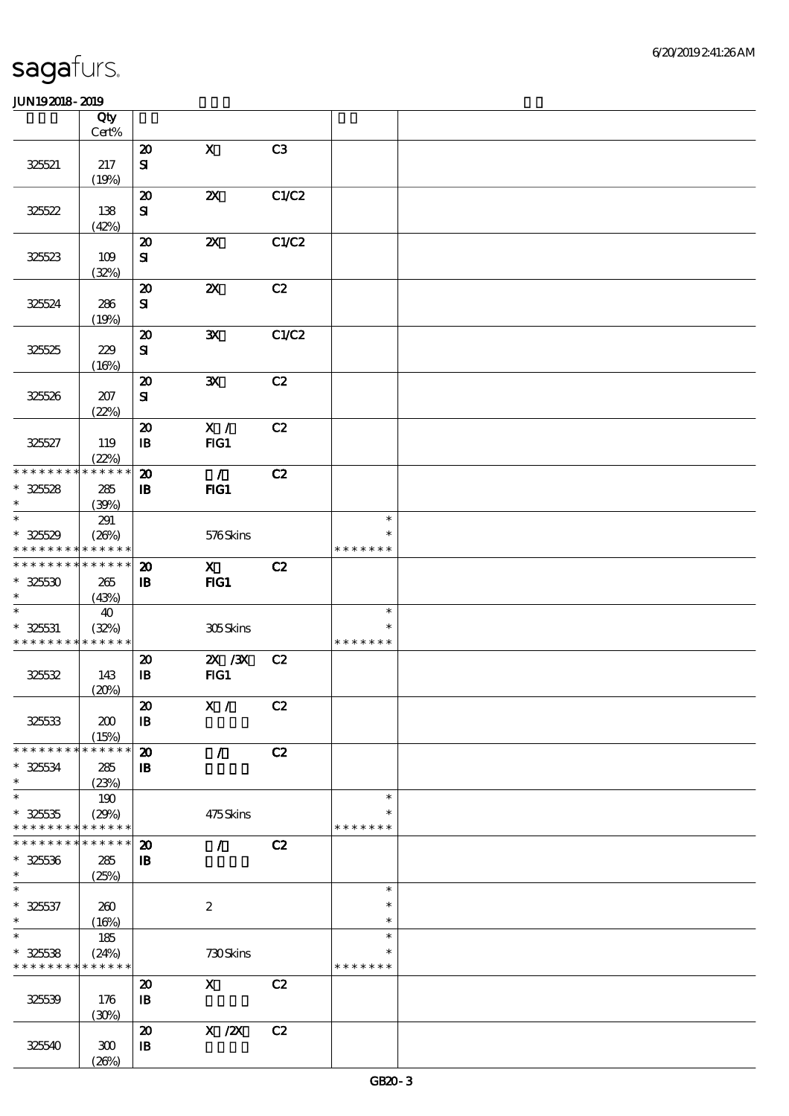|                             | Qty<br>$Cert\%$ |                            |                           |       |               |  |
|-----------------------------|-----------------|----------------------------|---------------------------|-------|---------------|--|
|                             |                 |                            |                           |       |               |  |
|                             |                 | $\boldsymbol{\mathsf{20}}$ | $\mathbf X$               | C3    |               |  |
| 325521                      | 217             | ${\bf S}$                  |                           |       |               |  |
|                             | (19%)           |                            |                           |       |               |  |
|                             |                 | $\boldsymbol{\mathsf{20}}$ | $\boldsymbol{\mathsf{z}}$ | C1/C2 |               |  |
| 325522                      | 138             | ${\bf s}$                  |                           |       |               |  |
|                             | (42%)           |                            |                           |       |               |  |
|                             |                 | $\boldsymbol{\mathbf{z}}$  | $\boldsymbol{\mathsf{z}}$ | C1/C2 |               |  |
| 325523                      | 109             | ${\bf S\!I}$               |                           |       |               |  |
|                             | (32%)           |                            |                           |       |               |  |
|                             |                 | $\boldsymbol{\mathsf{20}}$ | $\boldsymbol{\mathsf{z}}$ | C2    |               |  |
| 325524                      |                 |                            |                           |       |               |  |
|                             | 286             | $\mathbf{S}$               |                           |       |               |  |
|                             | (19%)           |                            |                           |       |               |  |
|                             |                 | $\boldsymbol{\mathsf{20}}$ | ${\bf X}$                 | C1/C2 |               |  |
| 325525                      | 229             | ${\bf s}$                  |                           |       |               |  |
|                             | (16%)           |                            |                           |       |               |  |
|                             |                 | $\boldsymbol{\mathsf{20}}$ | $\mathbf{x}$              | C2    |               |  |
| 325526                      | 207             | $\bf S\!I$                 |                           |       |               |  |
|                             | (22%)           |                            |                           |       |               |  |
|                             |                 | $\boldsymbol{\mathsf{20}}$ | X /                       | C2    |               |  |
| 325527                      | 119             | $\, {\bf B}$               | FG1                       |       |               |  |
|                             | (22%)           |                            |                           |       |               |  |
| * * * * * * * *             | * * * * * *     | $\boldsymbol{\mathsf{20}}$ | $\mathcal{L}$             | C2    |               |  |
| $* 32528$                   | 285             | $\, {\bf I} \! {\bf B} \,$ | $HG1$                     |       |               |  |
| $\ast$                      | (39%)           |                            |                           |       |               |  |
| $\ast$                      | 291             |                            |                           |       | $\ast$        |  |
|                             |                 |                            |                           |       | ∗             |  |
| $* 325529$                  | (20%)           |                            | 576Skins                  |       |               |  |
| * * * * * * * *             | * * * * * *     |                            |                           |       | * * * * * * * |  |
| * * * * * * * * * * * * * * |                 | $\boldsymbol{\mathbf{z}}$  | $\mathbf{x}$              | C2    |               |  |
| $* 325530$                  | 265             | $\, {\bf I} \! {\bf B} \,$ | FG1                       |       |               |  |
| $\ast$                      | (43%)           |                            |                           |       |               |  |
| $\ast$                      | 40              |                            |                           |       | $\ast$        |  |
| $* 325631$                  | (32%)           |                            | 305Skins                  |       | ∗             |  |
| * * * * * * * *             | * * * * * *     |                            |                           |       | * * * * * * * |  |
|                             |                 | $\boldsymbol{\mathsf{20}}$ | $ZX$ / $ZX$               | C2    |               |  |
| 325532                      | 143             | $\, {\bf I} \! {\bf B} \,$ | FG1                       |       |               |  |
|                             | (20%)           |                            |                           |       |               |  |
|                             |                 | $\pmb{\mathcal{Z}}$        | X /                       | C2    |               |  |
| 325533                      | 200             | $\, {\bf B}$               |                           |       |               |  |
|                             | (15%)           |                            |                           |       |               |  |
| * * * * * * * *             | * * * * * *     | $\boldsymbol{\mathsf{20}}$ | $\mathcal{L}$             | C2    |               |  |
| $* 325634$                  | 285             | $\, {\bf B}$               |                           |       |               |  |
| $\ast$                      |                 |                            |                           |       |               |  |
| $\ast$                      | (23%)           |                            |                           |       | $\ast$        |  |
|                             | 190             |                            |                           |       | ∗             |  |
| $* 32535$                   | (29%)           |                            | 475Skins                  |       |               |  |
| * * * * * * * *             | * * * * * *     |                            |                           |       | * * * * * * * |  |
| * * * * * * * *             | * * * * * *     | $\boldsymbol{\mathbf{z}}$  | $\mathcal{L}$             | C2    |               |  |
| $* 325536$                  | 285             | ${\bf I\!B}$               |                           |       |               |  |
| $\ast$                      | (25%)           |                            |                           |       |               |  |
| $\ast$                      |                 |                            |                           |       | $\ast$        |  |
| $* 325537$                  | 260             |                            | $\boldsymbol{2}$          |       | $\ast$        |  |
| $\ast$                      | (16%)           |                            |                           |       | $\ast$        |  |
| $\ast$                      | 185             |                            |                           |       | $\ast$        |  |
| $* 325538$                  | (24%)           |                            | 730Skins                  |       | $\ast$        |  |
| * * * * * * * *             | * * * * * *     |                            |                           |       | * * * * * * * |  |
|                             |                 | $\boldsymbol{\mathsf{20}}$ | $\mathbf{X}$              | C2    |               |  |
| 325539                      | 176             | $\, {\bf I} \! {\bf B} \,$ |                           |       |               |  |
|                             | (30%)           |                            |                           |       |               |  |
|                             |                 | $\boldsymbol{\mathsf{20}}$ | $X$ / $ZX$                | C2    |               |  |
| 325540                      | 300             | $\, {\bf I} \! {\bf B} \,$ |                           |       |               |  |
|                             | (20%)           |                            |                           |       |               |  |
|                             |                 |                            |                           |       |               |  |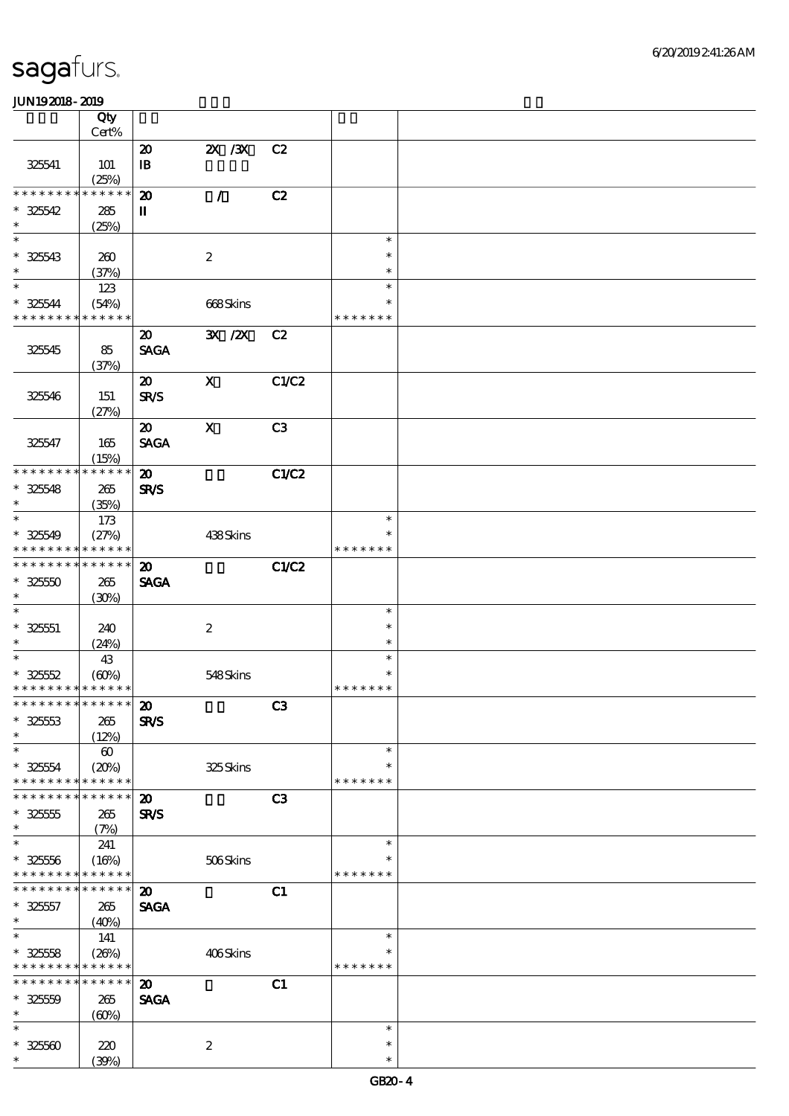|                                           | Qty                        |                             |                           |       |                  |  |
|-------------------------------------------|----------------------------|-----------------------------|---------------------------|-------|------------------|--|
|                                           | Cert%                      |                             |                           |       |                  |  |
|                                           |                            | $\boldsymbol{\mathbf{z}}$   | $X \, X$                  | C2    |                  |  |
| 325541                                    | 101                        | $\mathbf{B}$                |                           |       |                  |  |
| * * * * * * * *                           | (25%)<br>* * * * * *       |                             |                           |       |                  |  |
|                                           |                            | $\boldsymbol{\mathfrak{D}}$ | $\mathcal{L}$             | C2    |                  |  |
| $* 325542$<br>$\ast$                      | 285                        | $\mathbf I$                 |                           |       |                  |  |
| $\ast$                                    | (25%)                      |                             |                           |       | $\ast$           |  |
|                                           |                            |                             |                           |       | $\ast$           |  |
| $* 325543$<br>$\ast$                      | 260                        |                             | $\boldsymbol{2}$          |       | $\ast$           |  |
| $\ast$                                    | (37%)                      |                             |                           |       | $\ast$           |  |
|                                           | 123                        |                             |                           |       | $\ast$           |  |
| $* 325544$<br>* * * * * * * * * * * * * * | (54%)                      |                             | 668Skins                  |       | * * * * * * *    |  |
|                                           |                            |                             |                           |       |                  |  |
|                                           |                            | $\boldsymbol{\mathfrak{D}}$ | 3X / 2X                   | C2    |                  |  |
| 325545                                    | 85                         | <b>SAGA</b>                 |                           |       |                  |  |
|                                           | (37%)                      |                             |                           |       |                  |  |
|                                           |                            | $\boldsymbol{\mathfrak{D}}$ | $\boldsymbol{\mathrm{X}}$ | C1/C2 |                  |  |
| 325546                                    | 151                        | <b>SR/S</b>                 |                           |       |                  |  |
|                                           | (27%)                      |                             |                           |       |                  |  |
|                                           |                            | $\boldsymbol{\mathfrak{D}}$ | $\mathbf X$               | C3    |                  |  |
| 325547                                    | 165                        | <b>SAGA</b>                 |                           |       |                  |  |
| * * * * * * * *                           | (15%)<br>* * * * * *       |                             |                           |       |                  |  |
|                                           |                            | $\boldsymbol{\mathbf{z}}$   |                           | C1/C2 |                  |  |
| $* 325548$<br>$\ast$                      | 265                        | <b>SR/S</b>                 |                           |       |                  |  |
| $\ast$                                    | (35%)                      |                             |                           |       | $\ast$           |  |
|                                           | 173                        |                             |                           |       | $\ast$           |  |
| $* 325549$<br>* * * * * * * *             | (27%)<br>* * * * * *       |                             | 438Skins                  |       | * * * * * * *    |  |
| * * * * * * * * * * * * * *               |                            |                             |                           |       |                  |  |
|                                           |                            | $\boldsymbol{\mathfrak{D}}$ |                           | C1/C2 |                  |  |
| $* 32550$<br>$\ast$                       | 265                        | <b>SAGA</b>                 |                           |       |                  |  |
| $\ast$                                    | (30%)                      |                             |                           |       |                  |  |
|                                           |                            |                             |                           |       | $\ast$<br>$\ast$ |  |
| $* 32551$<br>$\ast$                       | 240                        |                             | $\boldsymbol{2}$          |       | $\ast$           |  |
| $\overline{\ast}$                         | (24%)                      |                             |                           |       | $\ast$           |  |
|                                           | 43                         |                             |                           |       | $\ast$           |  |
| $* 32552$<br>* * * * * * * * * * * * * *  | (60%)                      |                             | 548Skins                  |       | * * * * * * *    |  |
| *************** <b>20</b>                 |                            |                             |                           | C3    |                  |  |
| $* 32553$                                 |                            |                             |                           |       |                  |  |
| $\ast$                                    | 265                        | <b>SR/S</b>                 |                           |       |                  |  |
| $\ast$                                    | (12%)                      |                             |                           |       | $\ast$           |  |
|                                           | $\boldsymbol{\omega}$      |                             |                           |       | $\ast$           |  |
| $* 32554$<br>* * * * * * * *              | (20%)<br>* * * * * *       |                             | 325Skins                  |       | * * * * * * *    |  |
| * * * * * * *                             | * * * * * *                | $\boldsymbol{\mathfrak{D}}$ |                           | C3    |                  |  |
| $* 325555$                                | 265                        | <b>SR/S</b>                 |                           |       |                  |  |
| $\ast$                                    | (7%)                       |                             |                           |       |                  |  |
| $\ast$                                    | 241                        |                             |                           |       | $\ast$           |  |
| $* 325556$                                | (16%)                      |                             | 506Skins                  |       |                  |  |
| * * * * * * * *                           | * * * * * *                |                             |                           |       | * * * * * * *    |  |
| * * * * * * *                             | * * * * * *                | $\boldsymbol{\mathfrak{D}}$ |                           | C1    |                  |  |
| $* 325557$                                | 265                        | <b>SAGA</b>                 |                           |       |                  |  |
| $\ast$                                    | (40%)                      |                             |                           |       |                  |  |
| $\ast$                                    | 141                        |                             |                           |       | $\ast$           |  |
| $* 325558$                                | (20%)                      |                             | 406Skins                  |       | ∗                |  |
| * * * * * * * * <mark>* * * * * *</mark>  |                            |                             |                           |       | * * * * * * *    |  |
| * * * * * * * *                           | $\ast\ast\ast\ast\ast\ast$ | $\boldsymbol{\mathbf{z}}$   |                           | C1    |                  |  |
| $* 32550$                                 | 265                        | <b>SAGA</b>                 |                           |       |                  |  |
| $\ast$                                    | (60%)                      |                             |                           |       |                  |  |
| $\ast$                                    |                            |                             |                           |       | $\ast$           |  |
| $* 32560$                                 | 220                        |                             | $\boldsymbol{2}$          |       | $\ast$           |  |
| $\ast$                                    | (30%)                      |                             |                           |       | $\ast$           |  |
|                                           |                            |                             |                           |       |                  |  |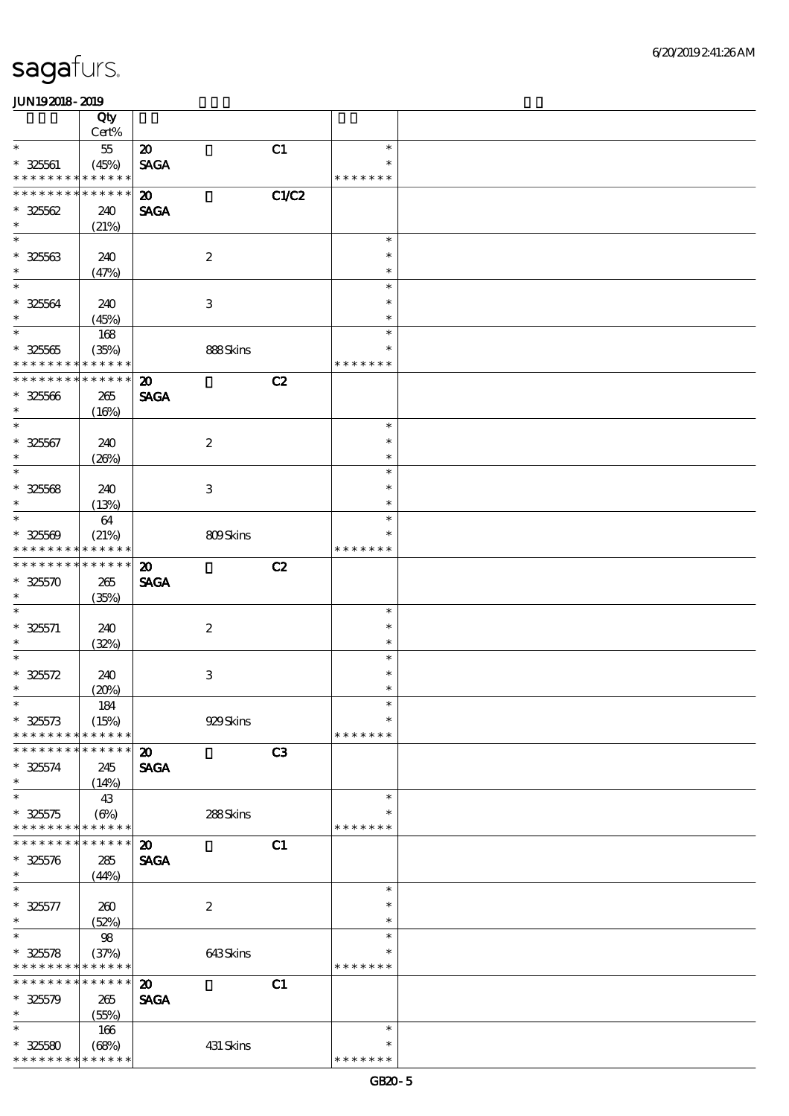|                                           | Qty                  |                                            |                  |       |                         |  |
|-------------------------------------------|----------------------|--------------------------------------------|------------------|-------|-------------------------|--|
|                                           | Cert%                |                                            |                  |       |                         |  |
| $\ast$                                    | $5\!$                | $\boldsymbol{\mathfrak{D}}$                |                  | C1    | $\ast$                  |  |
| $* 32561$<br>* * * * * * * *              | (45%)<br>* * * * * * | <b>SAGA</b>                                |                  |       | $\ast$<br>* * * * * * * |  |
| * * * * * * * *                           | * * * * * *          |                                            |                  |       |                         |  |
| $* 32562$                                 | 240                  | $\boldsymbol{\mathfrak{D}}$<br><b>SAGA</b> |                  | C1/C2 |                         |  |
| $\ast$                                    | (21%)                |                                            |                  |       |                         |  |
| $\ast$                                    |                      |                                            |                  |       | $\ast$                  |  |
| $* 32563$                                 | 240                  |                                            | $\boldsymbol{2}$ |       | $\ast$                  |  |
| $\ast$                                    | (47%)                |                                            |                  |       | $\ast$                  |  |
| $\ast$                                    |                      |                                            |                  |       | $\ast$                  |  |
| $* 32564$                                 | 240                  |                                            | 3                |       | $\ast$                  |  |
| $\ast$                                    | (45%)                |                                            |                  |       | $\ast$                  |  |
| $\ast$                                    | 168                  |                                            |                  |       | $\ast$                  |  |
| $* 32565$                                 | (35%)                |                                            | 888Skins         |       | $\ast$                  |  |
| * * * * * * * *                           | * * * * * *          |                                            |                  |       | * * * * * * *           |  |
| * * * * * * * *                           | * * * * * *          | $\boldsymbol{\mathbf{z}}$                  |                  | C2    |                         |  |
| $* 325566$                                | 265                  | <b>SAGA</b>                                |                  |       |                         |  |
| $\ast$                                    | (16%)                |                                            |                  |       |                         |  |
| $\ast$                                    |                      |                                            |                  |       | $\ast$                  |  |
| $* 32567$                                 | 240                  |                                            | $\boldsymbol{2}$ |       | $\ast$                  |  |
| $\ast$                                    | (20%)                |                                            |                  |       | $\ast$                  |  |
| $\ast$                                    |                      |                                            |                  |       | $\ast$                  |  |
| $* 32568$                                 | 240                  |                                            | 3                |       | $\ast$                  |  |
| $\ast$                                    | (13%)                |                                            |                  |       | $\ast$                  |  |
| $\ast$                                    | 64                   |                                            |                  |       | $\ast$                  |  |
| $* 32560$                                 | (21%)                |                                            | 809Skins         |       | *                       |  |
| * * * * * * * * * * * * * *               |                      |                                            |                  |       | * * * * * * *           |  |
| * * * * * * * *                           | * * * * * *          | $\boldsymbol{\mathfrak{D}}$                |                  | C2    |                         |  |
| $* 325570$                                | 265                  | <b>SAGA</b>                                |                  |       |                         |  |
| $\ast$<br>$\ast$                          | (35%)                |                                            |                  |       |                         |  |
|                                           |                      |                                            |                  |       | $\ast$<br>$\ast$        |  |
| $* 325571$<br>$\ast$                      | 240                  |                                            | $\boldsymbol{2}$ |       | $\ast$                  |  |
| $\ast$                                    | (32%)                |                                            |                  |       | $\ast$                  |  |
| $* 325572$                                | 240                  |                                            | $\,3$            |       | $\ast$                  |  |
| $\ast$                                    | (20%)                |                                            |                  |       | $\ast$                  |  |
| $\ast$                                    | 184                  |                                            |                  |       | $\ast$                  |  |
| $* 325573$                                | (15%)                |                                            | 929Skins         |       | $\ast$                  |  |
| * * * * * * * *                           | * * * * * *          |                                            |                  |       | * * * * * * *           |  |
| * * * * * * *                             | * * * * * *          | $\boldsymbol{\mathbf{z}}$                  |                  | C3    |                         |  |
| $* 325574$                                | 245                  | <b>SAGA</b>                                |                  |       |                         |  |
| $\ast$                                    | (14%)                |                                            |                  |       |                         |  |
| $\ast$                                    | 43                   |                                            |                  |       | $\ast$                  |  |
| $* 325575$                                | (6%)                 |                                            | 288Skins         |       | ∗                       |  |
| * * * * * * * * * * * * * *               |                      |                                            |                  |       | * * * * * * *           |  |
| * * * * * * *                             | * * * * * *          | $\boldsymbol{\mathbf{z}}$                  |                  | C1    |                         |  |
| $* 325576$                                | 285                  | <b>SAGA</b>                                |                  |       |                         |  |
| $\ast$                                    | (44%)                |                                            |                  |       |                         |  |
| $\ast$                                    |                      |                                            |                  |       | $\ast$                  |  |
| $* 325577$                                | 260                  |                                            | $\boldsymbol{2}$ |       | $\ast$                  |  |
| $\ast$<br>$\ast$                          | (52%)                |                                            |                  |       | $\ast$<br>$\ast$        |  |
|                                           | 98                   |                                            |                  |       | $\ast$                  |  |
| $* 325578$<br>* * * * * * * * * * * * * * | (37%)                |                                            | 643Skins         |       | * * * * * * *           |  |
| * * * * * * *                             | * * * * * *          | $\boldsymbol{\mathbf{z}}$                  |                  | C1    |                         |  |
| $* 325579$                                | 265                  | <b>SAGA</b>                                |                  |       |                         |  |
| $\ast$                                    | (55%)                |                                            |                  |       |                         |  |
| $\ast$                                    | 166                  |                                            |                  |       | $\ast$                  |  |
| $* 325580$                                | (68%)                |                                            | 431 Skins        |       | $\ast$                  |  |
| * * * * * * * *                           | * * * * * *          |                                            |                  |       | * * * * * * *           |  |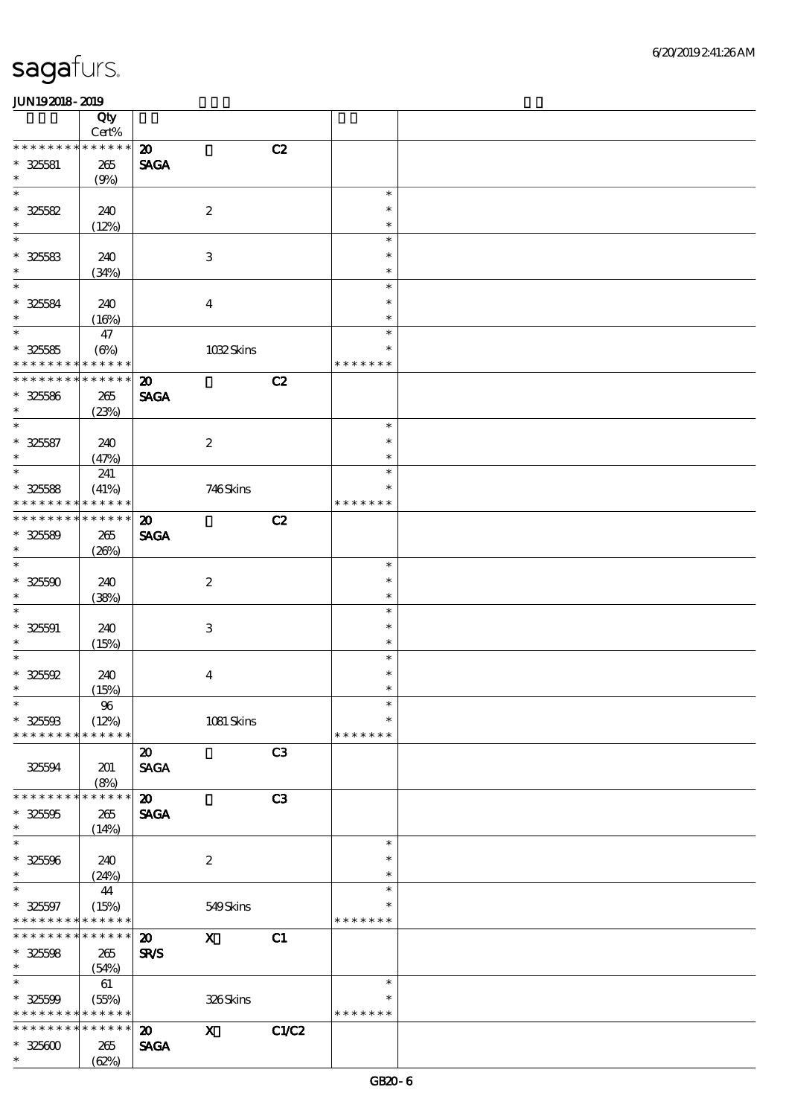|                                            | Qty<br>$Cert\%$ |                             |                           |                |               |  |
|--------------------------------------------|-----------------|-----------------------------|---------------------------|----------------|---------------|--|
| * * * * * * * *                            | * * * * * *     | $\boldsymbol{\mathfrak{D}}$ |                           | C2             |               |  |
|                                            |                 |                             |                           |                |               |  |
| $* 325581$<br>$\ast$                       | $265\,$         | <b>SAGA</b>                 |                           |                |               |  |
| $\ast$                                     | (9%)            |                             |                           |                | $\ast$        |  |
|                                            |                 |                             |                           |                |               |  |
| $* 325582$                                 | 240             |                             | $\boldsymbol{2}$          |                | $\ast$        |  |
| $\ast$                                     | (12%)           |                             |                           |                | $\ast$        |  |
| $\ast$                                     |                 |                             |                           |                | $\ast$        |  |
| $* 325583$                                 | 240             |                             | $\,3$                     |                | $\ast$        |  |
| $\ast$                                     | (34%)           |                             |                           |                | $\ast$        |  |
| $\ast$                                     |                 |                             |                           |                | $\ast$        |  |
| $* 325584$                                 | 240             |                             | $\boldsymbol{4}$          |                | $\ast$        |  |
| $\ast$                                     | (16%)           |                             |                           |                | $\ast$        |  |
| $\overline{\ast}$                          | 47              |                             |                           |                | $\ast$        |  |
| $* 325585$                                 | $(\Theta)$      |                             | 1032Skins                 |                | $\ast$        |  |
| * * * * * * * *                            | * * * * * *     |                             |                           |                | * * * * * * * |  |
| * * * * * * *                              | * * * * * *     | $\boldsymbol{\mathbf{z}}$   |                           | C2             |               |  |
| $* 325586$                                 |                 | <b>SAGA</b>                 |                           |                |               |  |
| $\ast$                                     | $265\,$         |                             |                           |                |               |  |
| $\ast$                                     | (23%)           |                             |                           |                |               |  |
|                                            |                 |                             |                           |                | $\ast$        |  |
| $* 325587$                                 | 240             |                             | $\boldsymbol{2}$          |                | $\ast$        |  |
| $\ast$                                     | (47%)           |                             |                           |                | $\ast$        |  |
| $\overline{\ast}$                          | 241             |                             |                           |                | $\ast$        |  |
| $* 325588$                                 | (41%)           |                             | 746Skins                  |                | $\ast$        |  |
| * * * * * * *                              | * * * * * *     |                             |                           |                | * * * * * * * |  |
| * * * * * * *                              | * * * * * *     | $\boldsymbol{\mathfrak{D}}$ |                           | C2             |               |  |
| $* 325589$                                 | 265             | <b>SAGA</b>                 |                           |                |               |  |
| $\ast$                                     | (20%)           |                             |                           |                |               |  |
| $\ast$                                     |                 |                             |                           |                | $\ast$        |  |
| $* 32500$                                  | 240             |                             | $\boldsymbol{2}$          |                | $\ast$        |  |
| $\ast$                                     | (38%)           |                             |                           |                | $\ast$        |  |
| $\ast$                                     |                 |                             |                           |                | $\ast$        |  |
|                                            |                 |                             |                           |                |               |  |
| $* 32501$                                  | 240             |                             | $\,3$                     |                | $\ast$        |  |
| $\ast$                                     | (15%)           |                             |                           |                | $\ast$        |  |
| $\ast$                                     |                 |                             |                           |                | $\ast$        |  |
| $* 325592$                                 | 240             |                             | $\boldsymbol{4}$          |                | $\ast$        |  |
| $\ast$                                     | (15%)           |                             |                           |                | $\ast$        |  |
| $\ast$                                     | $9\!6$          |                             |                           |                | $\ast$        |  |
| $* 325003$                                 | (12%)           |                             | 1081 Skins                |                | $\ast$        |  |
| * * * * * * * *                            | * * * * * *     |                             |                           |                | * * * * * * * |  |
|                                            |                 | $\boldsymbol{\mathfrak{D}}$ |                           | C <sub>3</sub> |               |  |
| 325594                                     | 201             | <b>SAGA</b>                 |                           |                |               |  |
|                                            | (8%)            |                             |                           |                |               |  |
| * * * * * * * *                            | * * * * * *     | $\boldsymbol{\mathfrak{D}}$ |                           | C3             |               |  |
| $* 32500$                                  | 265             | <b>SAGA</b>                 |                           |                |               |  |
| $\ast$                                     | (14%)           |                             |                           |                |               |  |
| $\ast$                                     |                 |                             |                           |                | $\ast$        |  |
| $* 325506$                                 |                 |                             |                           |                | $\ast$        |  |
| $\ast$                                     | 240             |                             | $\boldsymbol{2}$          |                | $\ast$        |  |
| $\ast$                                     | (24%)           |                             |                           |                |               |  |
|                                            | 44              |                             |                           |                | $\ast$        |  |
| $* 325597$                                 | (15%)           |                             | 549Skins                  |                | $\ast$        |  |
| * * * * * * * * <mark>* * * * * *</mark> * |                 |                             |                           |                | * * * * * * * |  |
| * * * * * * * * <mark>* * * * * * *</mark> |                 | $\boldsymbol{\mathfrak{D}}$ | $\boldsymbol{\mathrm{X}}$ | C1             |               |  |
| $* 32508$                                  | 265             | SR/S                        |                           |                |               |  |
| $\ast$                                     | (54%)           |                             |                           |                |               |  |
| $\ast$                                     | 61              |                             |                           |                | $\ast$        |  |
| $* 325599$                                 | (55%)           |                             | 326Skins                  |                | $\ast$        |  |
| * * * * * * * *                            | * * * * * *     |                             |                           |                | * * * * * * * |  |
| * * * * * * * *                            | * * * * * *     | $\boldsymbol{\mathfrak{D}}$ | $\mathbf{x}$              | C1/C2          |               |  |
| $* 325600$                                 | 265             | <b>SAGA</b>                 |                           |                |               |  |
| $\ast$                                     | (62%)           |                             |                           |                |               |  |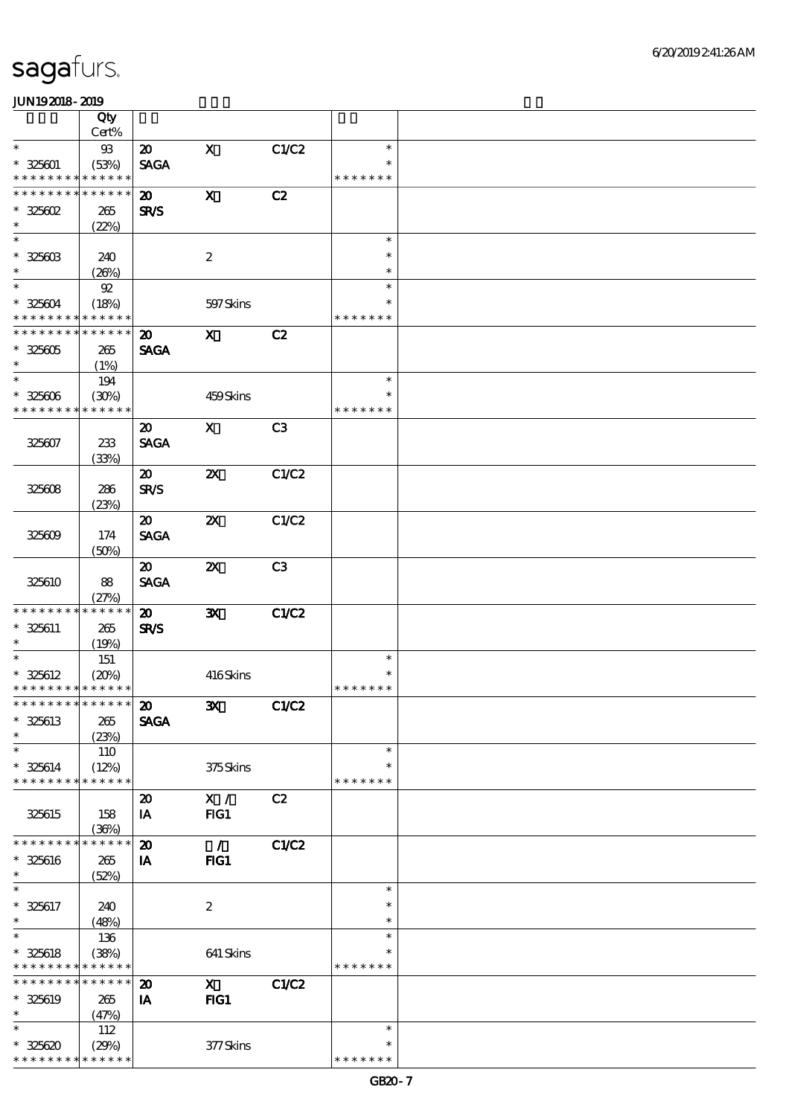|                               | Qty                  |                             |                           |       |                         |  |
|-------------------------------|----------------------|-----------------------------|---------------------------|-------|-------------------------|--|
|                               | Cert%                |                             |                           |       |                         |  |
| $\ast$                        | 93                   | $\boldsymbol{\mathfrak{D}}$ | $\mathbf x$               | C1/C2 | $\ast$                  |  |
| $* 325601$                    | (53%)                | <b>SAGA</b>                 |                           |       | $\ast$                  |  |
| * * * * * * * *               | * * * * * *          |                             |                           |       | * * * * * * *           |  |
| * * * * * * * *               | * * * * * *          | $\boldsymbol{\mathfrak{D}}$ | $\boldsymbol{\mathrm{X}}$ | C2    |                         |  |
| $* 325602$                    | 265                  | <b>SR/S</b>                 |                           |       |                         |  |
| $\ast$                        | (22%)                |                             |                           |       |                         |  |
| $\ast$                        |                      |                             |                           |       | $\ast$                  |  |
| $* 32560B$<br>$\ast$          | 240                  |                             | $\boldsymbol{2}$          |       | $\ast$                  |  |
| $\ast$                        | (20%)                |                             |                           |       | $\ast$                  |  |
|                               | $92$                 |                             |                           |       | $\ast$                  |  |
| $* 325604$<br>* * * * * * * * | (18%)<br>* * * * * * |                             | 597 Skins                 |       | $\ast$<br>* * * * * * * |  |
| * * * * * * * *               | * * * * * *          |                             |                           |       |                         |  |
|                               |                      | $\boldsymbol{\mathfrak{D}}$ | $\mathbf{x}$              | C2    |                         |  |
| $* 325605$                    | 265                  | <b>SAGA</b>                 |                           |       |                         |  |
| $\ast$<br>$\ast$              | (1%)                 |                             |                           |       | $\ast$                  |  |
|                               | 194                  |                             |                           |       | $\ast$                  |  |
| $* 325606$<br>* * * * * * * * | (30%)<br>* * * * * * |                             | 459Skins                  |       | * * * * * * *           |  |
|                               |                      |                             |                           |       |                         |  |
|                               |                      | $\boldsymbol{\mathfrak{D}}$ | $\mathbf{x}$              | C3    |                         |  |
| 325607                        | 233                  | <b>SAGA</b>                 |                           |       |                         |  |
|                               | (33%)                |                             |                           | C1/C2 |                         |  |
|                               |                      | $\boldsymbol{\mathfrak{D}}$ | $\boldsymbol{\mathsf{X}}$ |       |                         |  |
| 325608                        | 286                  | <b>SR/S</b>                 |                           |       |                         |  |
|                               | (23%)                | $\boldsymbol{\mathfrak{D}}$ | $\boldsymbol{\alpha}$     | C1/C2 |                         |  |
| 325609                        | 174                  | <b>SAGA</b>                 |                           |       |                         |  |
|                               |                      |                             |                           |       |                         |  |
|                               | (50%)                | $\boldsymbol{\mathfrak{D}}$ | $\boldsymbol{\mathsf{z}}$ | C3    |                         |  |
| 325610                        | 88                   | <b>SAGA</b>                 |                           |       |                         |  |
|                               | (27%)                |                             |                           |       |                         |  |
| * * * * * * * *               | * * * * * *          | $\boldsymbol{\mathfrak{D}}$ | ${\bf X}$                 | C1/C2 |                         |  |
| $* 325611$                    | 265                  | <b>SR/S</b>                 |                           |       |                         |  |
| $\ast$                        | (19%)                |                             |                           |       |                         |  |
| $\ast$                        | 151                  |                             |                           |       | $\ast$                  |  |
| $* 325612$                    | (20%)                |                             | 416Skins                  |       | $\ast$                  |  |
| * * * * * * * * * * * * * *   |                      |                             |                           |       | * * * * * * *           |  |
| *************** <b>20</b>     |                      |                             | $\mathbf{x}$              | C1/C2 |                         |  |
| $* 325613$                    | 265                  | <b>SAGA</b>                 |                           |       |                         |  |
| $\ast$                        | (23%)                |                             |                           |       |                         |  |
| $\ast$                        | 110                  |                             |                           |       | $\ast$                  |  |
| $* 325614$                    | (12%)                |                             | 375Skins                  |       | $\ast$                  |  |
| * * * * * * * *               | * * * * * *          |                             |                           |       | * * * * * * *           |  |
|                               |                      | $\boldsymbol{\mathbf{z}}$   | X /                       | C2    |                         |  |
| 325615                        | 158                  | IA                          | FG1                       |       |                         |  |
|                               | (36%)                |                             |                           |       |                         |  |
| * * * * * * *                 | * * * * * *          | $\boldsymbol{\mathfrak{D}}$ | $\mathcal{L}$             | C1/C2 |                         |  |
| $* 325616$                    | 265                  | IA                          | FIG1                      |       |                         |  |
| $\ast$                        | (52%)                |                             |                           |       |                         |  |
| $\ast$                        |                      |                             |                           |       | $\ast$                  |  |
| $* 325617$                    | 240                  |                             | $\boldsymbol{2}$          |       | $\ast$                  |  |
| $\ast$                        | (48%)                |                             |                           |       | $\ast$                  |  |
| $\ast$                        | 136                  |                             |                           |       | $\ast$                  |  |
| $* 325618$                    | (38%)                |                             | 641 Skins                 |       |                         |  |
| * * * * * * * *               | * * * * * *          |                             |                           |       | * * * * * * *           |  |
| * * * * * * *                 | * * * * * *          | $\boldsymbol{\mathbf{z}}$   | $\mathbf{x}$              | C1/C2 |                         |  |
| * 325619                      | 265                  | IA                          | FG1                       |       |                         |  |
| $\ast$                        | (47%)                |                             |                           |       |                         |  |
| $\ast$                        | 112                  |                             |                           |       | $\ast$                  |  |
| $* 325620$                    | (29%)                |                             | 377Skins                  |       | ∗                       |  |
| * * * * * * *                 | * * * * * *          |                             |                           |       | * * * * * * *           |  |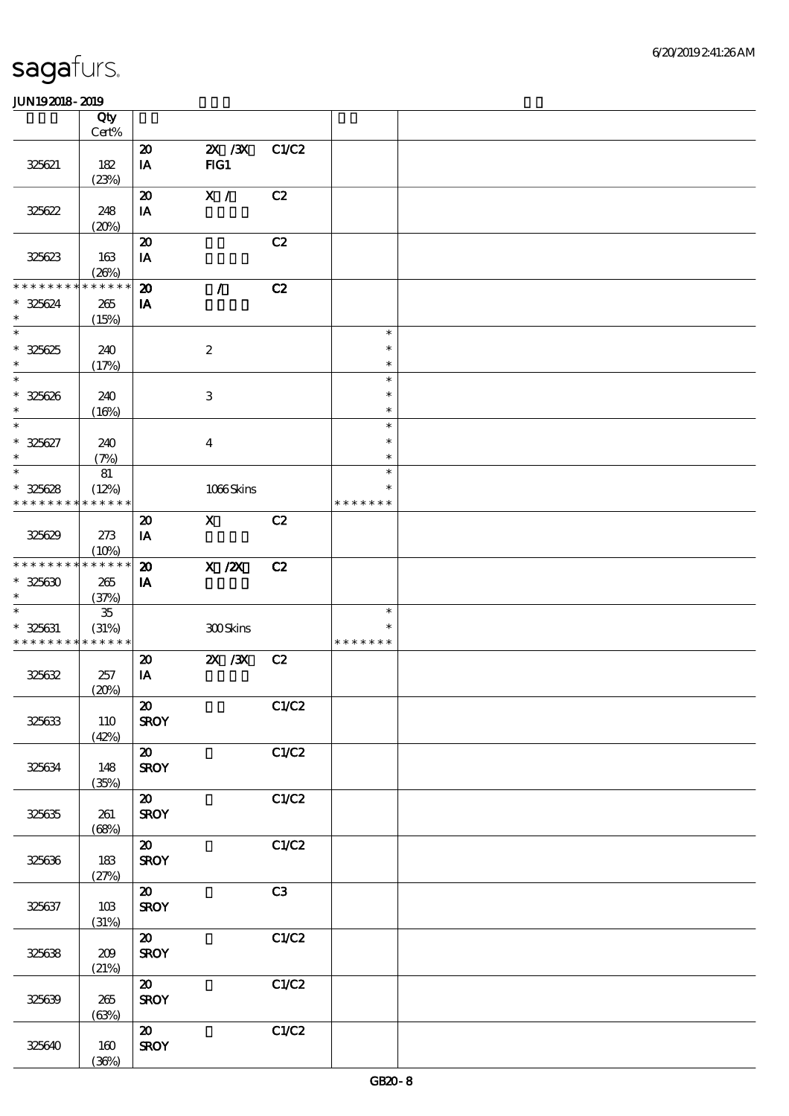|                             | Qty<br>$Cert\%$  |                                                        |                           |       |                  |  |
|-----------------------------|------------------|--------------------------------------------------------|---------------------------|-------|------------------|--|
|                             |                  | $\boldsymbol{\mathbf{z}}$                              | $X \, X$                  | C1/C2 |                  |  |
| 325621                      | 182<br>(23%)     | $\mathbf{I} \mathbf{A}$                                | FG1                       |       |                  |  |
|                             |                  | $\boldsymbol{\mathfrak{D}}$                            | $\overline{\mathbf{x}}$ / | C2    |                  |  |
| 325622                      | 248<br>(20%)     | $\mathbf{IA}$                                          |                           |       |                  |  |
|                             |                  | $\boldsymbol{\mathbf{z}}$                              |                           | C2    |                  |  |
| 325623                      | 163<br>(20%)     | IA                                                     |                           |       |                  |  |
| * * * * * * * * * * * * * * |                  | $\boldsymbol{\mathbf{z}}$                              | $\mathcal{L}$             | C2    |                  |  |
| $* 325624$<br>$\ast$        | 265<br>(15%)     | IA                                                     |                           |       |                  |  |
| $\ast$                      |                  |                                                        |                           |       | $\ast$           |  |
| $* 325625$<br>$\ast$        | 240<br>(17%)     |                                                        | $\boldsymbol{2}$          |       | $\ast$<br>$\ast$ |  |
| $\ast$                      |                  |                                                        |                           |       | $\ast$           |  |
| $* 325626$<br>$\ast$        | 240<br>(16%)     |                                                        | 3                         |       | $\ast$<br>$\ast$ |  |
| $\ast$                      |                  |                                                        |                           |       | $\ast$           |  |
| $* 325627$<br>$\ast$        | 240<br>(7%)      |                                                        | $\overline{\mathbf{4}}$   |       | $\ast$<br>$\ast$ |  |
| $\ast$                      | 81               |                                                        |                           |       | $\ast$           |  |
| $* 325628$                  | (12%)            |                                                        | 1066Skins                 |       | $\ast$           |  |
| * * * * * * * *             | * * * * * *      |                                                        |                           |       | * * * * * * *    |  |
|                             |                  | $\boldsymbol{\mathfrak{D}}$                            | $\mathbf X$               | C2    |                  |  |
| 325629                      | 273<br>(10%)     | IA                                                     |                           |       |                  |  |
| * * * * * * * * * * * * * * |                  | $\boldsymbol{\mathfrak{D}}$                            | X / ZX                    | C2    |                  |  |
| $* 325630$<br>$\ast$        | 265<br>(37%)     | IA                                                     |                           |       |                  |  |
| $\ast$                      | $35\,$           |                                                        |                           |       | $\ast$           |  |
| $* 325631$                  | (31%)            |                                                        | 300Skins                  |       | $\ast$           |  |
| * * * * * * * * * * * * * * |                  |                                                        |                           |       | * * * * * * *    |  |
| 325632                      | 257              | $\boldsymbol{\mathfrak{D}}$<br>$\mathbf{I} \mathbf{A}$ | $X \, X$                  | C2    |                  |  |
|                             | (20%)            |                                                        |                           |       |                  |  |
|                             |                  | $\boldsymbol{\omega}$                                  |                           | C1/C2 |                  |  |
| 325633                      | 110<br>(42%)     | <b>SROY</b>                                            |                           |       |                  |  |
|                             |                  | $\boldsymbol{\mathfrak{D}}$                            |                           | C1/C2 |                  |  |
| 325634                      | 148              | <b>SROY</b>                                            |                           |       |                  |  |
|                             | (35%)            |                                                        |                           | C1/C2 |                  |  |
| 325635                      | 261              | $\boldsymbol{\mathfrak{D}}$<br><b>SROY</b>             |                           |       |                  |  |
|                             | (68%)            |                                                        |                           |       |                  |  |
|                             |                  | $\boldsymbol{\mathfrak{D}}$                            |                           | C1/C2 |                  |  |
| 325636                      | 183<br>(27%)     | <b>SROY</b>                                            |                           |       |                  |  |
|                             |                  | $\boldsymbol{\mathfrak{D}}$                            |                           | C3    |                  |  |
| 325637                      | $10B$            | <b>SROY</b>                                            |                           |       |                  |  |
|                             | (31%)            | $\boldsymbol{\omega}$                                  |                           | C1/C2 |                  |  |
| 325638                      | $209$            | <b>SROY</b>                                            |                           |       |                  |  |
|                             | (21%)            |                                                        |                           |       |                  |  |
|                             |                  | $\boldsymbol{\omega}$                                  |                           | C1/C2 |                  |  |
| 325639                      | $265\,$<br>(63%) | <b>SROY</b>                                            |                           |       |                  |  |
|                             |                  | $\boldsymbol{\omega}$                                  |                           | C1/C2 |                  |  |
| 325640                      | 160              | <b>SROY</b>                                            |                           |       |                  |  |
|                             | (36%)            |                                                        |                           |       |                  |  |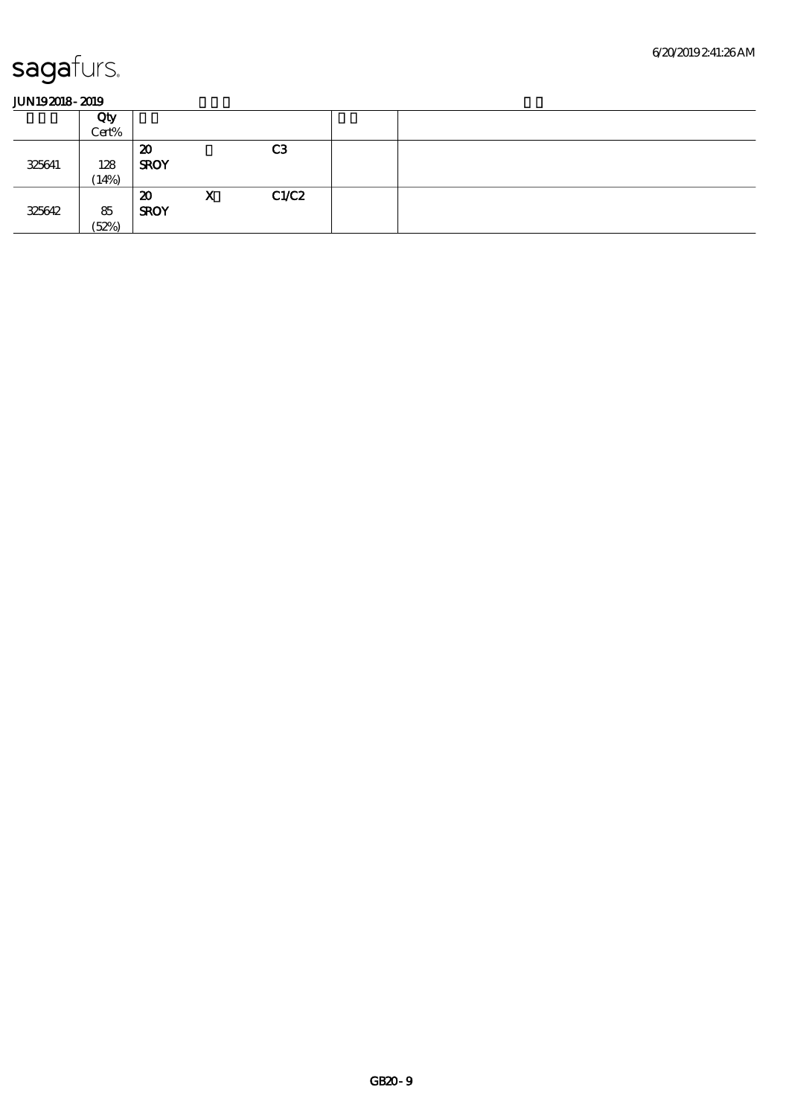|        | Qty<br>Cert% |                                            |   |                |  |  |  |  |  |
|--------|--------------|--------------------------------------------|---|----------------|--|--|--|--|--|
| 325641 | 128<br>14%   | 20<br><b>SROY</b>                          |   | C <sub>3</sub> |  |  |  |  |  |
| 325642 | 85<br>(52%)  | $\boldsymbol{\mathfrak{D}}$<br><b>SROY</b> | X | C1/C2          |  |  |  |  |  |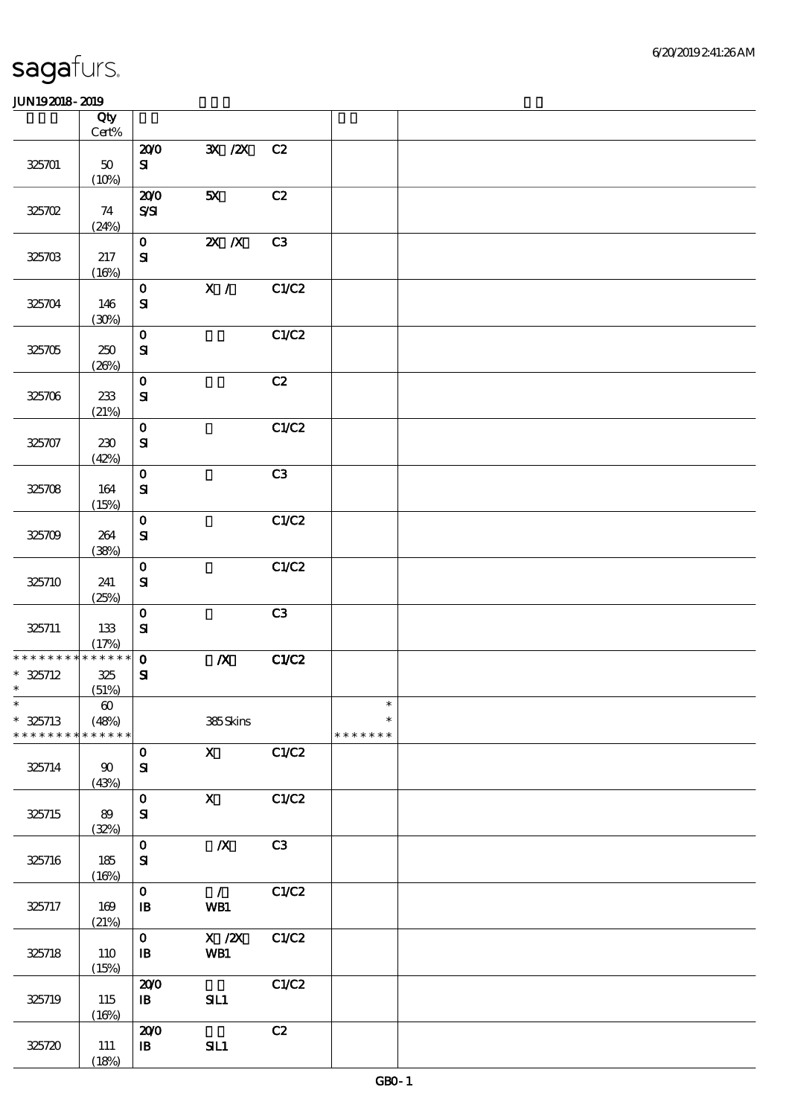|                                                     | Qty<br>Cert%                                  |                              |                                              |                |                                   |  |
|-----------------------------------------------------|-----------------------------------------------|------------------------------|----------------------------------------------|----------------|-----------------------------------|--|
| 325701                                              | $50\,$<br>(10%)                               | 200<br>${\bf s}$             | 3X / 2X                                      | C2             |                                   |  |
| 325702                                              | 74<br>(24%)                                   | 200<br>$S\!S\!I$             | 5X                                           | C2             |                                   |  |
| 325703                                              | 217<br>(16%)                                  | $\mathbf{O}$<br>${\bf S\!I}$ | $X$ $N$                                      | C <sub>3</sub> |                                   |  |
| 325704                                              | 146<br>(30%)                                  | $\mathbf 0$<br>$\mathbf{S}$  | X /                                          | C1/C2          |                                   |  |
| 325705                                              | 250<br>(20%)                                  | $\mathbf 0$<br>$\mathbf{S}$  |                                              | C1/C2          |                                   |  |
| 325706                                              | 233<br>(21%)                                  | $\mathbf 0$<br>${\bf s}$     |                                              | C2             |                                   |  |
| 325707                                              | 230<br>(42%)                                  | $\mathbf 0$<br>${\bf S}$     |                                              | C1/C2          |                                   |  |
| 325708                                              | 164<br>(15%)                                  | $\mathbf 0$<br>$\mathbf{S}$  |                                              | C3             |                                   |  |
| 325709                                              | 264<br>(38%)                                  | $\mathbf 0$<br>${\bf s}$     |                                              | C1/C2          |                                   |  |
| 325710                                              | 241<br>(25%)                                  | $\mathbf O$<br>$\mathbf{S}$  |                                              | C1/C2          |                                   |  |
| 325711                                              | 133<br>(17%)                                  | $\mathbf 0$<br>$\mathbf{S}$  |                                              | C3             |                                   |  |
| * * * * * * * * * * * * * *<br>$* 325712$<br>$\ast$ | 325<br>(51%)                                  | $\mathbf{o}$<br>$\mathbf{S}$ | $\boldsymbol{X}$                             | C1/C2          |                                   |  |
| $\ast$<br>$* 325713$<br>* * * * * * * *             | $\boldsymbol{\omega}$<br>(48%)<br>* * * * * * |                              | 385Skins                                     |                | $\ast$<br>$\ast$<br>* * * * * * * |  |
| 325714                                              | 90<br>(43%)                                   | $\mathbf 0$<br>${\bf S\!I}$  | $\mathbf X$                                  | C1/C2          |                                   |  |
| 325715                                              | 89<br>(32%)                                   | $\mathbf O$<br>$\mathbf{S}$  | $\mathbf{x}$                                 | C1/C2          |                                   |  |
| 325716                                              | 185<br>(16%)                                  | $\mathbf 0$<br>${\bf s}$     | $\boldsymbol{X}$                             | C3             |                                   |  |
| 325717                                              | 169<br>(21%)                                  | $\mathbf 0$<br>${\bf I\!B}$  | $\overline{1}$<br>WB1                        | C1/C2          |                                   |  |
| 325718                                              | 110<br>(15%)                                  | $\mathbf{O}$<br>$\, {\bf B}$ | $\boldsymbol{\mathrm{X}}$ / <b>ZX</b><br>WB1 | C1/C2          |                                   |  |
| 325719                                              | 115<br>(16%)                                  | 200<br>$\mathbf{B}$          | SL1                                          | C1/C2          |                                   |  |
| 325720                                              | 111<br>(18%)                                  | 200<br>$\mathbf{B}$          | SL1                                          | C2             |                                   |  |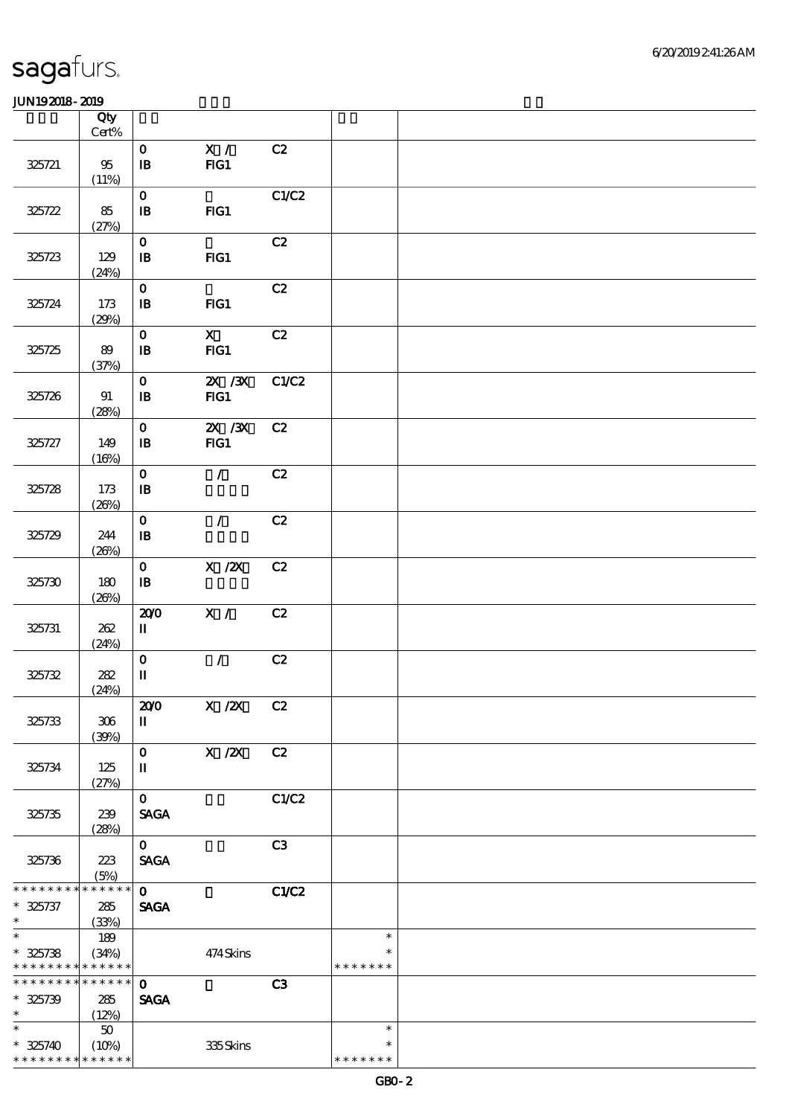|                                                                           | Qty                   |                                           |                        |       |               |  |
|---------------------------------------------------------------------------|-----------------------|-------------------------------------------|------------------------|-------|---------------|--|
|                                                                           | $\mbox{Cert}\%$       |                                           |                        |       |               |  |
| 325721                                                                    | 95<br>(11%)           | $\mathbf 0$<br>$\, {\bf I} \! {\bf B} \,$ | $\mathbf{X}$ /<br>FG1  | C2    |               |  |
| 325722                                                                    | 85                    | $\mathbf 0$<br>$\, {\bf I} \! {\bf B} \,$ | $HG1$                  | C1/C2 |               |  |
| 325723                                                                    | (27%)<br>129<br>(24%) | $\mathbf 0$<br>$\mathbf{B}$               | FG1                    | C2    |               |  |
| 325724                                                                    | 173<br>(29%)          | $\mathbf 0$<br>$\mathbf{B}$               | FG1                    | C2    |               |  |
| 325725                                                                    | 89<br>(37%)           | $\mathbf 0$<br>$\mathbf{B}$               | $\mathbf{X}$<br>FG1    | C2    |               |  |
| 325726                                                                    | 91<br>(28%)           | $\mathbf 0$<br>$\mathbf{B}$               | $\chi$ / $\chi$<br>FG1 | C1/C2 |               |  |
| 325727                                                                    | 149<br>(16%)          | $\mathbf{o}$<br>$\mathbf{B}$              | $X \, X$<br>FG1        | C2    |               |  |
| 325728                                                                    | 173<br>(20%)          | $\mathbf 0$<br>$\, {\bf I} \! {\bf B} \,$ | $\mathcal{L}$          | C2    |               |  |
| 325729                                                                    | 244<br>(20%)          | $\mathbf 0$<br>$\mathbf{B}$               | $\mathcal{L}$          | C2    |               |  |
| 325730                                                                    | 180<br>(20%)          | $\mathbf 0$<br>$\mathbf{B}$               | $X$ / $ZX$             | C2    |               |  |
| 325731                                                                    | 262<br>(24%)          | 200<br>$\mathbf I$                        | X /                    | C2    |               |  |
| 325732                                                                    | 282<br>(24%)          | $\mathbf 0$<br>$\mathbf I$                | $\mathcal{L}$          | C2    |               |  |
| 325733                                                                    | 306<br>(30%)          | 200<br>$\rm I\hspace{-.1em}I$             | X / ZX C2              |       |               |  |
| 325734                                                                    | 125<br>(27%)          | $\mathbf 0$<br>$\mathbf u$                | X / ZX                 | C2    |               |  |
| 325735                                                                    | 239<br>(28%)          | $\mathbf 0$<br><b>SAGA</b>                |                        | C1/C2 |               |  |
| 325736                                                                    | 223<br>(5%)           | $\mathbf{o}$<br><b>SAGA</b>               |                        | C3    |               |  |
| * * * * * * * *                                                           | $******$              | $\mathbf 0$                               |                        | C1/C2 |               |  |
| $* 325737$<br>$\ast$                                                      | 285<br>(33%)          | <b>SAGA</b>                               |                        |       |               |  |
| $\overline{\ast}$                                                         | 189                   |                                           |                        |       | $\ast$        |  |
| $* 325738$                                                                | (34%)                 |                                           | 474Skins               |       | $\ast$        |  |
| * * * * * * * * <mark>* * * * * *</mark> *<br>* * * * * * * * * * * * * * |                       |                                           |                        |       | * * * * * * * |  |
| $* 325739$                                                                | 285                   | $\mathbf 0$<br><b>SAGA</b>                |                        | C3    |               |  |
| $\ast$                                                                    | (12%)                 |                                           |                        |       |               |  |
| $\ast$                                                                    | $50\,$                |                                           |                        |       | $\ast$        |  |
| $* 325740$                                                                | (10%)                 |                                           | 335Skins               |       | $\ast$        |  |
| * * * * * * * * * * * * * *                                               |                       |                                           |                        |       | * * * * * * * |  |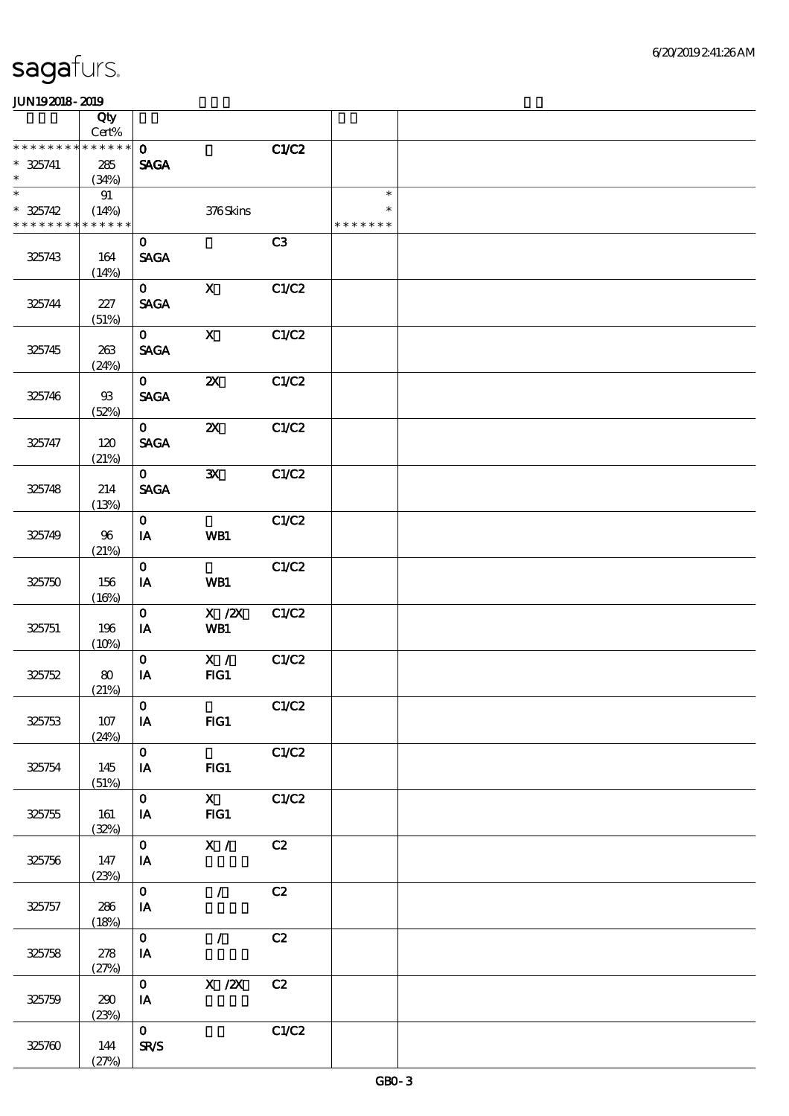|                               | Qty<br>Cert%               |                                         |                                         |       |                         |  |
|-------------------------------|----------------------------|-----------------------------------------|-----------------------------------------|-------|-------------------------|--|
| * * * * * * * *               | * * * * * *                | $\mathbf{O}$                            |                                         | C1/C2 |                         |  |
| $* 325741$                    | 285                        | <b>SAGA</b>                             |                                         |       |                         |  |
| $\ast$<br>$\overline{\ast}$   | (34%)                      |                                         |                                         |       | $\ast$                  |  |
| $* 325742$<br>* * * * * * * * | 91<br>(14%)<br>* * * * * * |                                         | 376Skins                                |       | $\ast$<br>* * * * * * * |  |
| 325743                        | 164<br>(14%)               | $\mathbf{O}$<br><b>SAGA</b>             |                                         | C3    |                         |  |
| 325744                        | 227<br>(51%)               | $\mathbf{O}$<br><b>SAGA</b>             | $\mathbf x$                             | C1/C2 |                         |  |
| 325745                        | 263<br>(24%)               | $\mathbf{0}$<br><b>SAGA</b>             | $\mathbf{X}$                            | C1/C2 |                         |  |
| 325746                        | $9\!\!3$<br>(52%)          | $\mathbf{0}$<br><b>SAGA</b>             | $\boldsymbol{\mathsf{z}}$               | C1/C2 |                         |  |
| 325747                        | 120<br>(21%)               | $\mathbf{O}$<br><b>SAGA</b>             | $\boldsymbol{\mathsf{z}}$               | C1/C2 |                         |  |
| 325748                        | 214<br>(13%)               | $\mathbf{O}$<br><b>SAGA</b>             | $\mathbf{x}$                            | C1/C2 |                         |  |
| 325749                        | 96<br>(21%)                | $\mathbf 0$<br>IA                       | WB1                                     | C1/C2 |                         |  |
| 325750                        | 156<br>(16%)               | $\mathbf 0$<br>IA                       | WB1                                     | C1/C2 |                         |  |
| 325751                        | 196<br>(10%)               | $\mathbf 0$<br>IA                       | $\overline{X}$ / $\overline{Z}X$<br>WB1 | C1/C2 |                         |  |
| 325752                        | 80<br>(21%)                | $\mathbf 0$<br>IA                       | X /<br>FG1                              | C1/C2 |                         |  |
| 325753                        | 107<br>(24%)               | $\mathbf O$<br>$I\!\!A$                 | FG1                                     | C1/C2 |                         |  |
| 325754                        | 145<br>(51%)               | $\mathbf{O}$<br>IA                      | $HG1$                                   | C1/C2 |                         |  |
| 325755                        | 161<br>(32%)               | $\mathbf{O}$<br>IA                      | $\mathbf{x}$<br>FG1                     | C1/C2 |                         |  |
| 325756                        | 147<br>(23%)               | $\mathbf{O}$<br>IA                      | $\mathbf{X}$ /                          | C2    |                         |  |
| 325757                        | 286<br>(18%)               | $\mathbf{O}$<br>$\mathbf{I} \mathbf{A}$ | $\mathcal{L}$                           | C2    |                         |  |
| 325758                        | 278<br>(27%)               | $\mathbf{o}$<br>$\mathbf{I}\mathbf{A}$  | $\mathcal{L}$                           | C2    |                         |  |
| 325759                        | 290<br>(23%)               | $\mathbf{O}$<br>IA                      | X / ZX                                  | C2    |                         |  |
| 325760                        | 144<br>(27%)               | $\mathbf{O}$<br>SR/S                    |                                         | C1/C2 |                         |  |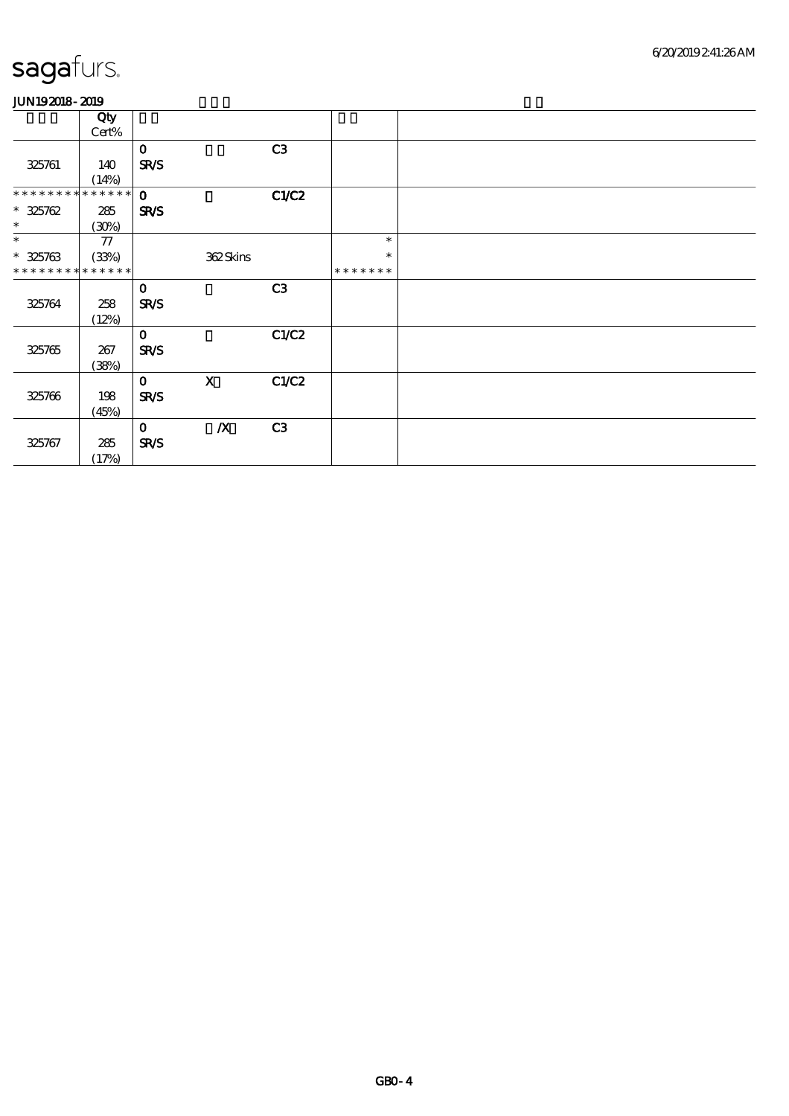|                 | Qty         |              |                  |       |               |  |
|-----------------|-------------|--------------|------------------|-------|---------------|--|
|                 | Cert%       |              |                  |       |               |  |
|                 |             | $\mathbf 0$  |                  | C3    |               |  |
| 325761          | 140         | <b>SR/S</b>  |                  |       |               |  |
|                 | (14%)       |              |                  |       |               |  |
| * * * * * * * * | ******      | $\mathbf 0$  |                  | C1/C2 |               |  |
| $* 325762$      | 285         | <b>SR/S</b>  |                  |       |               |  |
| $\ast$          | (30%)       |              |                  |       |               |  |
| $\ast$          | ${\bf 77}$  |              |                  |       | $\ast$        |  |
| $* 325763$      | (33%)       |              | 362Skins         |       | $\ast$        |  |
| * * * * * * * * | * * * * * * |              |                  |       | * * * * * * * |  |
|                 |             | $\mathbf 0$  |                  | C3    |               |  |
| 325764          | 258         | <b>SR/S</b>  |                  |       |               |  |
|                 | (12%)       |              |                  |       |               |  |
|                 |             | $\mathbf 0$  |                  | C1/C2 |               |  |
| 325765          | 267         | <b>SR/S</b>  |                  |       |               |  |
|                 | (38%)       |              |                  |       |               |  |
|                 |             | $\mathbf{o}$ | $\mathbf{X}$     | C1/C2 |               |  |
| 325766          | 198         | <b>SR/S</b>  |                  |       |               |  |
|                 | (45%)       |              |                  |       |               |  |
|                 |             | $\mathbf 0$  | $\boldsymbol{X}$ | C3    |               |  |
| 325767          | 285         | SR/S         |                  |       |               |  |
|                 | (17%)       |              |                  |       |               |  |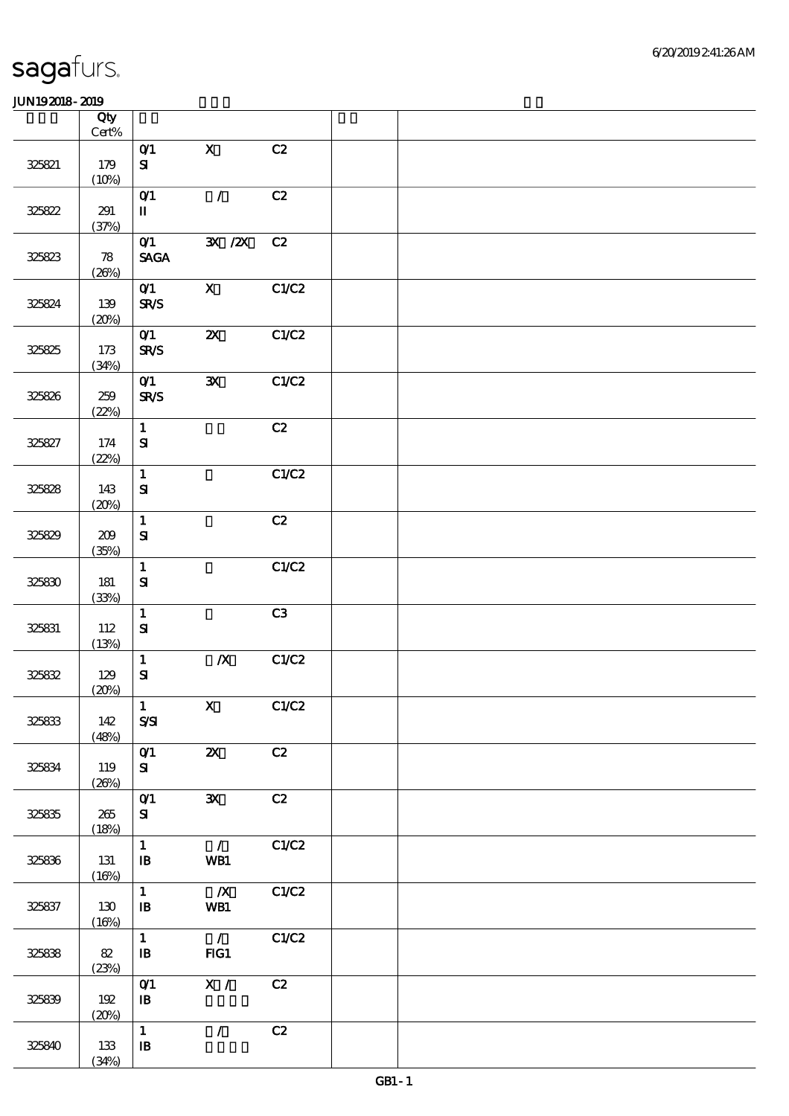|        | Qty<br>$\mbox{Cert}\%$     |                                            |                                |       |  |  |
|--------|----------------------------|--------------------------------------------|--------------------------------|-------|--|--|
| 325821 | 179<br>(10%)               | O(1)<br>${\bf s}$                          | $\mathbf X$                    | C2    |  |  |
| 325822 | 291<br>(37%)               | $O$ $1$<br>$\mathbf I$                     | $\mathcal{L}$                  | C2    |  |  |
| 325823 | $\boldsymbol{78}$<br>(20%) | O(1)<br>$\operatorname{\mathsf{SAGA}}$     | $\mathbf{X}$ / $\mathbf{X}$    | C2    |  |  |
| 325824 | 139<br>(20%)               | O(1)<br><b>SR/S</b>                        | $\mathbf{x}$                   | C1/C2 |  |  |
| 325825 | $173$<br>(34%)             | O(1)<br><b>SR/S</b>                        | $\boldsymbol{\mathsf{X}}$      | C1/C2 |  |  |
| 325826 | 259<br>(22%)               | $O$ <sup>1</sup><br><b>SR/S</b>            | $\mathbf{x}$                   | C1/C2 |  |  |
| 325827 | 174<br>(22%)               | $\mathbf{1}$<br>$\mathbf{S}$               |                                | C2    |  |  |
| 325828 | 143<br>(20%)               | $\mathbf{1}$<br>${\bf S\!I}$               |                                | C1/C2 |  |  |
| 325829 | 209<br>(35%)               | $\mathbf{1}$<br>$\mathbf{S}$               |                                | C2    |  |  |
| 325830 | 181<br>(33%)               | $\mathbf 1$<br>$\mathbf{S}$                |                                | C1/C2 |  |  |
| 325831 | 112<br>(13%)               | $\mathbf{1}$<br>${\bf S\!I}$               |                                | C3    |  |  |
| 325832 | 129<br>(20%)               | $\mathbf 1$<br>$\mathbf{S}\mathbf{I}$      | $\boldsymbol{X}$               | C1/C2 |  |  |
| 325833 | 142<br>(48%)               | $\vert 1 \vert$<br>$S\!S\!I$               | $X$ $C1/C2$                    |       |  |  |
| 325834 | 119<br>(20%)               | O(1)<br>${\bf s}$                          | $\boldsymbol{\mathsf{X}}$      | C2    |  |  |
| 325835 | 265<br>(18%)               | O(1)<br>${\bf s}$                          | $\mathbf{x}$                   | C2    |  |  |
| 325836 | 131<br>(16%)               | $\mathbf{1}$<br>$\mathbf{B}$               | $\mathcal{L}$<br>WB1           | C1/C2 |  |  |
| 325837 | 130<br>(16%)               | $1 -$<br>$\mathbf{B}$                      | $\overline{\mathbf{X}}$<br>WB1 | CLC2  |  |  |
| 325838 | 82<br>(23%)                | $\mathbf{1}$<br>$\, {\bf I} \! {\bf B} \,$ | $\overline{1}$<br>FG1          | C1/C2 |  |  |
| 325839 | 192<br>(20%)               | O(1)<br>$\, {\bf I} \! {\bf B} \,$         | $\overline{\mathbf{X}$ /       | C2    |  |  |
| 325840 | 133<br>(34%)               | $\mathbf{1}$<br>$\, {\bf I} \! {\bf B} \,$ | $\mathcal{L}$                  | C2    |  |  |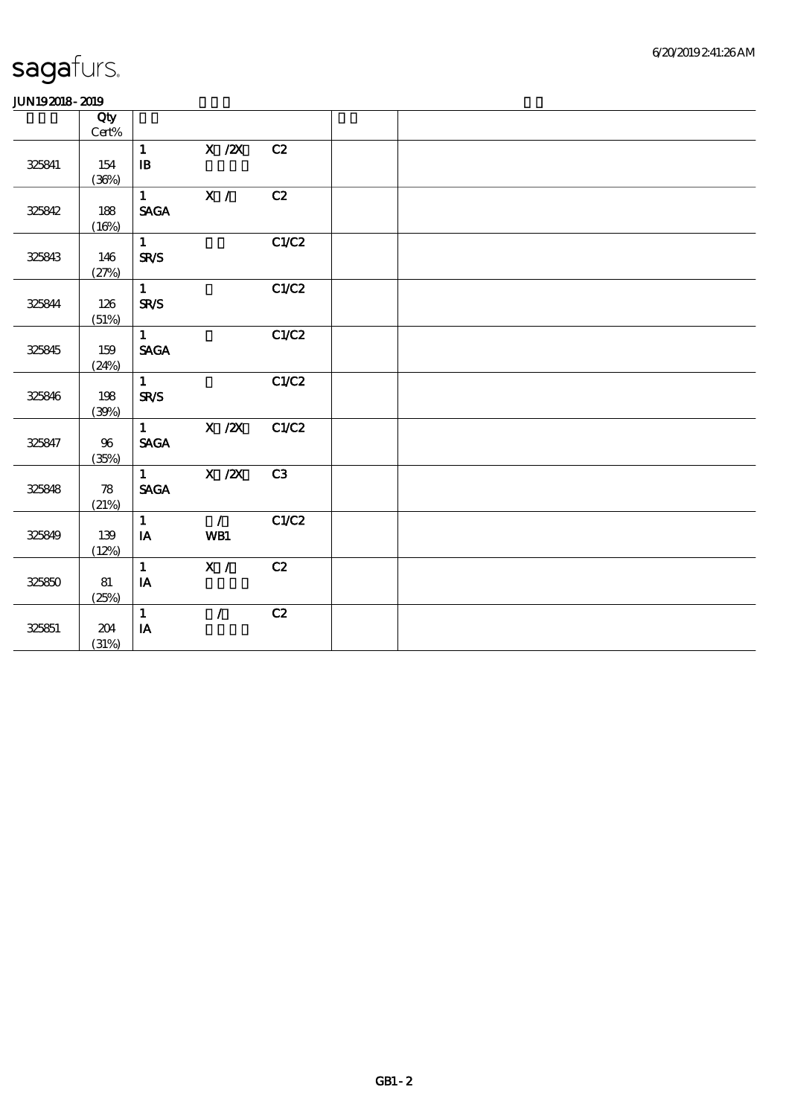|        | Qty<br>Cert%               |                              |                |       |  |  |  |
|--------|----------------------------|------------------------------|----------------|-------|--|--|--|
|        |                            | $\mathbf{1}$                 | $X$ / $ZX$     | C2    |  |  |  |
| 325841 | 154                        | $\mathbf{B}$                 |                |       |  |  |  |
|        | (36%)                      |                              |                |       |  |  |  |
|        |                            | $1 \qquad \qquad$            | $\mathbf{X}$ / | C2    |  |  |  |
| 325842 | 188                        | <b>SAGA</b>                  |                |       |  |  |  |
|        | (16%)                      |                              |                |       |  |  |  |
|        |                            | $1 -$                        |                | C1/C2 |  |  |  |
| 325843 | 146                        | <b>SR/S</b>                  |                |       |  |  |  |
|        | (27%)                      |                              |                |       |  |  |  |
|        |                            | 1                            |                | C1/C2 |  |  |  |
| 325844 | 126                        | <b>SR/S</b>                  |                |       |  |  |  |
|        | (51%)                      |                              |                |       |  |  |  |
|        |                            | 1                            |                | C1/C2 |  |  |  |
| 325845 | 159                        | <b>SAGA</b>                  |                |       |  |  |  |
|        | (24%)                      |                              |                |       |  |  |  |
|        |                            | $1 -$                        |                | C1/C2 |  |  |  |
| 325846 | 198                        | <b>SR/S</b>                  |                |       |  |  |  |
|        | (30%)                      |                              |                |       |  |  |  |
|        |                            | $1 \quad \blacksquare$       | $X$ / $ZX$     | C1/C2 |  |  |  |
| 325847 | 96                         | $\ensuremath{\mathsf{SAGA}}$ |                |       |  |  |  |
|        | (35%)                      |                              |                |       |  |  |  |
|        |                            | $1 \quad \blacksquare$       | $X \, /ZX$     | C3    |  |  |  |
| 325848 | $\boldsymbol{\mathcal{B}}$ | $\ensuremath{\mathsf{SAGA}}$ |                |       |  |  |  |
|        | (21%)                      |                              |                |       |  |  |  |
|        |                            | $\mathbf{1}$                 | $\overline{1}$ | C1/C2 |  |  |  |
| 325849 | 139                        | IA                           | WB1            |       |  |  |  |
|        | (12%)                      |                              |                |       |  |  |  |
|        |                            | $\mathbf{1}$                 | X /            | C2    |  |  |  |
| 325850 | 81                         | $\mathbf{IA}$                |                |       |  |  |  |
|        | (25%)                      |                              |                |       |  |  |  |
|        |                            | $\mathbf{1}$                 | $\mathcal{L}$  | C2    |  |  |  |
| 325851 | 204                        | $\mathbf{IA}$                |                |       |  |  |  |
|        | (31%)                      |                              |                |       |  |  |  |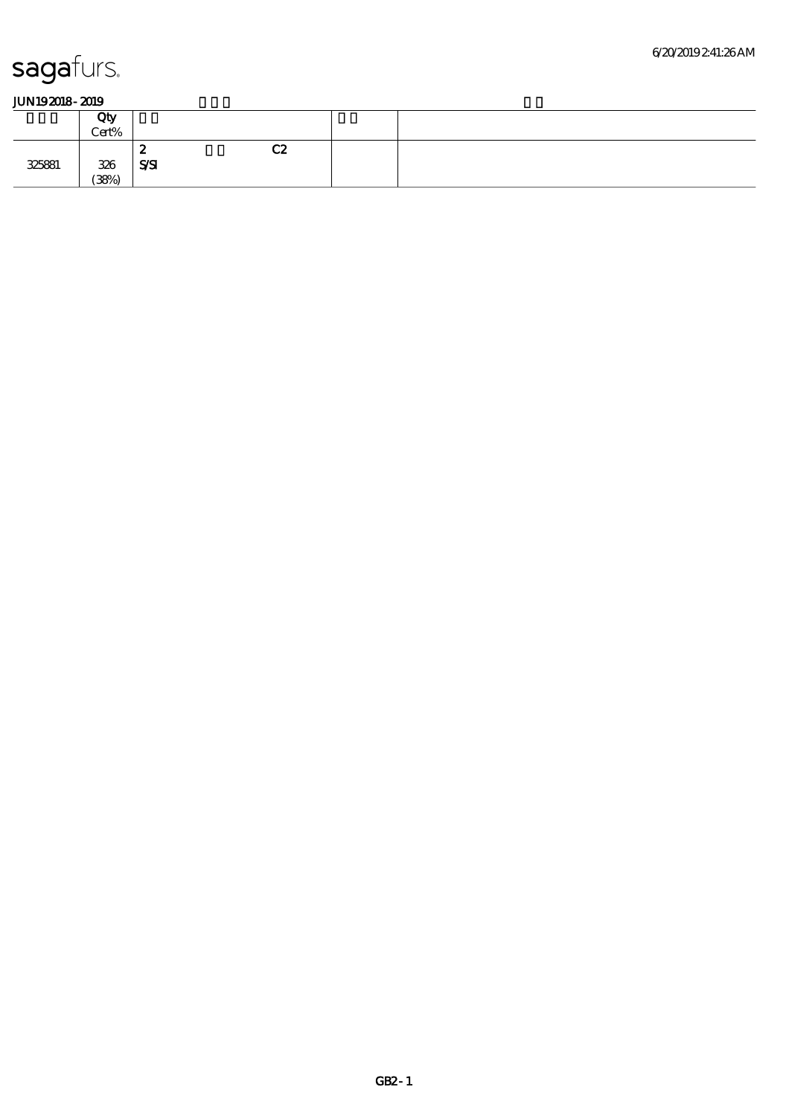|        | Qty<br>Cert% |                |          |  |
|--------|--------------|----------------|----------|--|
|        |              | £.<br>         | rο<br>ua |  |
| 325881 | 326          | $S\mathcal{S}$ |          |  |
|        | (38%)        |                |          |  |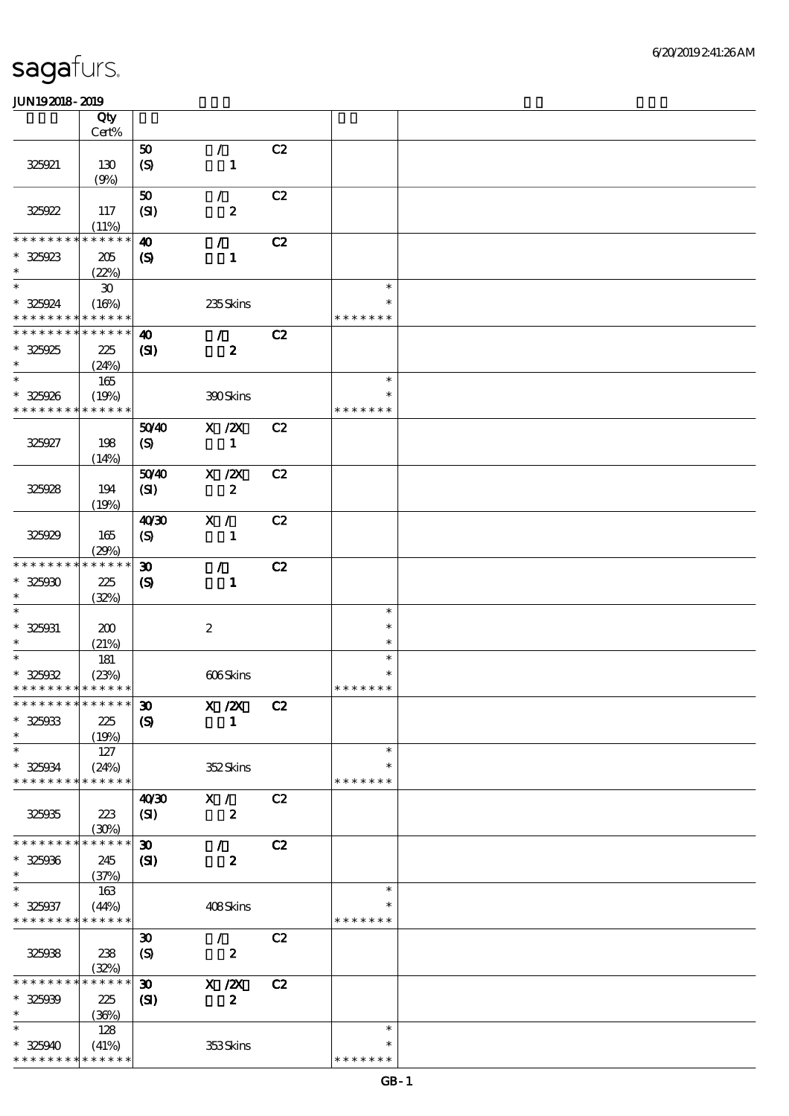|                                            | Qty                         |                             |                  |    |               |  |
|--------------------------------------------|-----------------------------|-----------------------------|------------------|----|---------------|--|
|                                            | Cert%                       |                             |                  |    |               |  |
|                                            |                             |                             |                  |    |               |  |
|                                            |                             | 50                          | $\mathcal{L}$    | C2 |               |  |
| 325921                                     | 130                         | $\boldsymbol{S}$            | $\mathbf{1}$     |    |               |  |
|                                            | (9%)                        |                             |                  |    |               |  |
|                                            |                             |                             |                  |    |               |  |
|                                            |                             | 50                          | $\mathcal{L}$    | C2 |               |  |
| 325922                                     | 117                         | (SI)                        | $\boldsymbol{z}$ |    |               |  |
|                                            | (11%)                       |                             |                  |    |               |  |
| * * * * * * *                              | * * * * * *                 | $\boldsymbol{\omega}$       | $\mathcal{L}$    | C2 |               |  |
|                                            |                             |                             |                  |    |               |  |
| $* 325923$                                 | 205                         | $\boldsymbol{\mathcal{S}}$  | $\mathbf{1}$     |    |               |  |
| $\ast$                                     | (22%)                       |                             |                  |    |               |  |
| $\ast$                                     | $\boldsymbol{\mathfrak{D}}$ |                             |                  |    | $\ast$        |  |
| * 325924                                   | (16%)                       |                             | 235Skins         |    | ∗             |  |
| * * * * * * * * <mark>* * * * * *</mark> * |                             |                             |                  |    | * * * * * * * |  |
|                                            |                             |                             |                  |    |               |  |
| * * * * * * * *                            | * * * * * *                 | $\boldsymbol{\omega}$       | $\mathcal{L}$    | C2 |               |  |
| $* 325925$                                 | 225                         | (S)                         | $\boldsymbol{z}$ |    |               |  |
| $\ast$                                     | (24%)                       |                             |                  |    |               |  |
| $\ast$                                     | 165                         |                             |                  |    | $\ast$        |  |
|                                            |                             |                             |                  |    |               |  |
| $* 325926$                                 | (19%)                       |                             | 390Skins         |    | $\ast$        |  |
| * * * * * * * * * * * * * *                |                             |                             |                  |    | * * * * * * * |  |
|                                            |                             | 5040                        | $X$ / $ZX$       | C2 |               |  |
| 325927                                     | 198                         | (S)                         | $\mathbf{1}$     |    |               |  |
|                                            |                             |                             |                  |    |               |  |
|                                            | (14%)                       |                             |                  |    |               |  |
|                                            |                             | 5040                        | $X$ / $ZX$       | C2 |               |  |
| 325928                                     | 194                         | (SI)                        | $\boldsymbol{z}$ |    |               |  |
|                                            | (19%)                       |                             |                  |    |               |  |
|                                            |                             | 40'30                       | X /              | C2 |               |  |
|                                            |                             |                             |                  |    |               |  |
| 325929                                     | 165                         | $\boldsymbol{S}$            | $\mathbf{1}$     |    |               |  |
|                                            | (29%)                       |                             |                  |    |               |  |
| * * * * * * * *                            | ******                      | $\boldsymbol{\mathfrak{D}}$ | $\mathcal{T}$    | C2 |               |  |
| $* 32500$                                  | 225                         |                             |                  |    |               |  |
|                                            |                             | $\boldsymbol{S}$            | $\mathbf{1}$     |    |               |  |
| $\ast$                                     | (32%)                       |                             |                  |    |               |  |
| $\ast$                                     |                             |                             |                  |    | $\ast$        |  |
| $* 325031$                                 | 200                         |                             | $\boldsymbol{2}$ |    | $\ast$        |  |
| $\ast$                                     | (21%)                       |                             |                  |    | $\ast$        |  |
| $\ast$                                     |                             |                             |                  |    | $\ast$        |  |
|                                            | 181                         |                             |                  |    |               |  |
| $* 325032$                                 | (23%)                       |                             | 606Skins         |    | *             |  |
| * * * * * * * * <mark>* * * * * * *</mark> |                             |                             |                  |    | * * * * * * * |  |
| *************** 30                         |                             |                             | $X$ / $ZX$       | C2 |               |  |
| $* 325033$                                 | 225                         |                             | 1                |    |               |  |
|                                            |                             | $\boldsymbol{S}$            |                  |    |               |  |
| $\ast$                                     | (19%)                       |                             |                  |    |               |  |
| $\ast$                                     | 127                         |                             |                  |    | $\ast$        |  |
| $* 325034$                                 | (24%)                       |                             | 352Skins         |    | $\ast$        |  |
| * * * * * * * *                            | * * * * * *                 |                             |                  |    | * * * * * * * |  |
|                                            |                             |                             |                  | C2 |               |  |
|                                            |                             | 40'30                       | X /              |    |               |  |
| 325035                                     | 223                         | (SI)                        | $\boldsymbol{z}$ |    |               |  |
|                                            | (30%)                       |                             |                  |    |               |  |
| * * * * * * * *                            | * * * * * *                 | $\boldsymbol{\mathfrak{D}}$ | $\mathcal{L}$    | C2 |               |  |
| $* 325006$                                 | 245                         | $\mathbf{C}$                | $\boldsymbol{z}$ |    |               |  |
| $\ast$                                     |                             |                             |                  |    |               |  |
|                                            | (37%)                       |                             |                  |    |               |  |
| $\ast$                                     | 163                         |                             |                  |    | $\ast$        |  |
| $* 325037$                                 | (44%)                       |                             | 408Skins         |    |               |  |
| * * * * * * * * * * * * * *                |                             |                             |                  |    | * * * * * * * |  |
|                                            |                             | $\boldsymbol{\mathfrak{D}}$ | $\sqrt{2}$       | C2 |               |  |
|                                            |                             |                             |                  |    |               |  |
| 325038                                     | 238                         | $\boldsymbol{S}$            | $\boldsymbol{z}$ |    |               |  |
|                                            | (32%)                       |                             |                  |    |               |  |
| * * * * * * *                              | * * * * * *                 | $\boldsymbol{\mathfrak{D}}$ | X / ZX           | C2 |               |  |
| $* 325939$                                 | 225                         | $\mathbf{C}$                | $\boldsymbol{z}$ |    |               |  |
| $\ast$                                     |                             |                             |                  |    |               |  |
|                                            | (36%)                       |                             |                  |    |               |  |
| $\ast$                                     | 128                         |                             |                  |    | $\ast$        |  |
| $*325940$                                  | (41%)                       |                             | 353Skins         |    | *             |  |
| * * * * * * * * * * * * * *                |                             |                             |                  |    | * * * * * * * |  |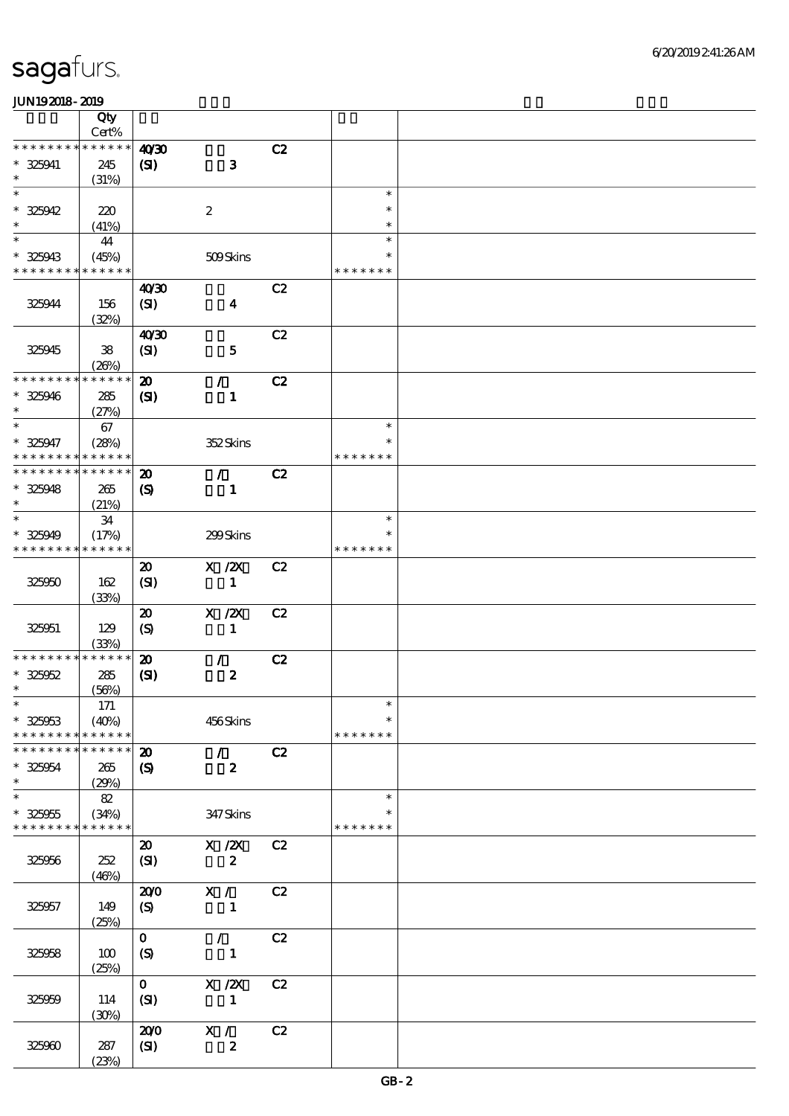|                      | Qty<br>Cert%         |                             |                            |    |                  |  |
|----------------------|----------------------|-----------------------------|----------------------------|----|------------------|--|
| * * * * * * *        | * * * * * *          |                             |                            |    |                  |  |
| $* 325941$           | 245                  | 40'30<br>$\mathbf{C}$       | $\bf{3}$                   | C2 |                  |  |
| $\ast$               | (31%)                |                             |                            |    |                  |  |
| $\ast$<br>$* 325042$ |                      |                             |                            |    | $\ast$<br>$\ast$ |  |
| $\ast$               | 220<br>(41%)         |                             | $\boldsymbol{2}$           |    | $\ast$           |  |
| $\ast$               | 44                   |                             |                            |    | $\ast$           |  |
| $* 325943$           | (45%)                |                             | 509Skins                   |    | $\ast$           |  |
| * * * * * * * *      | * * * * * *          |                             |                            |    | * * * * * * *    |  |
|                      |                      | 40 <sup>30</sup>            |                            | C2 |                  |  |
| 325944               | 156<br>(32%)         | (S <sub>D</sub> )           | $\boldsymbol{4}$           |    |                  |  |
|                      |                      | 40'30                       |                            | C2 |                  |  |
| 325945               | ${\bf 38}$           | (SI)                        | ${\bf 5}$                  |    |                  |  |
| * * * * * * * *      | (20%)<br>* * * * * * |                             |                            |    |                  |  |
|                      |                      | $\boldsymbol{\mathbf{z}}$   | $\mathcal{L}$              | C2 |                  |  |
| $* 325946$<br>$\ast$ | 285<br>(27%)         | $\mathbf{Z}$                | $\mathbf{1}$               |    |                  |  |
| $\ast$               | 67                   |                             |                            |    | $\ast$           |  |
| $* 325947$           | (28%)                |                             | 352Skins                   |    | $\ast$           |  |
| * * * * * * *        | * * * * * *          |                             |                            |    | * * * * * * *    |  |
| * * * * * * *        | * * * * * *          | $\boldsymbol{\mathbf{z}}$   | $\mathcal{L}$              | C2 |                  |  |
| $* 325948$           | 265                  | $\boldsymbol{\mathcal{S}}$  | $\mathbf{1}$               |    |                  |  |
| $\ast$               | (21%)                |                             |                            |    |                  |  |
| $\ast$               | 34                   |                             |                            |    | $\ast$           |  |
| * 325949             | (17%)                |                             | 299Skins                   |    | *                |  |
| * * * * * * * *      | * * * * * *          |                             |                            |    | * * * * * * *    |  |
|                      |                      | $\boldsymbol{\mathfrak{D}}$ | $X$ / $ZX$                 | C2 |                  |  |
| 325050               | 162                  | (SI)                        | $\mathbf{1}$               |    |                  |  |
|                      | (33%)                |                             |                            |    |                  |  |
|                      |                      | $\boldsymbol{\mathfrak{D}}$ | $X$ / $ZX$                 | C2 |                  |  |
| 325951               | 129                  | $\boldsymbol{S}$            | $\mathbf{1}$               |    |                  |  |
|                      | (33%)                |                             |                            |    |                  |  |
| * * * * * * *        | * * * * * *          | $\boldsymbol{\mathfrak{D}}$ | $\mathcal{L}$              | C2 |                  |  |
| $* 325052$           | 285                  | (S)                         | $\pmb{2}$                  |    |                  |  |
| $\ast$               | (56%)                |                             |                            |    |                  |  |
| $\ast$               | $171$                |                             |                            |    | $\ast$           |  |
| $* 325053$           | (40%)                |                             | 456Skins                   |    | $\ast$           |  |
| * * * * * * * *      | * * * * * *          |                             |                            |    | * * * * * * *    |  |
| * * * * * * *        | * * * * * *          | $\boldsymbol{\mathbf{z}}$   | $\mathcal{L}$              | C2 |                  |  |
| $* 325054$           | 265                  | $\boldsymbol{\mathcal{S}}$  | $\boldsymbol{z}$           |    |                  |  |
| $\ast$               | (29%)                |                             |                            |    |                  |  |
| $\ast$               | 82                   |                             |                            |    | $\ast$           |  |
| $* 325055$           | (34%)                |                             | 347 Skins                  |    | *                |  |
| * * * * * * * *      | * * * * * *          |                             |                            |    | * * * * * * *    |  |
|                      |                      | $\boldsymbol{\mathfrak{D}}$ | X / ZX                     | C2 |                  |  |
| 325956               | 252                  | (SI)                        | $\boldsymbol{2}$           |    |                  |  |
|                      | (46%)                |                             |                            |    |                  |  |
|                      |                      | 200                         | X /                        | C2 |                  |  |
| 325957               | 149                  | $\boldsymbol{S}$            | $\mathbf{1}$               |    |                  |  |
|                      | (25%)                |                             |                            |    |                  |  |
|                      |                      | $\mathbf{O}$                | $\mathcal{F}^{\mathbb{R}}$ | C2 |                  |  |
| 325958               | 100                  | $\boldsymbol{S}$            | $\mathbf{1}$               |    |                  |  |
|                      | (25%)                |                             |                            |    |                  |  |
|                      |                      | $\mathbf{O}$                | X / ZX                     | C2 |                  |  |
| 325959               | 114                  | (SI)                        | $\mathbf{1}$               |    |                  |  |
|                      |                      |                             |                            |    |                  |  |
|                      | (30%)                | 200                         | $X / \sqrt{2}$             | C2 |                  |  |
|                      |                      |                             |                            |    |                  |  |
| 325960               | 287<br>(23%)         | $\mathbf{C}$                | $\pmb{2}$                  |    |                  |  |
|                      |                      |                             |                            |    |                  |  |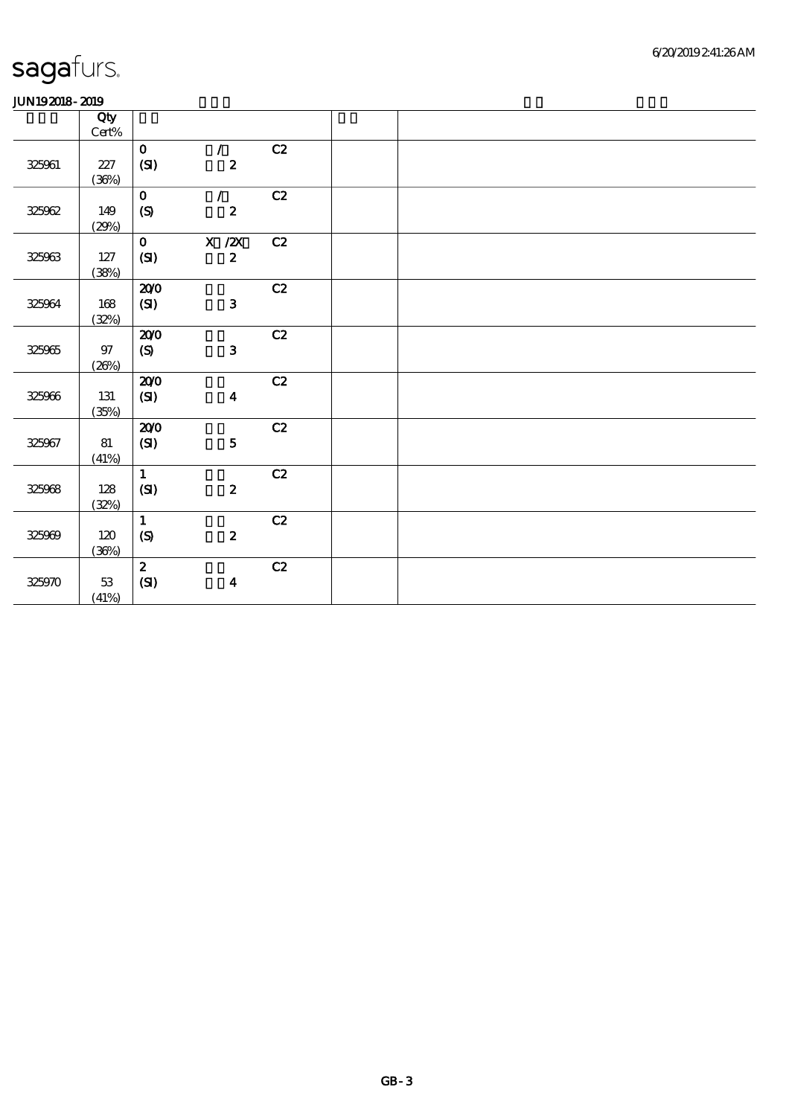| www.ww            |                 |                    |                  |               |  |
|-------------------|-----------------|--------------------|------------------|---------------|--|
|                   | Qty             |                    |                  |               |  |
|                   | $\text{Cert}\%$ |                    |                  |               |  |
|                   |                 | $\mathbf{O}$       | $\mathcal{L}$    | C2            |  |
| $32506\mathrm{l}$ | $2\!2\!7$       | (SI)               | $\pmb{2}$        |               |  |
|                   | (36%)           |                    |                  |               |  |
|                   |                 | $\mathbf{O}$       | $\mathcal{L}$    | C2            |  |
|                   |                 |                    |                  |               |  |
| 325062            | 149             | (S)                | $\boldsymbol{z}$ |               |  |
|                   | (29%)           |                    |                  |               |  |
|                   |                 | $\mathbf{O}$       | X / ZX           | C2            |  |
| 325063            | 127             | (SI)               | $\mathbf{z}$     |               |  |
|                   | (38%)           |                    |                  |               |  |
|                   |                 | 200                |                  | $\mathbf{C2}$ |  |
| 325064            | 168             | $\pmb{\text{(S)}}$ | $\mathbf{3}$     |               |  |
|                   | (32%)           |                    |                  |               |  |
|                   |                 | 200                |                  | C2            |  |
|                   | $97\,$          | (S)                | $\mathbf{3}$     |               |  |
| 325965            |                 |                    |                  |               |  |
|                   | (20%)           |                    |                  |               |  |
|                   |                 | 200                |                  | $\mathbf{C2}$ |  |
| 325066            | 131             | $\pmb{\text{(S)}}$ | $\boldsymbol{4}$ |               |  |
|                   | (35%)           |                    |                  |               |  |
|                   |                 | 200                |                  | C2            |  |
| 325967            | 81              | (S)                | ${\bf 5}$        |               |  |
|                   | (41%)           |                    |                  |               |  |
|                   |                 | $\mathbf{1}$       |                  | C2            |  |
| 325068            | 128             | (SI)               | $\pmb{2}$        |               |  |
|                   | (32%)           |                    |                  |               |  |
|                   |                 | $\mathbf{1}$       |                  | C2            |  |
|                   | 120             |                    | $\boldsymbol{2}$ |               |  |
| 325009            |                 | $\pmb{\text{(S)}}$ |                  |               |  |
|                   | (36%)           |                    |                  |               |  |
|                   |                 | $\mathbf{z}$       |                  | C2            |  |
| 325970            | 53              | (SI)               | $\boldsymbol{4}$ |               |  |
|                   | (41%)           |                    |                  |               |  |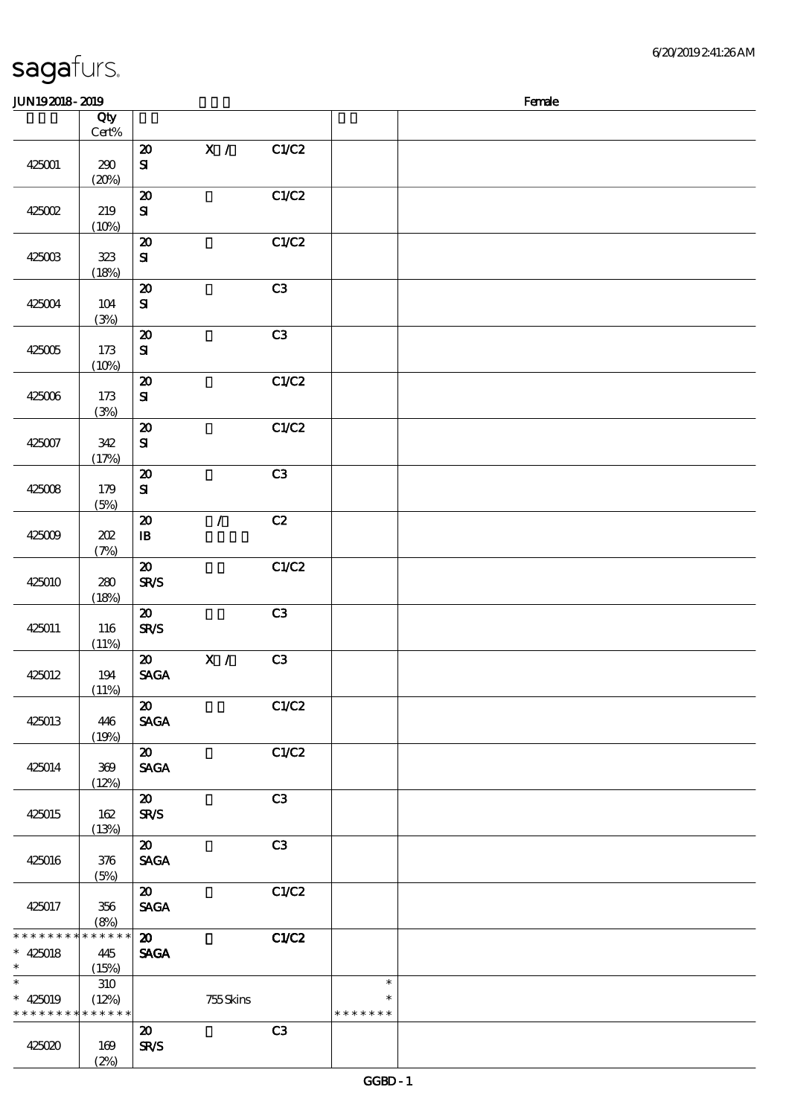| sagafurs. |  |
|-----------|--|
|           |  |

\*\*

(2%)

#### 顺序号 Qty 说明 价格 Cert% 20 X / C1/C2 425001 290 SI  $(20%)$ 20 C1/C2 425002 219 SI  $(10%)$ 20 C1/C2  $425008$   $323$ SI (18%)  $\overline{20}$  C3 425004 104 SI (3%) 20 C3 425005 173 SI  $(10%)$ 20 C1/C2 425006 173 SI (3%) 20 C1/C2 425007 342 SI (17%) 20 C3 425008 179 SI (5%)  $20$  / C2 425009 202  $\mathbf{I}$ B (7%)  $20$   $C1/C2$ 425010 280 SR/S  $(18%)$ 20 C3 425011 116 SR/S  $(11%)$  $20 \times / \times \times$ 425012 194 SAGA (11%)  $\overline{20}$  C1/C2 425013 446 SAGA (19%) 20 C1/C2 425014 369 SAGA (12%) 20 C3 SR/S 425015 162 (13%) 20 C3 425016 376 SAGA  $(5%)$  $\overline{20}$  C1/C2 SAGA 425017 356 (8%) 20 C1/C2 \* \* \* \* \* \* \* \* \* \* \* \* \* 425018 445 **SAGA**  $\ast$  $(15%)$ \*  $* 425019$  $\overline{\ast}$ 310 \*\*  $\ast$ (12%) 755 Skins \* \* \* \* \* \* \* \* \* \* \* \* \* \* \* \* \* \* 20 C3 425020 169 SR/S

JUN192018-2019  $\blacksquare$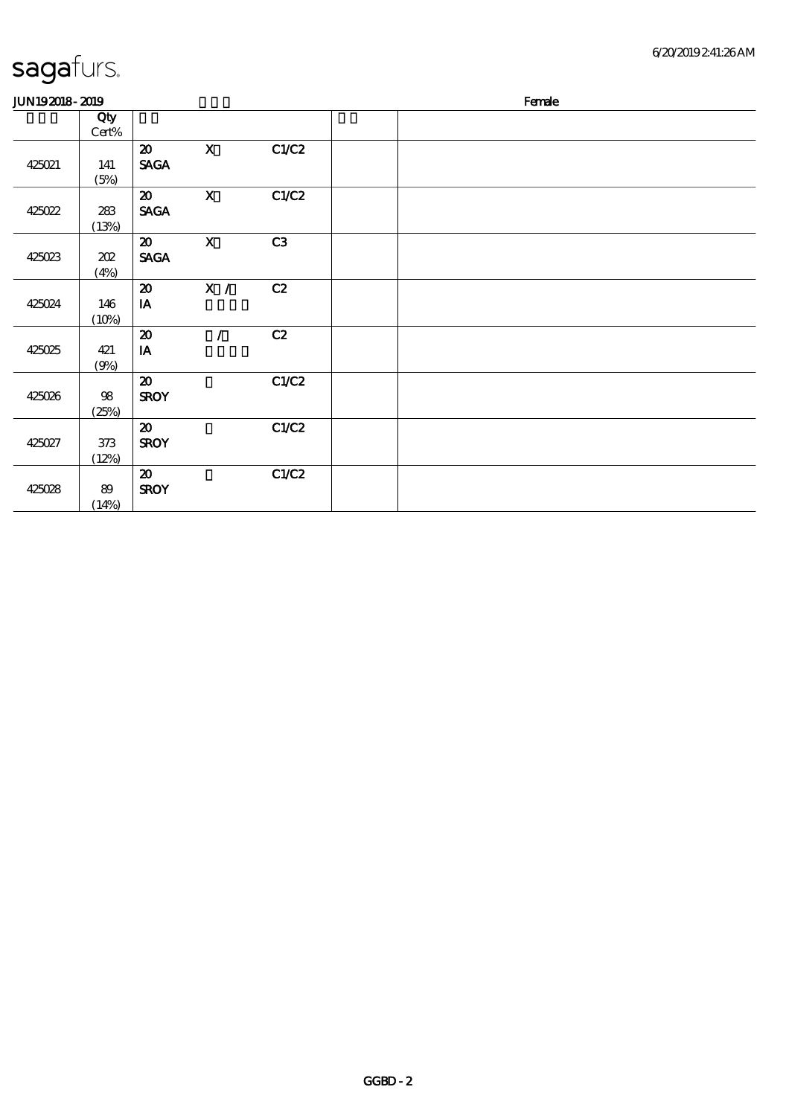| <b>JUN192018-2019</b> |                         |                                                      |              |       | Female |  |  |
|-----------------------|-------------------------|------------------------------------------------------|--------------|-------|--------|--|--|
|                       | Qty<br>Cert%            |                                                      |              |       |        |  |  |
| 425021                | 141<br>(5%)             | $\boldsymbol{\mathsf{20}}$<br><b>SAGA</b>            | $\mathbf X$  | C1/C2 |        |  |  |
| 425022                | 283<br>(13%)            | $\boldsymbol{\mathfrak{D}}$<br><b>SAGA</b>           | $\mathbf X$  | C1/C2 |        |  |  |
| 425023                | 202<br>(4%)             | $\boldsymbol{\mathfrak{D}}$<br><b>SAGA</b>           | $\mathbf{X}$ | C3    |        |  |  |
| 425024                | 146<br>(10%)            | $\boldsymbol{\mathfrak{D}}$<br>IA                    | X /          | C2    |        |  |  |
| 425025                | 421<br>(9%)             | $\boldsymbol{\mathsf{20}}$<br>$\mathbf{I}\mathbf{A}$ | $\prime$     | C2    |        |  |  |
| 425026                | $98\,$<br>(25%)         | $\boldsymbol{\mathfrak{D}}$<br><b>SROY</b>           |              | C1/C2 |        |  |  |
| 425027                | $373\,$<br>(12%)        | $\boldsymbol{\mathbf{z}}$<br><b>SROY</b>             |              | C1/C2 |        |  |  |
| 425028                | $8\hskip-2pt9$<br>(14%) | $\boldsymbol{\mathfrak{D}}$<br><b>SROY</b>           |              | C1/C2 |        |  |  |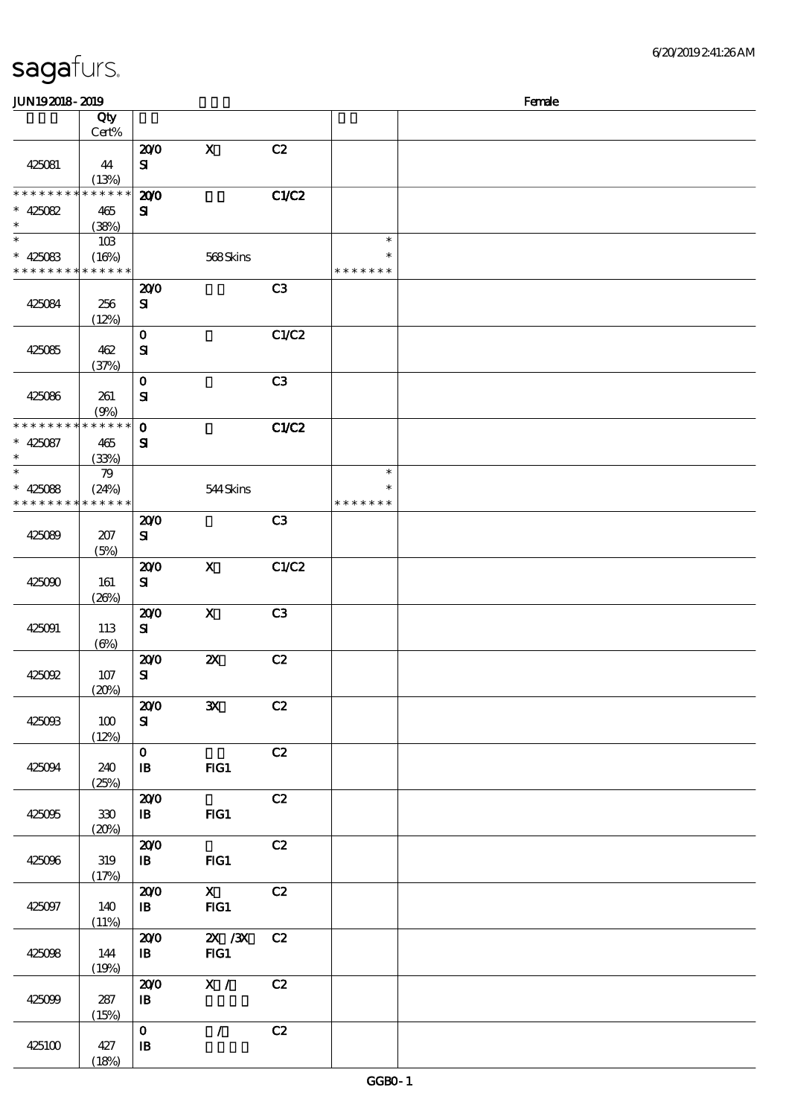| sagafurs. |  |  |
|-----------|--|--|
|           |  |  |

| <b>JUN192018-2019</b>       |                 |                     |                           |                |               | Female |
|-----------------------------|-----------------|---------------------|---------------------------|----------------|---------------|--------|
|                             | Qty             |                     |                           |                |               |        |
|                             | Cert%           |                     |                           |                |               |        |
|                             |                 | 200                 | $\mathbf X$               | C2             |               |        |
| 425081                      | 44              | ${\bf s}$           |                           |                |               |        |
|                             | (13%)           |                     |                           |                |               |        |
| * * * * * * * *             | $* * * * * * *$ | 200                 |                           | C1/C2          |               |        |
| $* 425082$                  | 465             | ${\bf s}$           |                           |                |               |        |
| $\ast$                      | (38%)           |                     |                           |                |               |        |
| $\ast$                      | 10B             |                     |                           |                | $\ast$        |        |
| $* 425083$                  | (16%)           |                     | 568Skins                  |                | ∗             |        |
| * * * * * * * * * * * * * * |                 |                     |                           |                | * * * * * * * |        |
|                             |                 | 200                 |                           | C <sub>3</sub> |               |        |
| 425084                      | 256             | ${\bf s}$           |                           |                |               |        |
|                             | (12%)           |                     |                           |                |               |        |
|                             |                 | $\mathbf O$         |                           | C1/C2          |               |        |
| 425085                      | 462             | ${\bf s}$           |                           |                |               |        |
|                             | (37%)           | $\mathbf 0$         |                           | C3             |               |        |
| 425086                      | 261             | $\mathbf{S}$        |                           |                |               |        |
|                             | (9%)            |                     |                           |                |               |        |
| * * * * * * * *             | $* * * * * * *$ | $\mathbf{o}$        |                           | C1/C2          |               |        |
| $* 425087$                  | 465             | ${\bf s}$           |                           |                |               |        |
| $\ast$                      | (33%)           |                     |                           |                |               |        |
| $\ast$                      | 79              |                     |                           |                | $\ast$        |        |
| $* 425088$                  | (24%)           |                     | 544Skins                  |                | $\ast$        |        |
| * * * * * * * *             | * * * * * *     |                     |                           |                | * * * * * * * |        |
|                             |                 | 200                 |                           | C3             |               |        |
| 425089                      | 207             | ${\bf s}$           |                           |                |               |        |
|                             | (5%)            |                     |                           |                |               |        |
|                             |                 | 200                 | $\mathbf x$               | C1/C2          |               |        |
| 425090                      | 161             | ${\bf s}$           |                           |                |               |        |
|                             | (20%)           |                     |                           |                |               |        |
|                             |                 | 200                 | $\boldsymbol{\mathsf{X}}$ | C3             |               |        |
| 425091                      | 113             | ${\bf s}$           |                           |                |               |        |
|                             | $(\Theta)$      |                     |                           | C2             |               |        |
| 425092                      | 107             | 200<br>${\bf s}$    | $\boldsymbol{\mathsf{z}}$ |                |               |        |
|                             | (20%)           |                     |                           |                |               |        |
|                             |                 | 200                 | $\mathbf{x}$              | C2             |               |        |
| 425093                      | 100             | ${\bf S}$           |                           |                |               |        |
|                             | (12%)           |                     |                           |                |               |        |
|                             |                 | $\mathbf{o}$        |                           | C2             |               |        |
| 425094                      | 240             | $\mathbf{B}$        | $HG1$                     |                |               |        |
|                             | (25%)           |                     |                           |                |               |        |
|                             |                 | 200                 |                           | C2             |               |        |
| 425095                      | $330\,$         | $\mathbf{B}$        | FG1                       |                |               |        |
|                             | (20%)           |                     |                           |                |               |        |
|                             |                 | 200                 |                           | C2             |               |        |
| 425096                      | 319             | $\mathbf{B}$        | $HG1$                     |                |               |        |
|                             | (17%)           |                     | $\mathbf{x}$              | C2             |               |        |
|                             |                 | 200<br>$\mathbf{B}$ | FG1                       |                |               |        |
| 425097                      | 140<br>(11%)    |                     |                           |                |               |        |
|                             |                 | 200                 | $ZX$ / $ZX$               | C2             |               |        |
| 425098                      | 144             | $\mathbf{B}$        | FG1                       |                |               |        |
|                             | (19%)           |                     |                           |                |               |        |
|                             |                 | 200                 | X /                       | C2             |               |        |
| 425099                      | 287             | $\mathbf{B}$        |                           |                |               |        |
|                             | (15%)           |                     |                           |                |               |        |
|                             |                 | $\mathbf{O}$        | $\mathcal{L}$             | C2             |               |        |
| 425100                      | 427             | $\mathbf{B}$        |                           |                |               |        |
|                             | (18%)           |                     |                           |                |               |        |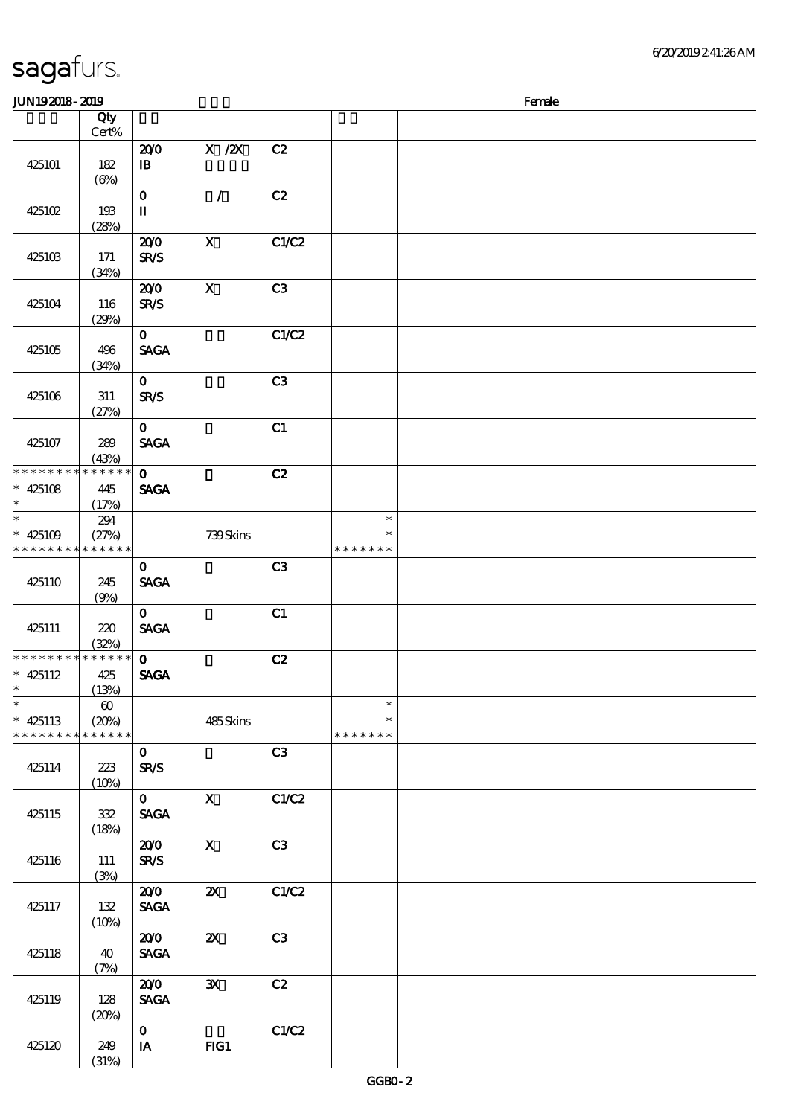#### $J/N192018 - 2019$

| www.craw                                |                                               |                                                       |                           |                |                                   | <b>TOILE</b> |
|-----------------------------------------|-----------------------------------------------|-------------------------------------------------------|---------------------------|----------------|-----------------------------------|--------------|
|                                         | Qty<br>Cert%                                  |                                                       |                           |                |                                   |              |
| 425101                                  | 182<br>$(\Theta)$                             | 200<br>$\, {\bf I} \! {\bf B} \,$                     | X / ZX                    | C2             |                                   |              |
| 425102                                  | 193<br>(28%)                                  | $\mathbf{o}$<br>$\rm I\hspace{-.1em}I\hspace{-.1em}I$ | $\mathcal{L}$             | C2             |                                   |              |
| 425103                                  | 171<br>(34%)                                  | 200<br><b>SR/S</b>                                    | $\mathbf{x}$              | C1/C2          |                                   |              |
| 425104                                  | 116<br>(29%)                                  | 200<br><b>SR/S</b>                                    | $\mathbf X$               | C3             |                                   |              |
| 425105                                  | 496<br>(34%)                                  | $\mathbf{O}$<br><b>SAGA</b>                           |                           | C1/C2          |                                   |              |
| 425106                                  | 311<br>(27%)                                  | $\mathbf{O}$<br><b>SR/S</b>                           |                           | C3             |                                   |              |
| 425107                                  | 289<br>(43%)                                  | $\mathbf{O}$<br><b>SAGA</b>                           |                           | C1             |                                   |              |
| * * * * * * * *<br>$* 425108$<br>$\ast$ | * * * * * *<br>445<br>(17%)                   | $\mathbf{O}$<br><b>SAGA</b>                           |                           | C2             |                                   |              |
| $* 425109$<br>* * * * * * * *           | 294<br>(27%)<br>* * * * * *                   |                                                       | 739Skins                  |                | $\ast$<br>$\ast$<br>* * * * * * * |              |
| 425110                                  | 245<br>(9%)                                   | $\mathbf{O}$<br><b>SAGA</b>                           |                           | C <sub>3</sub> |                                   |              |
| 425111                                  | 220<br>(32%)                                  | $\mathbf{O}$<br><b>SAGA</b>                           |                           | C1             |                                   |              |
| * * * * * * * *<br>$* 425112$<br>$\ast$ | ******<br>425<br>(13%)                        | $\mathbf{O}$<br><b>SAGA</b>                           |                           | C2             |                                   |              |
| $\ast$<br>$* 425113$<br>* * * * * * * * | $\boldsymbol{\omega}$<br>(20%)<br>* * * * * * |                                                       | 485Skins                  |                | $\ast$<br>$\ast$<br>* * * * * * * |              |
| 425114                                  | 223<br>(10%)                                  | $\mathbf{O}$<br><b>SR/S</b>                           |                           | C <sub>3</sub> |                                   |              |
| 425115                                  | 332<br>(18%)                                  | $\mathbf{O}$<br><b>SAGA</b>                           | $\mathbf X$               | C1/C2          |                                   |              |
| 425116                                  | 111<br>(3%)                                   | 200<br><b>SR/S</b>                                    | $\boldsymbol{\mathrm{X}}$ | C3             |                                   |              |
| 425117                                  | 132<br>(10%)                                  | 200<br><b>SAGA</b>                                    | $\boldsymbol{\mathsf{z}}$ | C1/C2          |                                   |              |
| 425118                                  | 40<br>(7%)                                    | 200<br><b>SAGA</b>                                    | $\boldsymbol{\mathsf{z}}$ | C <sub>3</sub> |                                   |              |
| 425119                                  | 128<br>(20%)                                  | 200<br><b>SAGA</b>                                    | ${\bf x}$                 | C2             |                                   |              |
| 425120                                  | 249<br>(31%)                                  | $\mathbf{o}$<br>IA                                    | FG1                       | C1/C2          |                                   |              |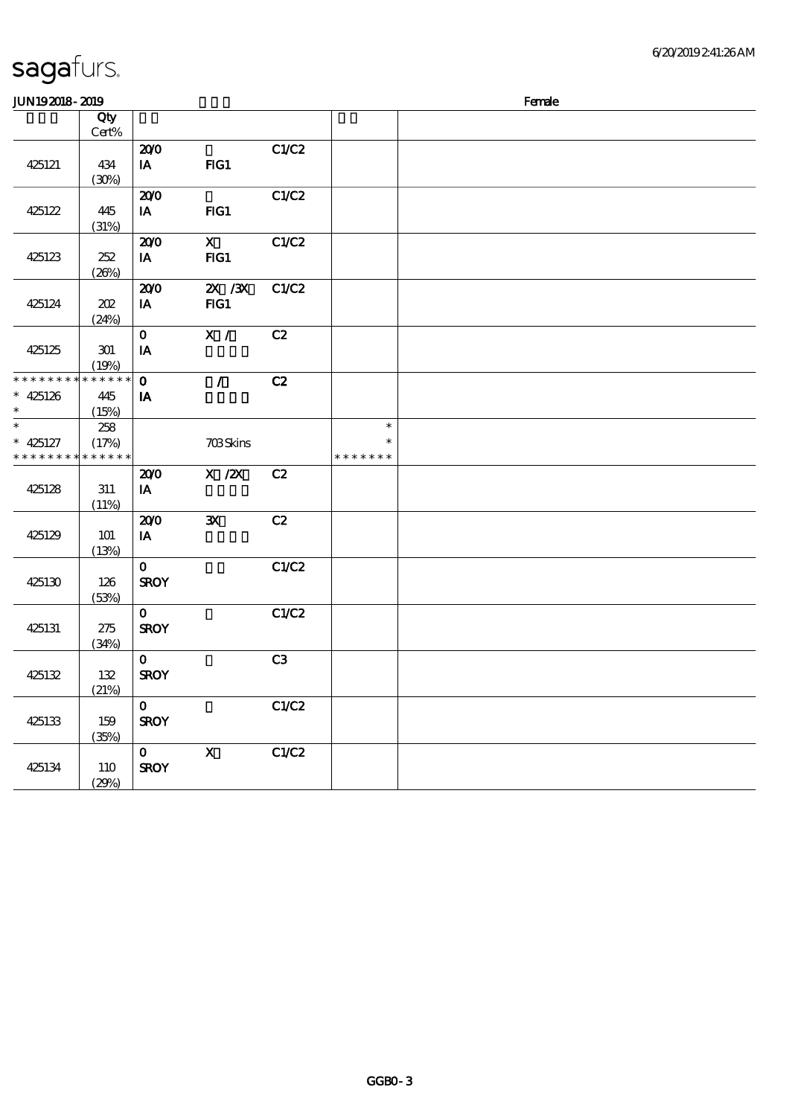| <b>JUN192018-2019</b>         |                      |              |                           |       |               | Female |
|-------------------------------|----------------------|--------------|---------------------------|-------|---------------|--------|
|                               | Qty                  |              |                           |       |               |        |
|                               | Cert%                |              |                           |       |               |        |
|                               |                      | 200          |                           | C1/C2 |               |        |
| 425121                        | 434                  | IA           | FIG1                      |       |               |        |
|                               | (30%)                |              |                           |       |               |        |
|                               |                      | 200          |                           | C1/C2 |               |        |
| 425122                        | 445                  | IA           | FIG1                      |       |               |        |
|                               | (31%)                |              |                           |       |               |        |
|                               |                      | 200          | $\boldsymbol{\mathsf{X}}$ | C1/C2 |               |        |
| 425123                        | 252                  | IA           | FG1                       |       |               |        |
|                               | (20%)                |              |                           |       |               |        |
|                               |                      | 200          | $ZX$ / $ZX$               | C1/C2 |               |        |
| 425124                        | 202                  | IA           | FG1                       |       |               |        |
|                               | (24%)                |              |                           |       |               |        |
|                               |                      | $\mathbf{o}$ | X /                       | C2    |               |        |
| 425125                        | 301                  | IA           |                           |       |               |        |
|                               | (19%)                |              |                           |       |               |        |
| * * * * * * * *               | * * * * * *          | $\mathbf 0$  | $\mathcal{L}$             | C2    |               |        |
| $* 425126$                    | 445                  | IA           |                           |       |               |        |
| $\ast$                        | (15%)                |              |                           |       |               |        |
| $\ast$                        |                      |              |                           |       | $\ast$        |        |
|                               | 258                  |              |                           |       | $\ast$        |        |
| $* 425127$<br>* * * * * * * * | (17%)<br>* * * * * * |              | 703Skins                  |       | * * * * * * * |        |
|                               |                      |              |                           |       |               |        |
|                               |                      | 200          | $X$ / $ZX$                | C2    |               |        |
| 425128                        | 311                  | IA           |                           |       |               |        |
|                               | (11%)                |              |                           |       |               |        |
|                               |                      | 200          | $\mathbf{x}$              | C2    |               |        |
| 425129                        | <b>101</b>           | IA           |                           |       |               |        |
|                               | (13%)                |              |                           |       |               |        |
|                               |                      | $\mathbf{O}$ |                           | C1/C2 |               |        |
| 425130                        | 126                  | <b>SROY</b>  |                           |       |               |        |
|                               | (53%)                |              |                           |       |               |        |
|                               |                      | $\mathbf{O}$ |                           | C1/C2 |               |        |
| 425131                        | 275                  | <b>SROY</b>  |                           |       |               |        |
|                               | (34%)                |              |                           |       |               |        |
|                               |                      | $\mathbf{O}$ |                           | C3    |               |        |
| 425132                        | 132                  | <b>SROY</b>  |                           |       |               |        |
|                               | (21%)                |              |                           |       |               |        |
|                               |                      | $\mathbf{O}$ |                           | C1/C2 |               |        |
| 425133                        | 159                  | <b>SROY</b>  |                           |       |               |        |
|                               | (35%)                |              |                           |       |               |        |
|                               |                      | $\mathbf{O}$ | $\boldsymbol{\mathrm{X}}$ | C1/C2 |               |        |
| 425134                        | 110                  | <b>SROY</b>  |                           |       |               |        |
|                               | (29%)                |              |                           |       |               |        |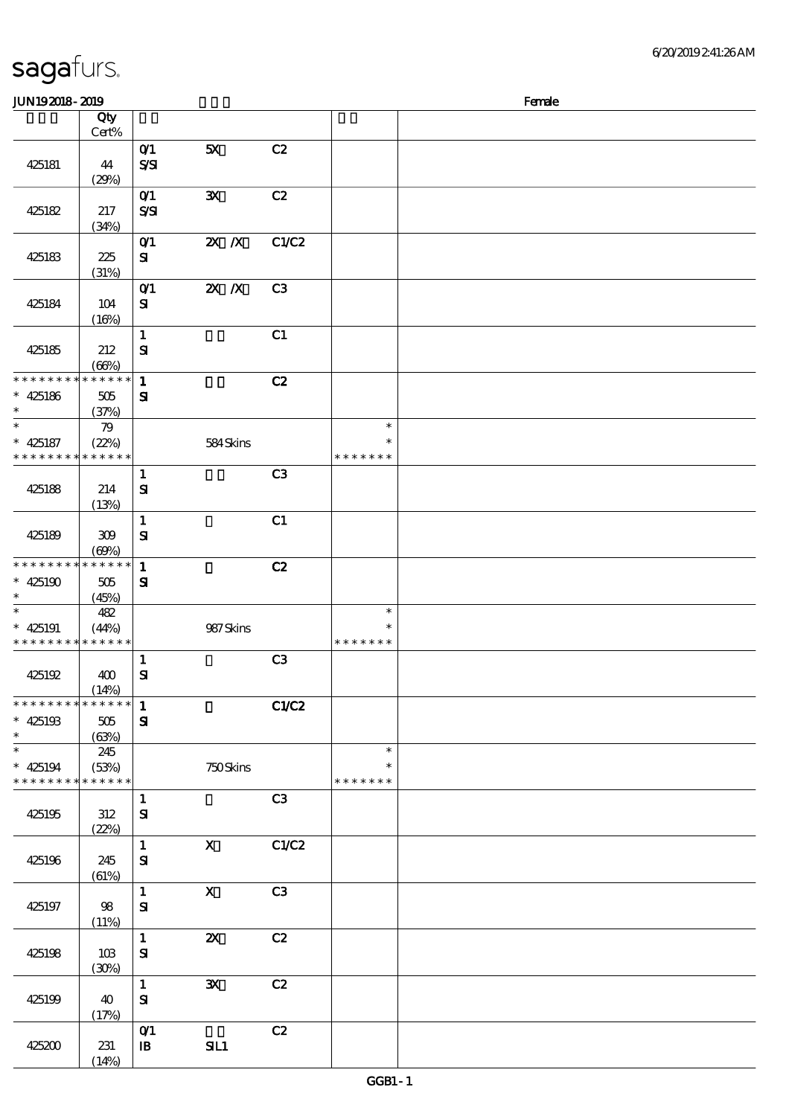|  | sagafurs. |  |
|--|-----------|--|
|  |           |  |

| JUN192018-2019                                     |                                 |                                                    |                           |                |                                   | Female |
|----------------------------------------------------|---------------------------------|----------------------------------------------------|---------------------------|----------------|-----------------------------------|--------|
|                                                    | Qty<br>Cert%                    |                                                    |                           |                |                                   |        |
| 425181                                             | 44<br>(29%)                     | O(1)<br>$S\mathcal{S}$                             | 5X                        | C2             |                                   |        |
| 425182                                             | 217<br>(34%)                    | O(1)<br>$S\mathcal{S}$                             | $\mathbf{x}$              | C2             |                                   |        |
| 425183                                             | 225<br>(31%)                    | $O$ <sup><math>\prime</math></sup><br>${\bf s}$    | $Z\!X$ $\,$ $Z\!X$        | C1/C2          |                                   |        |
| 425184                                             | 104<br>(16%)                    | O(1)<br>${\bf s}$                                  | $X$ $N$                   | C3             |                                   |        |
| 425185                                             | 212<br>(66%)                    | $\mathbf{1}$<br>${\bf S}$                          |                           | C1             |                                   |        |
| * * * * * * * *<br>$* 425186$<br>$\ast$            | $******$<br>505<br>(37%)        | $\mathbf{1}$<br>${\bf s}$                          |                           | C2             |                                   |        |
| $\overline{\ast}$<br>$* 425187$<br>* * * * * * * * | 79<br>(22%)<br>* * * * * *      |                                                    | 584Skins                  |                | $\ast$<br>$\ast$<br>* * * * * * * |        |
| 425188                                             | 214<br>(13%)                    | $\mathbf{1}$<br>${\bf s}$                          |                           | C3             |                                   |        |
| 425189                                             | 309<br>(60%)                    | $\mathbf{1}$<br>$\mathbf{S}$                       |                           | C1             |                                   |        |
| * * * * * * * *<br>$* 425190$<br>$\ast$            | * * * * * *<br>505<br>(45%)     | $\mathbf{1}$<br>${\bf s}$                          |                           | C2             |                                   |        |
| $\ast$<br>$* 425191$<br>* * * * * * * *            | 482<br>(44%)<br>* * * * * *     |                                                    | 987Skins                  |                | $\ast$<br>$\ast$<br>* * * * * * * |        |
| 425192                                             | 400<br>(14%)                    | $\mathbf{1}$<br>$\mathbf{S}$                       |                           | C3             |                                   |        |
| * * * * * * * *<br>$* 425193$<br>$\ast$            | * * * * * *<br>$505\,$<br>(63%) | $\mathbf{1}$<br>${\bf s}$                          |                           | C1/C2          |                                   |        |
| $\ast$<br>$* 425194$<br>* * * * * * * *            | 245<br>(53%)<br>* * * * * *     |                                                    | 750Skins                  |                | $\ast$<br>$\ast$<br>* * * * * * * |        |
| 425195                                             | $312\,$<br>(22%)                | $\mathbf{1}$<br>$\mathbf{S}$                       |                           | C3             |                                   |        |
| 425196                                             | 245<br>(61%)                    | $\mathbf{1}$<br>${\bf s}$                          | $\boldsymbol{\mathrm{X}}$ | C1/C2          |                                   |        |
| 425197                                             | 98<br>(11%)                     | $\mathbf{1}$<br>${\bf S\!I}$                       | $\mathbf X$               | C <sub>3</sub> |                                   |        |
| 425198                                             | 10B<br>(30%)                    | $\mathbf{1}$<br>${\bf S}$                          | $\boldsymbol{\mathsf{z}}$ | C2             |                                   |        |
| 425199                                             | 40<br>(17%)                     | $\mathbf{1}$<br>${\bf s}$                          | $\mathbf{x}$              | C2             |                                   |        |
| 425200                                             | 231<br>(14%)                    | $O$ <sup><math>\prime</math></sup><br>$\mathbf{B}$ | SL1                       | C2             |                                   |        |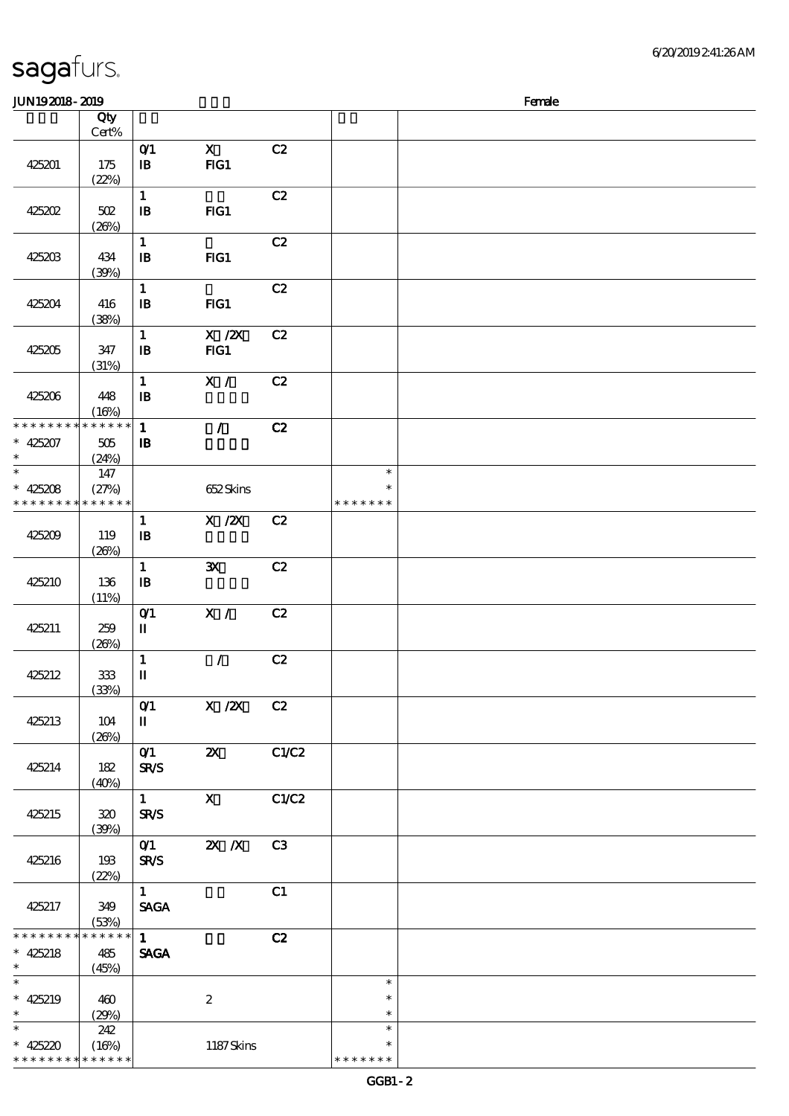\* \* \* \* \* \* \* \* \* \* \* \*

| <b>JUN192018-2019</b>              |              |                            |                  |       |               | Female |
|------------------------------------|--------------|----------------------------|------------------|-------|---------------|--------|
|                                    | Qty          |                            |                  |       |               |        |
|                                    | $Cert\%$     |                            |                  |       |               |        |
|                                    |              | O(1)                       | $\mathbf X$      | C2    |               |        |
| 425201                             | 175          | $\, {\bf I} \! {\bf B} \,$ | FG1              |       |               |        |
|                                    | (22%)        | $\mathbf{1}$               |                  | C2    |               |        |
| 425202                             | 502          | $\mathbf{B}$               | $HG1$            |       |               |        |
|                                    | (20%)        |                            |                  |       |               |        |
|                                    |              | $\mathbf{1}$               |                  | C2    |               |        |
| 425203                             | 434          | $\mathbf{B}$               | FG1              |       |               |        |
|                                    | (30%)        |                            |                  |       |               |        |
|                                    |              | $\mathbf{1}$               |                  | C2    |               |        |
| 425204                             | 416          | $\mathbf{B}$               | FG1              |       |               |        |
|                                    | (38%)        | $\mathbf{1}$               | $X$ / $ZX$       | C2    |               |        |
| 425205                             | 347          | $\mathbf{B}$               | FG1              |       |               |        |
|                                    | (31%)        |                            |                  |       |               |        |
|                                    |              | $\mathbf{1}$               | X /              | C2    |               |        |
| 425206                             | 448          | $\mathbf{B}$               |                  |       |               |        |
|                                    | (16%)        |                            |                  |       |               |        |
| * * * * * * * *                    | * * * * * *  | $\mathbf{1}$               | $\mathcal{L}$    | C2    |               |        |
| $* 425207$                         | 505          | $\mathbf{B}$               |                  |       |               |        |
| $\ast$<br>$\ast$                   | (24%)<br>147 |                            |                  |       | $\ast$        |        |
| $* 425208$                         | (27%)        |                            | 652Skins         |       | $\ast$        |        |
| * * * * * * * *                    | * * * * * *  |                            |                  |       | * * * * * * * |        |
|                                    |              | $\mathbf{1}$               | $X$ / $ZX$       | C2    |               |        |
| 425209                             | 119          | $\mathbf{B}$               |                  |       |               |        |
|                                    | (20%)        |                            |                  |       |               |        |
|                                    |              | $\mathbf{1}$               | $\mathbf{x}$     | C2    |               |        |
| 425210                             | 136          | $\mathbf{B}$               |                  |       |               |        |
|                                    | (11%)        |                            | X /              | C2    |               |        |
| 425211                             | 259          | $O$ $1$<br>$\mathbf I$     |                  |       |               |        |
|                                    | (20%)        |                            |                  |       |               |        |
|                                    |              | $\mathbf 1$                | $\mathcal{L}$    | C2    |               |        |
| 425212                             | $333$        | $\mathbf{I}\mathbf{I}$     |                  |       |               |        |
|                                    | (33%)        |                            |                  |       |               |        |
|                                    |              | O(1)                       | $X$ / $ZX$       | C2    |               |        |
| 425213                             | 104          | $\mathbf{I}$               |                  |       |               |        |
|                                    | (20%)        | $O$ <sup>1</sup>           | $\mathbf{Z}$     | C1/C2 |               |        |
| 425214                             | 182          | <b>SR/S</b>                |                  |       |               |        |
|                                    | (40%)        |                            |                  |       |               |        |
|                                    |              | $1 -$                      | $\mathbf{X}$     | C1/C2 |               |        |
| 425215                             | 320          | <b>SR/S</b>                |                  |       |               |        |
|                                    | (39%)        |                            |                  |       |               |        |
|                                    |              |                            | 01 2X X          | C3    |               |        |
| 425216                             | 193<br>(22%) | <b>SR/S</b>                |                  |       |               |        |
|                                    |              | $1 -$                      |                  | C1    |               |        |
| 425217                             | 349          | <b>SAGA</b>                |                  |       |               |        |
|                                    | (53%)        |                            |                  |       |               |        |
| * * * * * * * *                    | * * * * * *  | 1                          |                  | C2    |               |        |
| $* 425218$                         | 485          | <b>SAGA</b>                |                  |       |               |        |
| $\ast$<br>$\overline{\phantom{0}}$ | (45%)        |                            |                  |       | $\ast$        |        |
| $* 425219$                         | 460          |                            | $\boldsymbol{z}$ |       | $\ast$        |        |
| $\ast$                             | (29%)        |                            |                  |       | $\ast$        |        |
| $\ast$                             | 242          |                            |                  |       | $\ast$        |        |
| * 425220                           | (16%)        |                            | 1187Skins        |       | $\ast$        |        |

\* \* \* \* \* \*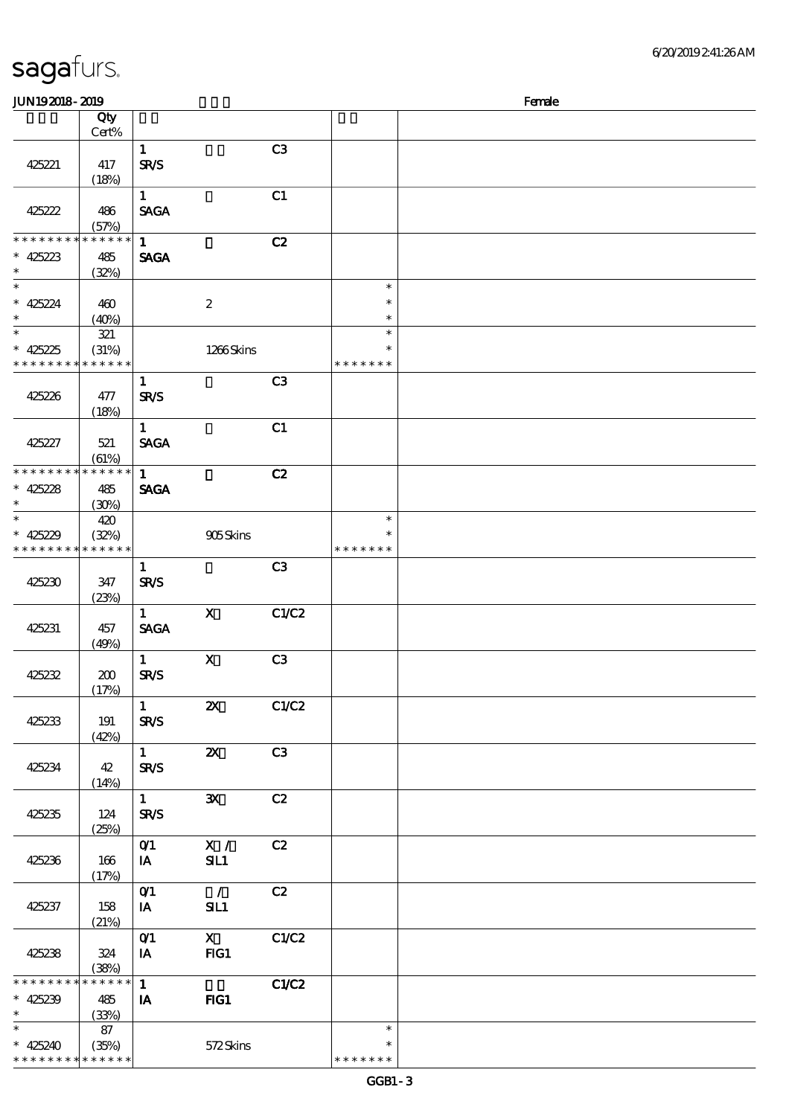| sagafurs.      |  |
|----------------|--|
| JUN192018-2019 |  |
|                |  |

| <b>JUN192018-2019</b>                                              |                             |                                       |                                 |                |                                   | Female |
|--------------------------------------------------------------------|-----------------------------|---------------------------------------|---------------------------------|----------------|-----------------------------------|--------|
|                                                                    | Qty                         |                                       |                                 |                |                                   |        |
|                                                                    | Cert%                       |                                       |                                 |                |                                   |        |
| 425221                                                             | 417<br>(18%)                | $\mathbf{1}$<br><b>SR/S</b>           |                                 | C <sub>3</sub> |                                   |        |
| 425222                                                             | 486<br>(57%)                | $\mathbf{1}$<br><b>SAGA</b>           |                                 | C1             |                                   |        |
| * * * * * * * *<br>$* 425223$<br>$\ast$                            | * * * * * *<br>485<br>(32%) | $\mathbf{1}$<br><b>SAGA</b>           |                                 | C2             |                                   |        |
| $\ast$<br>$* 425224$<br>$\ast$                                     | 460<br>(40%)                |                                       | $\boldsymbol{2}$                |                | $\ast$<br>$\ast$<br>$\ast$        |        |
| $\overline{\ast}$<br>$* 425225$<br>* * * * * * * * * * * * * *     | 321<br>(31%)                |                                       | 1266Skins                       |                | $\ast$<br>$\ast$<br>* * * * * * * |        |
| 425226                                                             | 477<br>(18%)                | $\mathbf{1}$<br><b>SR/S</b>           |                                 | C <sub>3</sub> |                                   |        |
| 425227                                                             | 521<br>(61%)                | $\mathbf{1}$<br><b>SAGA</b>           |                                 | C1             |                                   |        |
| * * * * * * * * * * * * * *<br>$* 425228$<br>$\ast$                | 485<br>(30%)                | $\mathbf{1}$<br><b>SAGA</b>           |                                 | C2             |                                   |        |
| $\ast$<br>$* 425229$<br>* * * * * * * * * * * * * *                | 420<br>(32%)                |                                       | 905Skins                        |                | $\ast$<br>* * * * * * *           |        |
| 425230                                                             | 347<br>(23%)                | $\mathbf{1}$<br><b>SR/S</b>           |                                 | C <sub>3</sub> |                                   |        |
| 425231                                                             | 457<br>(49%)                | $\mathbf{1}$<br><b>SAGA</b>           | $\mathbf{X}$                    | C1/C2          |                                   |        |
| 425232                                                             | 200<br>(17%)                | $\mathbf{1}$<br>SR/S                  | $\mathbf X$                     | C <sub>3</sub> |                                   |        |
| 425233                                                             | 191<br>(42%)                | $\mathbf{1}$<br><b>SR/S</b>           | $\boldsymbol{\mathsf{X}}$       | C1/C2          |                                   |        |
| 425234                                                             | 42<br>(14%)                 | $1 \qquad \qquad$<br><b>SR/S</b>      | $\boldsymbol{\alpha}$           | C3             |                                   |        |
| 425235                                                             | 124<br>(25%)                | $1 \quad \blacksquare$<br><b>SR/S</b> | $\mathbf{x}$                    | C2             |                                   |        |
| 425236                                                             | 166<br>(17%)                | O(1)<br><b>IA</b>                     | $\mathbf{X}$ /<br>SL1           | C2             |                                   |        |
| 425237                                                             | 158<br>(21%)                | O(1)<br>IA                            | $\overline{\phantom{a}}$<br>SL1 | C2             |                                   |        |
| 425238                                                             | 324<br>(38%)                | O(1)<br>$I$ A                         | $\mathbf x$<br>FG1              | C1/C2          |                                   |        |
| * * * * * * * * * * * * * *<br>$* 425239$<br>$\ast$                | 485<br>(33%)                | 1<br>$I$ A                            | $HG1$                           | C1/C2          |                                   |        |
| $\ast$<br>$* 425240$<br>* * * * * * * * <mark>* * * * * * *</mark> | 87<br>(35%)                 |                                       | 572Skins                        |                | $\ast$<br>*<br>* * * * * * *      |        |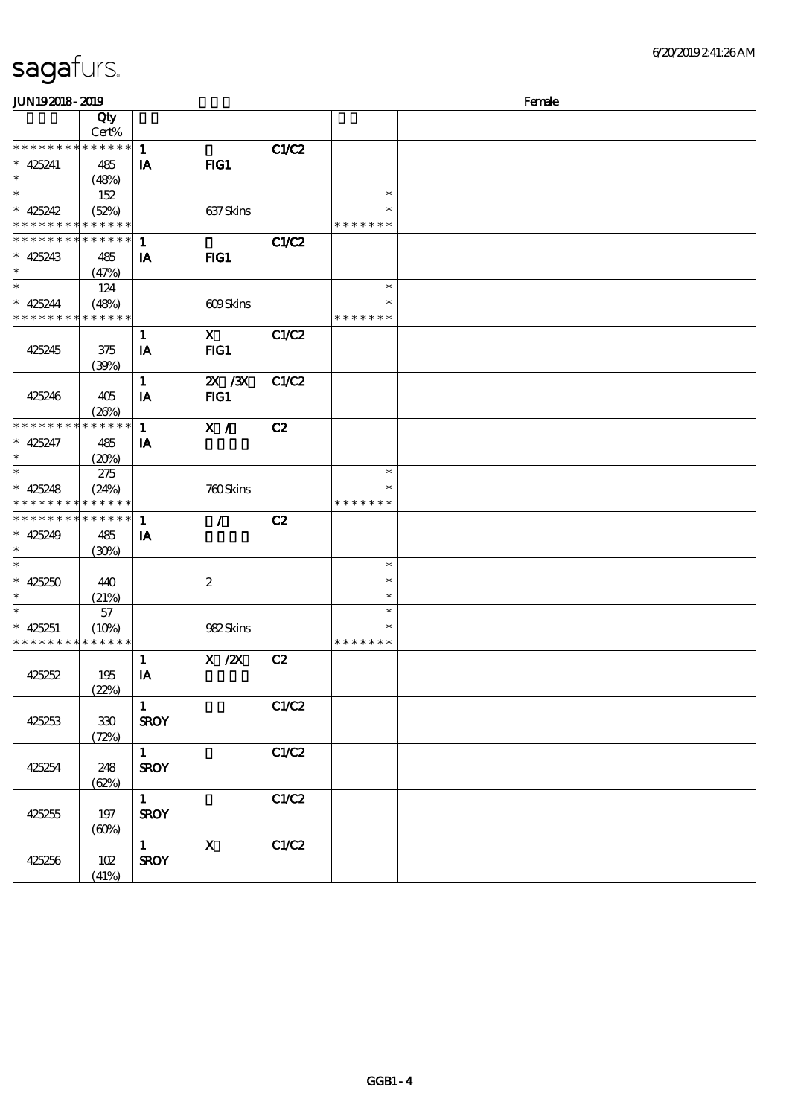| <b>JUN192018-2019</b>                                  |                                     |                             |                           |       | Female                  |  |  |  |
|--------------------------------------------------------|-------------------------------------|-----------------------------|---------------------------|-------|-------------------------|--|--|--|
|                                                        | Qty<br>Cert%                        |                             |                           |       |                         |  |  |  |
| * * * * * * * * <mark>* * * * * * *</mark>             |                                     | $\mathbf{1}$                |                           | C1/C2 |                         |  |  |  |
| $* 425241$<br>$\ast$                                   | 485<br>(48%)                        | IA                          | FIG1                      |       |                         |  |  |  |
| $\overline{\ast}$                                      | 152                                 |                             |                           |       | $\ast$                  |  |  |  |
| $* 425242$<br>* * * * *                                | (52%)<br>* * * * * *                |                             | 637 Skins                 |       | $\ast$<br>* * * * * * * |  |  |  |
| * * * * * * * * <mark>* * * * * *</mark>               |                                     | $\mathbf{1}$                |                           | C1/C2 |                         |  |  |  |
| $* 425243$<br>$\ast$                                   | 485<br>(47%)                        | IA                          | FIG1                      |       |                         |  |  |  |
| $\ast$                                                 | 124                                 |                             |                           |       | $\ast$                  |  |  |  |
| $* 425244$<br>* * * * * * * * <mark>* * * * * *</mark> | (48%)                               |                             | 609Skins                  |       | ∗<br>* * * * * * *      |  |  |  |
| 425245                                                 | 375<br>(30%)                        | $\mathbf{1}$<br>IA          | $\mathbf{X}$<br>$HG1$     | C1/C2 |                         |  |  |  |
| 425246                                                 | 405                                 | $\mathbf{1}$<br>IA          | 2X / 3X<br>FG1            | C1/C2 |                         |  |  |  |
| * * * * * * * *                                        | (20%)<br>$\ast\ast\ast\ast\ast\ast$ |                             |                           |       |                         |  |  |  |
| $* 425247$<br>$\ast$                                   | 485<br>(20%)                        | $\mathbf{1}$<br>IA          | X /                       | C2    |                         |  |  |  |
| $\ast$                                                 | 275                                 |                             |                           |       | $\ast$                  |  |  |  |
| $* 425248$                                             | (24%)<br>* * * * * * * * *          |                             | 760Skins                  |       | $\ast$<br>* * * * * * * |  |  |  |
| * * * * * * * * * * * * * * *                          |                                     | $\mathbf{1}$                | $\mathcal{L}$             | C2    |                         |  |  |  |
| $* 425249$<br>$\ast$                                   | 485<br>(30%)                        | IA                          |                           |       |                         |  |  |  |
| $\ast$                                                 |                                     |                             |                           |       | $\ast$                  |  |  |  |
| $* 425250$<br>$\ast$                                   | 440<br>(21%)                        |                             | $\boldsymbol{2}$          |       | $\ast$<br>$\ast$        |  |  |  |
| $\ast$                                                 | 57                                  |                             |                           |       | $\ast$                  |  |  |  |
| $* 425251$<br>* * * * * * * * * * * * * *              | (10%)                               |                             | 982Skins                  |       | $\ast$<br>* * * * * * * |  |  |  |
| 425252                                                 | 195<br>(22%)                        | $\mathbf{1}$<br>IA          | $X$ / $ZX$                | C2    |                         |  |  |  |
| 425253                                                 | $30\,$<br>(72%)                     | $\mathbf{1}$<br><b>SROY</b> |                           | C1/C2 |                         |  |  |  |
| 425254                                                 | 248<br>(62%)                        | $\mathbf{1}$<br><b>SROY</b> |                           | C1/C2 |                         |  |  |  |
| 425255                                                 | 197<br>(60%)                        | $\mathbf{1}$<br><b>SROY</b> |                           | C1/C2 |                         |  |  |  |
| 425256                                                 | 102<br>(41%)                        | $\mathbf{1}$<br><b>SROY</b> | $\boldsymbol{\mathrm{X}}$ | C1/C2 |                         |  |  |  |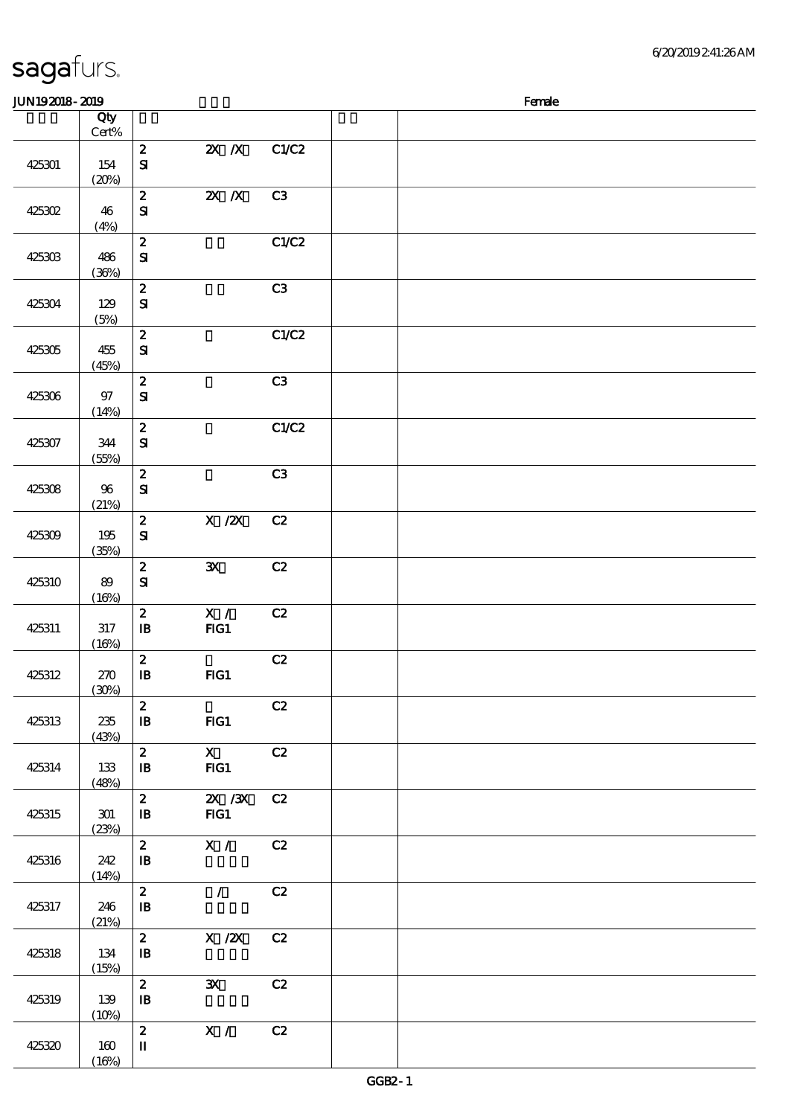|  | sagafurs. |  |
|--|-----------|--|
|  |           |  |

 $(16%)$ 

#### 顺序号 Qty Cert% 说明 价格 425301 154  $(20%)$ 2 2X /X C1/C2 SI 425302 46  $(4%)$ 2 2X X C3 SI 425303 486 (36%)  $2$  C1/C2 SI 425304 129 (5%)  $\overline{2}$  C3 SI 425305 455 (45%)  $2$  C1/C2 SI 425306 97 (14%) 2 C3 SI 425307 344 (55%)  $2$  C1/C2 SI 425308 96 (21%)  $2 \hspace{1.5cm} C3$ SI 425309 195 (35%)  $2$  X  $\cancel{2}$  C<sub>2</sub> SI 425310 89  $(16%)$  $2 \quad 3X \quad C2$ SI 425311 317  $(16%)$ 2 X / C2 IB FIG1 425312 270 (30%)  $\overline{c}$   $\overline{c}$   $\overline{c}$   $\overline{c}$   $\overline{c}$   $\overline{c}$   $\overline{c}$   $\overline{c}$   $\overline{c}$   $\overline{c}$   $\overline{c}$   $\overline{c}$   $\overline{c}$   $\overline{c}$   $\overline{c}$   $\overline{c}$   $\overline{c}$   $\overline{c}$   $\overline{c}$   $\overline{c}$   $\overline{c}$   $\overline{c}$   $\overline{c}$   $\overline{c}$   $\overline{$ IB FIG1 425313 235 (43%)  $\overline{c}$   $\overline{c}$   $\overline{c}$   $\overline{c}$   $\overline{c}$   $\overline{c}$   $\overline{c}$   $\overline{c}$   $\overline{c}$   $\overline{c}$   $\overline{c}$   $\overline{c}$   $\overline{c}$   $\overline{c}$   $\overline{c}$   $\overline{c}$   $\overline{c}$   $\overline{c}$   $\overline{c}$   $\overline{c}$   $\overline{c}$   $\overline{c}$   $\overline{c}$   $\overline{c}$   $\overline{$ IB FIG1 425314 133 (48%)  $\overline{z}$   $\overline{x}$   $\overline{c}$   $\overline{c}$ IB FIG1 425315 301 (23%) 2 2X /3X C2 IB FIG1 425316 242  $(14%)$ 2 X / C2  $\mathbf{B}$ 425317 246 (21%)  $\overline{2}$  / C<sub>2</sub>  $\mathbf{B}$ 425318 134  $(15%)$  $2$  X  $\cancel{2}$  C<sub>2</sub>  $\mathbf{B}$ 425319 139  $(10%)$  $2 \t 3X \t C2$  $\mathbf{B}$ 425320 160 2 X / C2 II

 $J/N192018$ - 2019  $R$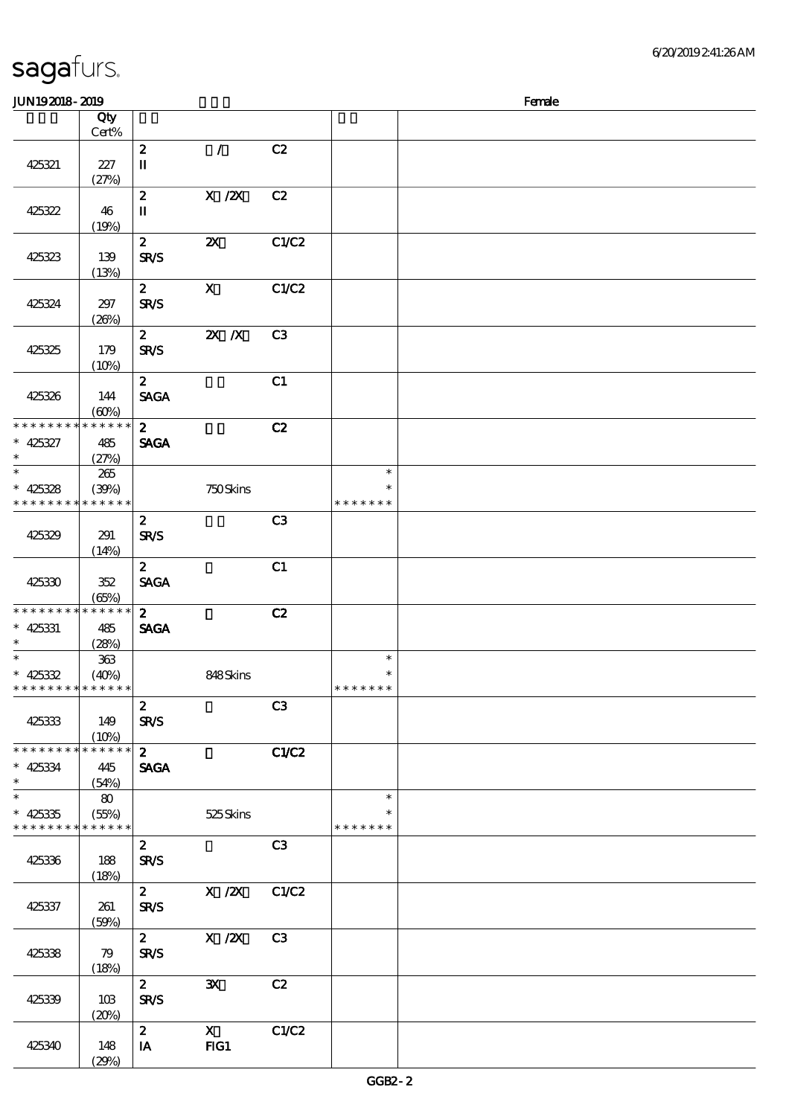| <b>JUN192018-2019</b>                               |                             |                                            |                           |                |                                   | Female |
|-----------------------------------------------------|-----------------------------|--------------------------------------------|---------------------------|----------------|-----------------------------------|--------|
|                                                     | Qty                         |                                            |                           |                |                                   |        |
|                                                     | Cert%                       |                                            |                           |                |                                   |        |
| 425321                                              | 227<br>(27%)                | $\boldsymbol{z}$<br>$\mathbf{I}\mathbf{I}$ | $\mathcal{L}$             | C2             |                                   |        |
| 425322                                              | 46<br>(19%)                 | $\boldsymbol{z}$<br>$\mathbf I$            | $X$ / $ZX$                | C2             |                                   |        |
| 425323                                              | 139<br>(13%)                | $\boldsymbol{z}$<br><b>SR/S</b>            | $\boldsymbol{\mathsf{z}}$ | C1/C2          |                                   |        |
| 425324                                              | 297<br>(20%)                | $\mathbf{z}$<br><b>SR/S</b>                | $\mathbf x$               | C1/C2          |                                   |        |
| 425325                                              | 179<br>(10%)                | $\mathbf{2}$<br><b>SR/S</b>                | $\overline{\mathbf{z}}$ X | C <sub>3</sub> |                                   |        |
| 425326                                              | 144<br>(60%)                | 2 <sup>7</sup><br><b>SAGA</b>              |                           | C1             |                                   |        |
| * * * * * * * *<br>$* 425327$<br>$\ast$             | * * * * * *<br>485<br>(27%) | $\mathbf{2}$<br><b>SAGA</b>                |                           | C2             |                                   |        |
| $\overline{\ast}$<br>$* 425328$<br>* * * * * * * *  | 265<br>(39%)<br>* * * * * * |                                            | 750Skins                  |                | $\ast$<br>$\ast$<br>* * * * * * * |        |
| 425329                                              | 291<br>(14%)                | $\boldsymbol{2}$<br><b>SR/S</b>            |                           | C <sub>3</sub> |                                   |        |
| 425330                                              | 352<br>(65%)                | $\mathbf{2}$<br><b>SAGA</b>                |                           | C1             |                                   |        |
| * * * * * * * *<br>* 425331<br>$\ast$               | * * * * * *<br>485<br>(28%) | $\mathbf{z}$<br><b>SAGA</b>                |                           | C2             |                                   |        |
| $* 425332$<br>* * * * * * * * * * * * * *           | 363<br>(40%)                |                                            | 848Skins                  |                | $\ast$<br>$\ast$<br>* * * * * * * |        |
| 425333                                              | 149<br>(10%)                | $\mathbf{2}$<br><b>SR/S</b>                |                           | C3             |                                   |        |
| ********<br>$* 425334$<br>$\ast$                    | * * * * * *<br>445<br>(54%) | $2^{\circ}$<br><b>SAGA</b>                 |                           | C1/C2          |                                   |        |
| $\ast$<br>$* 425335$<br>* * * * * * * * * * * * * * | 80<br>(55%)                 |                                            | 525Skins                  |                | $\ast$<br>* * * * * * *           |        |
| 425336                                              | 188<br>(18%)                | $\boldsymbol{z}$<br><b>SR/S</b>            |                           | C <sub>3</sub> |                                   |        |
| 425337                                              | 261<br>(50%)                | $\mathbf{2}$<br><b>SR/S</b>                | $X / ZX$ $C1/C2$          |                |                                   |        |
| 425338                                              | 79<br>(18%)                 | $\mathbf{2}$<br><b>SR/S</b>                | $X$ / $ZX$                | C3             |                                   |        |
| 425339                                              | 10B<br>(20%)                | $2^{\circ}$<br><b>SR/S</b>                 | $\mathbf{x}$              | C2             |                                   |        |
| 425340                                              | 148<br>(29%)                | 2 <sup>7</sup><br>IA                       | $\mathbf{X}$<br>FG1       | C1/C2          |                                   |        |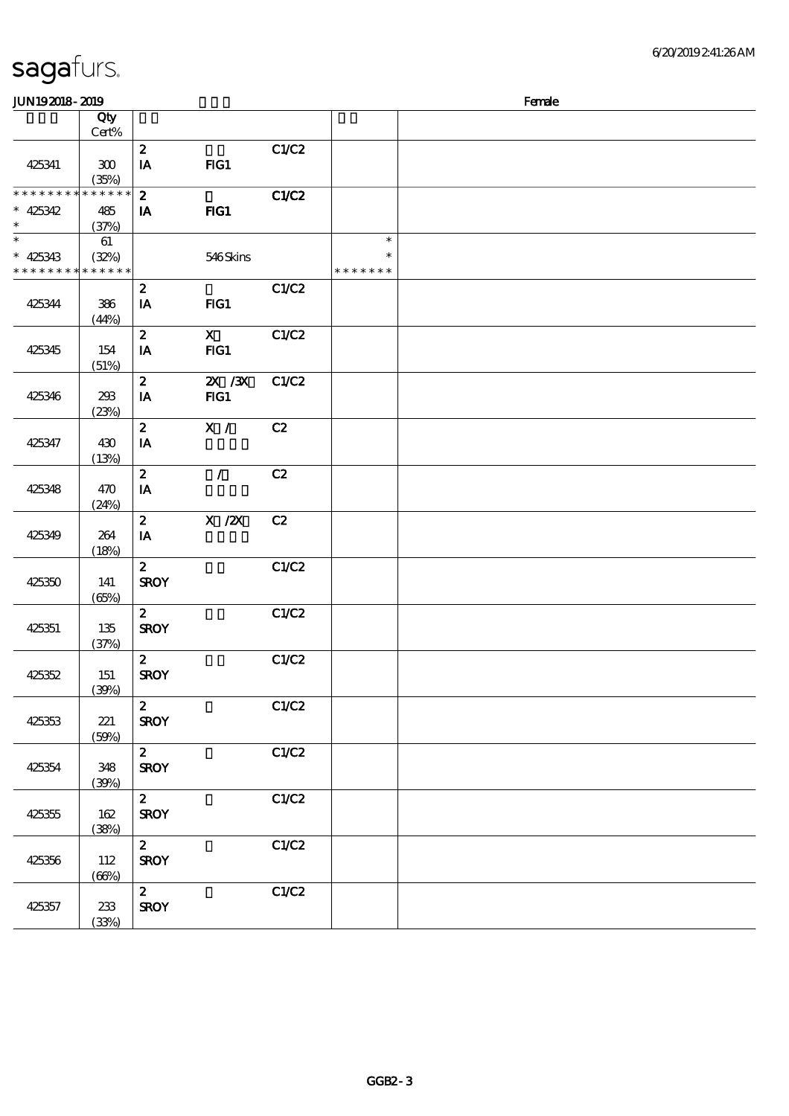| JUN192018-2019                                      |                                |                                 |                       |       | Female                            |  |  |  |  |
|-----------------------------------------------------|--------------------------------|---------------------------------|-----------------------|-------|-----------------------------------|--|--|--|--|
|                                                     | Qty<br>$Cert\%$                |                                 |                       |       |                                   |  |  |  |  |
| 425341                                              | 300<br>(35%)                   | $\boldsymbol{z}$<br>IA          | FG1                   | C1/C2 |                                   |  |  |  |  |
| * * * * * * * * * * * * * *<br>$* 425342$<br>$\ast$ | 485<br>(37%)                   | $\boldsymbol{2}$<br>IA          | FIG1                  | C1/C2 |                                   |  |  |  |  |
| $\ast$<br>$* 425343$<br>* * * * * * * *             | 61<br>(32%)<br>$* * * * * * *$ |                                 | 546Skins              |       | $\ast$<br>$\ast$<br>* * * * * * * |  |  |  |  |
| 425344                                              | 386<br>(44%)                   | $\boldsymbol{z}$<br>IA          | FG1                   | C1/C2 |                                   |  |  |  |  |
| 425345                                              | 154<br>(51%)                   | $\boldsymbol{z}$<br>IA          | $\mathbf{X}$<br>$HG1$ | C1/C2 |                                   |  |  |  |  |
| 425346                                              | 293<br>(23%)                   | $\boldsymbol{z}$<br>IA          | $X \, X$<br>$HG1$     | C1/C2 |                                   |  |  |  |  |
| 425347                                              | 430<br>(13%)                   | $\boldsymbol{z}$<br>IA          | X /                   | C2    |                                   |  |  |  |  |
| 425348                                              | 470<br>(24%)                   | $\boldsymbol{z}$<br>IA          | $\mathcal{L}$         | C2    |                                   |  |  |  |  |
| 425349                                              | 264<br>(18%)                   | $\boldsymbol{z}$<br>IA          | $X$ / $ZX$            | C2    |                                   |  |  |  |  |
| 425350                                              | 141<br>(65%)                   | $\boldsymbol{z}$<br><b>SROY</b> |                       | C1/C2 |                                   |  |  |  |  |
| 425351                                              | 135<br>(37%)                   | $\boldsymbol{2}$<br><b>SROY</b> |                       | C1/C2 |                                   |  |  |  |  |
| 425352                                              | 151<br>(39%)                   | $\boldsymbol{z}$<br><b>SROY</b> |                       | C1/C2 |                                   |  |  |  |  |
| 425353                                              | 221<br>(50%)                   | $\boldsymbol{z}$<br><b>SROY</b> |                       | C1/C2 |                                   |  |  |  |  |
| 425354                                              | 348<br>(30%)                   | $\mathbf{2}$<br><b>SROY</b>     |                       | C1/C2 |                                   |  |  |  |  |
| 425355                                              | 162<br>(38%)                   | $\boldsymbol{z}$<br><b>SROY</b> |                       | C1/C2 |                                   |  |  |  |  |
| 425356                                              | 112<br>(66%)                   | $\mathbf{z}$<br><b>SROY</b>     |                       | C1/C2 |                                   |  |  |  |  |
| 425357                                              | 233<br>(33%)                   | $\mathbf{z}$<br><b>SROY</b>     |                       | C1/C2 |                                   |  |  |  |  |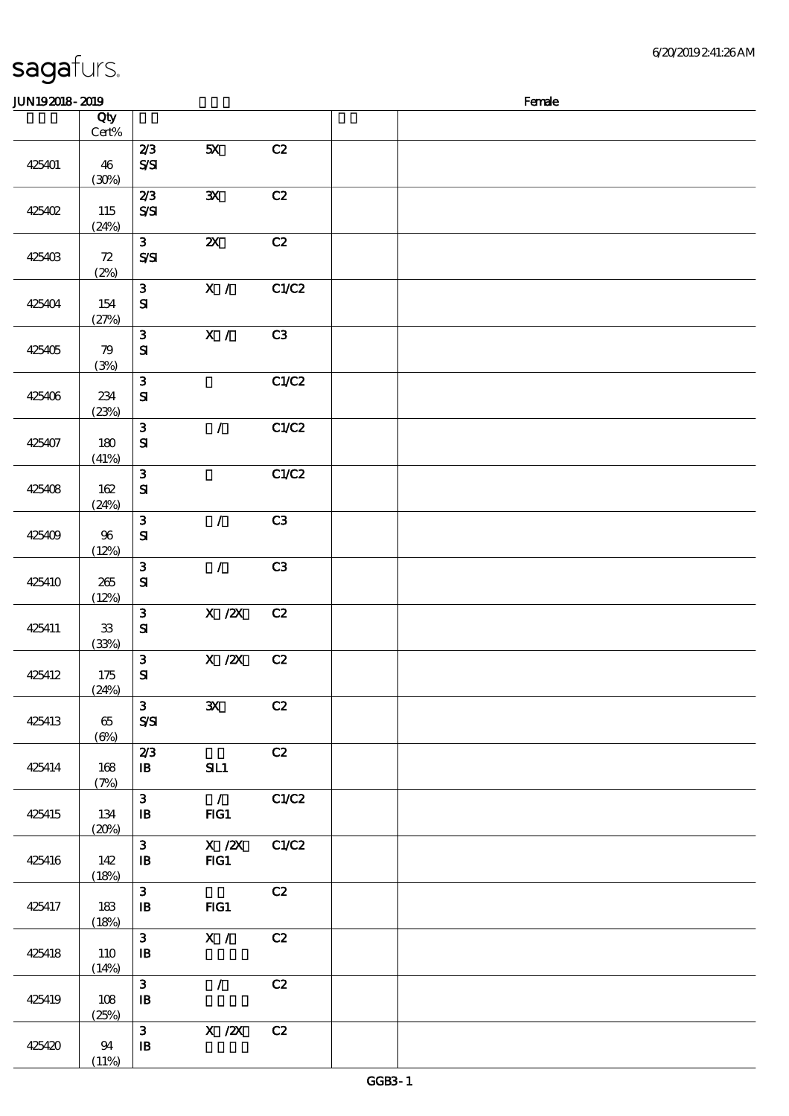|  |  | sagafurs. |
|--|--|-----------|
|--|--|-----------|

#### $JUN192018-2019$  Female 顺序号 Qty Cert% 说明 价格 425401 46  $(30%)$  $\overline{2/3}$  5X  $\overline{C2}$ S/SI 425402 115 (24%) 2/3 3X C2 S/SI 425403 72 (2%) 3  $2X$  C S/SI 425404 154 (27%) 3 X/ C1/C2 SI 425405 79 (3%) 3 X/ C3 SI  $3$  C1/C2

|        | (24%)               |                                            |                                                     |                |  |
|--------|---------------------|--------------------------------------------|-----------------------------------------------------|----------------|--|
| 425403 | 72<br>(2%)          | 3 <sup>1</sup><br>$S\mathcal{S}$           | $\boldsymbol{\mathsf{X}}$                           | C2             |  |
| 425404 | 154<br>(27%)        | 3 <sup>1</sup><br>${\bf s}$                | X /                                                 | C1/C2          |  |
| 425405 | 79<br>(3%)          | $\mathbf{3}$<br>${\bf S}$                  | X /                                                 | C3             |  |
| 425406 | 234<br>(23%)        | $\mathbf{3}$<br>${\bf S\!I}$               |                                                     | C1/C2          |  |
| 425407 | 180<br>(41%)        | $\mathbf{3}$<br>${\bf s}$                  | $\mathcal{L}$                                       | C1/C2          |  |
| 425408 | 162<br>(24%)        | $\mathbf{3}$<br>${\bf S}$                  |                                                     | C1/C2          |  |
| 425409 | $96\,$<br>(12%)     | $\mathbf{3}$<br>${\bf S\!I}$               | $\mathcal{L}$                                       | C3             |  |
| 425410 | 265<br>(12%)        | $\mathbf{3}$<br>${\bf S}$                  | $\mathcal{L}$                                       | C <sub>3</sub> |  |
| 425411 | ${\bf 33}$<br>(33%) | $\mathbf{3}$<br>${\bf S\hspace{-.075ex}I}$ | $X \, /ZX$                                          | C2             |  |
| 425412 | 175<br>(24%)        | $\mathbf{3}$<br>${\bf s}$                  | $X$ / $ZX$                                          | C2             |  |
| 425413 | 65<br>$(\Theta)$    | 3 <sup>1</sup><br>$S\mathcal{S}$           | $\mathbf{x}$                                        | C2             |  |
| 425414 | 168<br>(7%)         | 2/3<br>$\mathbf{B}$                        | SL1                                                 | C2             |  |
| 425415 | $134\,$<br>(20%)    | $\mathbf{3}$<br>$\, {\bf I} \! {\bf B} \,$ | $\mathcal{L}$<br>FG1                                | C1/C2          |  |
| 425416 | 142<br>(18%)        | $\mathbf{3}$<br>$\, {\bf I} \! {\bf B} \,$ | $X \, /ZX$<br>FG1                                   | C1/C2          |  |
| 425417 | 183<br>(18%)        | $\mathbf{3}$<br>$\, {\bf I} \! {\bf B} \,$ | $HG1$                                               | C2             |  |
| 425418 | 110<br>(14%)        | $\mathbf{3}$<br>$\, {\bf I} \! {\bf B} \,$ | $\mathbf{X}$ /                                      | C2             |  |
| 425419 | 108<br>(25%)        | $\mathbf{3}$<br>$\mathbf{B}$               | $\mathcal{L}$                                       | C2             |  |
| 425420 | 94<br>(11%)         | $\mathbf{3}$<br>$\, {\bf I} \! {\bf B} \,$ | $\boldsymbol{X}$ / $\boldsymbol{Z}\!\boldsymbol{X}$ | C2             |  |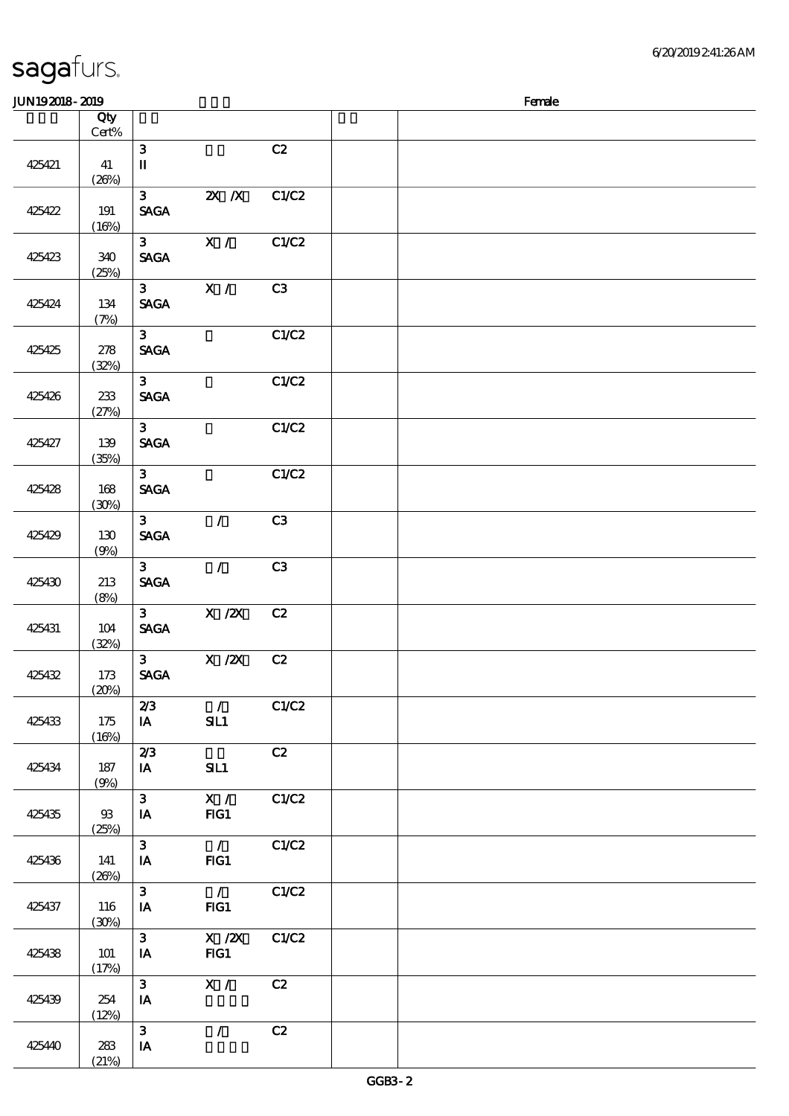$(21%)$ 

|        | Qty<br>$Cert\%$       |                               |                                                                                       |       |  |
|--------|-----------------------|-------------------------------|---------------------------------------------------------------------------------------|-------|--|
| 425421 | 41<br>(20%)           | 3<br>$\mathbf I$              |                                                                                       | C2    |  |
| 425422 | 191                   | 3 <sup>1</sup><br><b>SAGA</b> | $X$ $N$                                                                               | C1/C2 |  |
| 425423 | (16%)<br>340<br>(25%) | 3 <sup>1</sup><br><b>SAGA</b> | X /                                                                                   | C1/C2 |  |
| 425424 | $134\,$<br>(7%)       | 3 <sub>1</sub><br><b>SAGA</b> | X /                                                                                   | C3    |  |
| 425425 | 278<br>(32%)          | 3 <sup>1</sup><br><b>SAGA</b> |                                                                                       | C1/C2 |  |
| 425426 | 233<br>(27%)          | 3 <sup>7</sup><br><b>SAGA</b> |                                                                                       | C1/C2 |  |
| 425427 | 139<br>(35%)          | 3 <sup>1</sup><br><b>SAGA</b> |                                                                                       | C1/C2 |  |
| 425428 | 168<br>(30%)          | 3 <sub>o</sub><br><b>SAGA</b> |                                                                                       | C1/C2 |  |
| 425429 | 130<br>(9%)           | 3 <sup>1</sup><br><b>SAGA</b> | $\mathcal{L}$                                                                         | C3    |  |
| 425430 | 213<br>(8%)           | 3 <sup>1</sup><br><b>SAGA</b> | $\mathcal{T}^{\pm}$                                                                   | C3    |  |
| 425431 | 104<br>(32%)          | 3 <sup>7</sup><br><b>SAGA</b> | $X$ / $ZX$                                                                            | C2    |  |
| 425432 | 173<br>(20%)          | 3 <sup>1</sup><br><b>SAGA</b> | X / ZX                                                                                | C2    |  |
| 425433 | 175<br>(16%)          | 2/3<br>$\mathbf{I}\mathbf{A}$ | $\mathcal{L}$<br>SL1                                                                  | C1/C2 |  |
| 425434 | $187\,$<br>(9%)       | 2/3<br>IA                     | SL1                                                                                   | C2    |  |
| 425435 | 93<br>(25%)           | $\mathbf{3}$<br>IA            | X /<br>FG1                                                                            | C1/C2 |  |
| 425436 | 141<br>(20%)          | $\mathbf{3}$<br>IA            | $\overline{1}$<br>FG1                                                                 | C1/C2 |  |
| 425437 | 116<br>(30%)          | $\mathbf{3}$<br>$I$ A         | $\overline{1}$<br>FG1                                                                 | C1/C2 |  |
| 425438 | 101<br>(17%)          | $\mathbf{3}$<br>IA            | $\boldsymbol{\mathrm{X}}$ / $\boldsymbol{\mathrm{Z}}\!\boldsymbol{\mathrm{X}}$<br>FG1 | C1/C2 |  |
| 425439 | 254<br>(12%)          | $\mathbf{3}$<br>IA            | X /                                                                                   | C2    |  |
| 425440 | $283\,$               | $\mathbf{3}$<br>IA            | $\mathcal{L}$                                                                         | C2    |  |

 $J/N192018$ - $2019$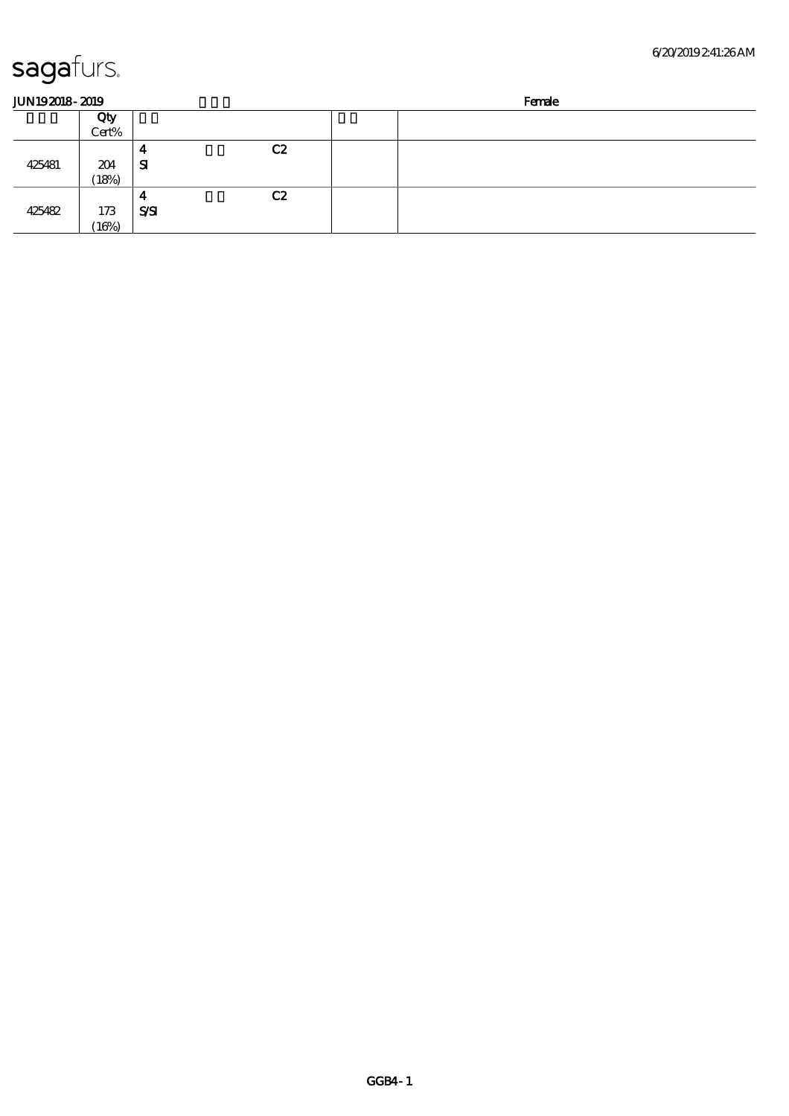| <b>JUN192018-2019</b> |       |            |                | Female |
|-----------------------|-------|------------|----------------|--------|
|                       | Qty   |            |                |        |
|                       | Cert% | 4          | C <sub>2</sub> |        |
| 425481                | 204   | ${\bf s}$  |                |        |
|                       | (18%) |            |                |        |
|                       |       | -          | C2             |        |
| 425482                | 173   | <b>SSI</b> |                |        |
|                       | (16%) |            |                |        |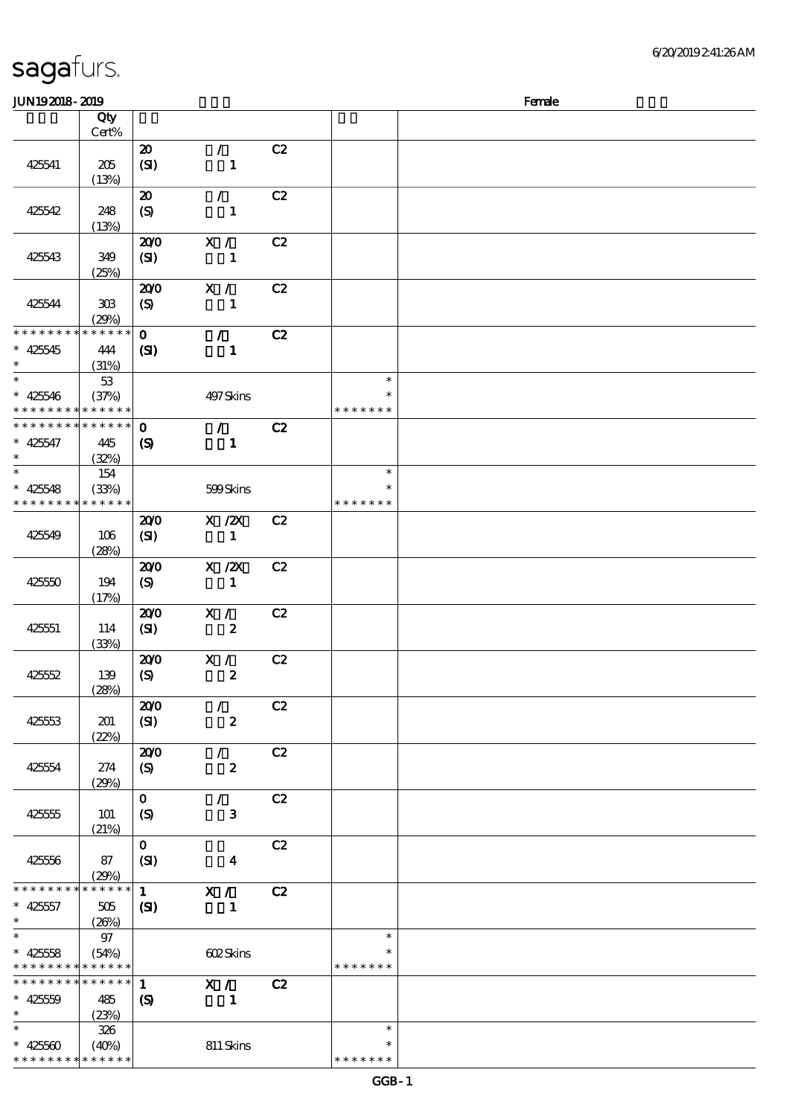| JUN192018-2019                           |                 |                             |                         |    |               | Female |
|------------------------------------------|-----------------|-----------------------------|-------------------------|----|---------------|--------|
|                                          | Qty             |                             |                         |    |               |        |
|                                          | Cert%           |                             |                         |    |               |        |
|                                          |                 | $\boldsymbol{\mathfrak{D}}$ | $\mathcal{L}$           | C2 |               |        |
| 425541                                   | $205\,$         | (SI)                        | $\mathbf{1}$            |    |               |        |
|                                          | (13%)           |                             |                         |    |               |        |
|                                          |                 | $\boldsymbol{\mathfrak{D}}$ | $\mathcal{F}$           | C2 |               |        |
| 425542                                   | 248             | (S)                         | $\mathbf{1}$            |    |               |        |
|                                          | (13%)           |                             |                         |    |               |        |
|                                          |                 | 200                         | X /                     | C2 |               |        |
| 425543                                   | 349             | (SI)                        | 1                       |    |               |        |
|                                          | (25%)           |                             |                         |    |               |        |
|                                          |                 | 200                         | X /                     | C2 |               |        |
| 425544                                   | $30\!\!\!\;\,$  | $\boldsymbol{S}$            | $\mathbf{1}$            |    |               |        |
|                                          | (29%)           |                             |                         |    |               |        |
| * * * * * * * *                          | * * * * * *     | $\mathbf{O}$                | $\mathcal{L}$           | C2 |               |        |
| $* 425545$                               | 444             | (S)                         | $\mathbf{1}$            |    |               |        |
| $\ast$                                   | (31%)           |                             |                         |    |               |        |
| $\ast$                                   | $53\,$          |                             |                         |    | $\ast$        |        |
| $* 425546$                               | (37%)           |                             | 497 Skins               |    | $\ast$        |        |
| * * * * * * * *                          | * * * * * *     |                             |                         |    | * * * * * * * |        |
| * * * * * * * *                          | $* * * * * * *$ | $\mathbf{o}$                | $\mathcal{L}$           | C2 |               |        |
| $* 425547$                               | 445             | $\boldsymbol{S}$            | $\mathbf{1}$            |    |               |        |
| $\ast$                                   | (32%)           |                             |                         |    |               |        |
| $\ast$                                   | 154             |                             |                         |    | $\ast$        |        |
| $* 425548$                               | (33%)           |                             | 599Skins                |    | $\ast$        |        |
| * * * * * * * *                          | * * * * * *     |                             |                         |    | * * * * * * * |        |
|                                          |                 | 200                         | $X$ / $ZX$              | C2 |               |        |
| 425549                                   | 106             | (SI)                        | $\mathbf{1}$            |    |               |        |
|                                          | (28%)           |                             |                         |    |               |        |
|                                          |                 | 200                         | $X$ / $ZX$              | C2 |               |        |
| 425550                                   | 194             | (S)                         | $\mathbf{1}$            |    |               |        |
|                                          | (17%)           |                             |                         |    |               |        |
|                                          |                 | 200                         | X /                     | C2 |               |        |
| 425551                                   | 114             | (SI)                        | $\boldsymbol{z}$        |    |               |        |
|                                          | (33%)           |                             |                         |    |               |        |
|                                          |                 | 200                         | X /<br>$\pmb{2}$        | C2 |               |        |
| 425552                                   | 139<br>(28%)    | $\boldsymbol{S}$            |                         |    |               |        |
|                                          |                 | 200                         | $\mathcal{L}$           | C2 |               |        |
| 425553                                   | 201             | (SI)                        | $\pmb{2}$               |    |               |        |
|                                          | (22%)           |                             |                         |    |               |        |
|                                          |                 | 200                         | $\mathcal{L}$           | C2 |               |        |
| 425554                                   | 274             | $\boldsymbol{S}$            | $\boldsymbol{z}$        |    |               |        |
|                                          | (29%)           |                             |                         |    |               |        |
|                                          |                 | $\mathbf{O}$                | $\sqrt{2}$              | C2 |               |        |
| 425555                                   | 101             | (S)                         | 3                       |    |               |        |
|                                          | (21%)           |                             |                         |    |               |        |
|                                          |                 | $\mathbf{0}$                |                         | C2 |               |        |
| 425556                                   | 87              | (SI)                        | $\overline{\mathbf{4}}$ |    |               |        |
|                                          | (29%)           |                             |                         |    |               |        |
| * * * * * * * *                          | * * * * * *     | $\mathbf{1}$                | X /                     | C2 |               |        |
| $* 42557$                                | 505             | $\mathbf{C}$                | $\mathbf{1}$            |    |               |        |
| $\ast$                                   | (26%)           |                             |                         |    |               |        |
| $\ast$                                   | 97              |                             |                         |    | $\ast$        |        |
| $* 42558$                                | (54%)           |                             | 602Skins                |    |               |        |
| * * * * * * * * <mark>* * * * * *</mark> |                 |                             |                         |    | * * * * * * * |        |
| * * * * * * * *                          | ******          | $\mathbf{1}$                | X /                     | C2 |               |        |
| $* 42550$                                | 485             | $\boldsymbol{S}$            | $\mathbf{1}$            |    |               |        |
| $\ast$                                   | (23%)           |                             |                         |    |               |        |
| $\ast$                                   | 326             |                             |                         |    | $\ast$        |        |
| $* 42560$                                | (40%)           |                             | 811 Skins               |    | $\ast$        |        |
| * * * * * * * *                          | * * * * * *     |                             |                         |    | * * * * * * * |        |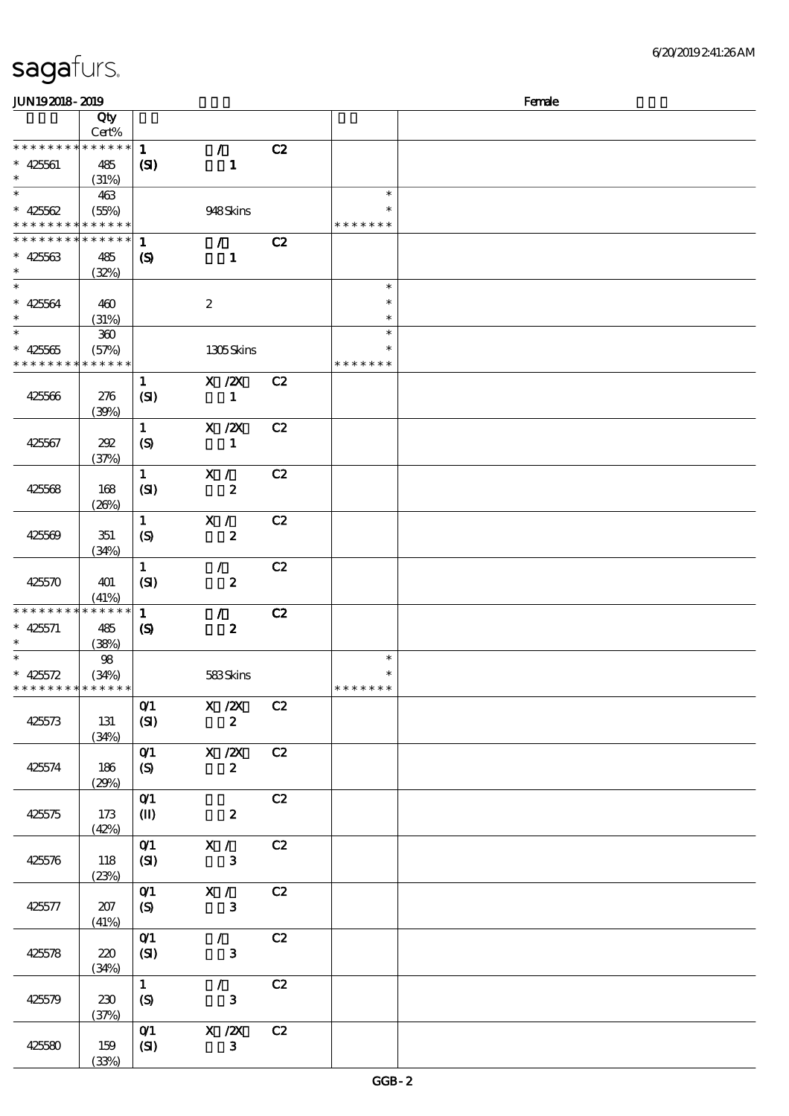| JUN192018-2019                             |                 |                               |                  |    |               | Female |
|--------------------------------------------|-----------------|-------------------------------|------------------|----|---------------|--------|
|                                            | Qty             |                               |                  |    |               |        |
|                                            | Cert%           |                               |                  |    |               |        |
| * * * * * * * *                            | ******          | $\mathbf{1}$                  | $\mathcal{L}$    | C2 |               |        |
| $* 425601$                                 | 485             | (S)                           | $\mathbf{1}$     |    |               |        |
| $\ast$                                     | (31%)           |                               |                  |    |               |        |
| $\overline{\ast}$                          | 463             |                               |                  |    | $\ast$        |        |
| $* 42562$                                  | (55%)           |                               | 948Skins         |    | $\ast$        |        |
| * * * * * * * * <mark>*</mark>             | $* * * * * * *$ |                               |                  |    | * * * * * * * |        |
| * * * * * * * *                            | * * * * * *     | $\mathbf{1}$                  | $\mathcal{L}$    | C2 |               |        |
| $* 42563$                                  | 485             | $\boldsymbol{\mathcal{S}}$    | $\mathbf{1}$     |    |               |        |
| $\ast$                                     | (32%)           |                               |                  |    |               |        |
| $\ast$                                     |                 |                               |                  |    | $\ast$        |        |
| $* 42564$                                  | 460             |                               | $\boldsymbol{2}$ |    | $\ast$        |        |
| $\ast$                                     | (31%)           |                               |                  |    | $\ast$        |        |
| $\overline{\ast}$                          | $360\,$         |                               |                  |    | $\ast$        |        |
| $* 42566$                                  | (57%)           |                               | 1305Skins        |    | $\ast$        |        |
| * * * * * * * *                            | * * * * * *     |                               |                  |    | * * * * * * * |        |
|                                            |                 | $\mathbf{1}$                  | $X$ / $ZX$       | C2 |               |        |
| 425566                                     | 276             | (SI)                          | $\mathbf{1}$     |    |               |        |
|                                            | (39%)           |                               |                  |    |               |        |
|                                            |                 | $\mathbf{1}$                  | $X$ / $ZX$       | C2 |               |        |
| 425567                                     | 202             | (S)                           | $\mathbf{1}$     |    |               |        |
|                                            | (37%)           |                               |                  |    |               |        |
|                                            |                 | $\mathbf{1}$                  | X /              | C2 |               |        |
| 425568                                     | 168             | (SI)                          | $\pmb{2}$        |    |               |        |
|                                            | (20%)           |                               |                  |    |               |        |
|                                            |                 | $\mathbf{1}$                  | X /              | C2 |               |        |
| 425569                                     | 351             | (S)                           | $\pmb{2}$        |    |               |        |
|                                            | (34%)           |                               |                  |    |               |        |
|                                            |                 | $\mathbf{1}$                  | $\mathcal{L}$    | C2 |               |        |
| 425570                                     | 401             | (SI)                          | $\boldsymbol{z}$ |    |               |        |
|                                            | (41%)           |                               |                  |    |               |        |
| * * * * * * * *                            | $* * * * * * *$ | $\mathbf{1}$                  | $\mathcal{T}$    | C2 |               |        |
| $* 425571$                                 | 485             | $\boldsymbol{\mathcal{S}}$    | $\boldsymbol{z}$ |    |               |        |
| $\ast$                                     | (38%)           |                               |                  |    |               |        |
| $\overline{\ast}$                          | 98              |                               |                  |    | $\ast$        |        |
| * $425572$                                 | (34%)           |                               | 583Skins         |    | $\ast$        |        |
| * * * * * * * * <mark>* * * * * * *</mark> |                 |                               |                  |    | *******       |        |
|                                            |                 | O(1)                          | $X \, /ZX$       | C2 |               |        |
| 425573                                     | 131             | (SI)                          | $\boldsymbol{z}$ |    |               |        |
|                                            | (34%)           |                               |                  |    |               |        |
|                                            |                 | O(1)                          | X / ZX           | C2 |               |        |
| 425574                                     | 186             | (S)                           | $\boldsymbol{2}$ |    |               |        |
|                                            | (29%)           |                               |                  |    |               |        |
|                                            |                 | O(1)                          |                  | C2 |               |        |
| 425575                                     | 173             | $\mathbf{I}$                  | $\boldsymbol{z}$ |    |               |        |
|                                            | (42%)           |                               |                  |    |               |        |
|                                            |                 | O(1)                          | X /              | C2 |               |        |
| 425576                                     | 118             | (SI)                          | $\mathbf{3}$     |    |               |        |
|                                            | (23%)           |                               |                  |    |               |        |
|                                            |                 | $O$ <sup><math>1</math></sup> | $X / \sqrt{2}$   | C2 |               |        |
| 425577                                     | 207             | (S)                           | $\mathbf{3}$     |    |               |        |
|                                            | (41%)           |                               |                  |    |               |        |
|                                            |                 | O(1)                          | $\mathcal{L}$    | C2 |               |        |
| 425578                                     | 220             | (SI)                          | $\mathbf{3}$     |    |               |        |
|                                            | (34%)           | $\mathbf{1}$                  | $\mathcal{L}$    | C2 |               |        |
|                                            |                 |                               | $\mathbf{3}$     |    |               |        |
| 425579                                     | 230             | (S)                           |                  |    |               |        |
|                                            | (37%)           | O(1)                          | $X$ / $ZX$       | C2 |               |        |
|                                            |                 |                               | $\mathbf{3}$     |    |               |        |
| 425580                                     | 159             | (SI)                          |                  |    |               |        |
|                                            | (33%)           |                               |                  |    |               |        |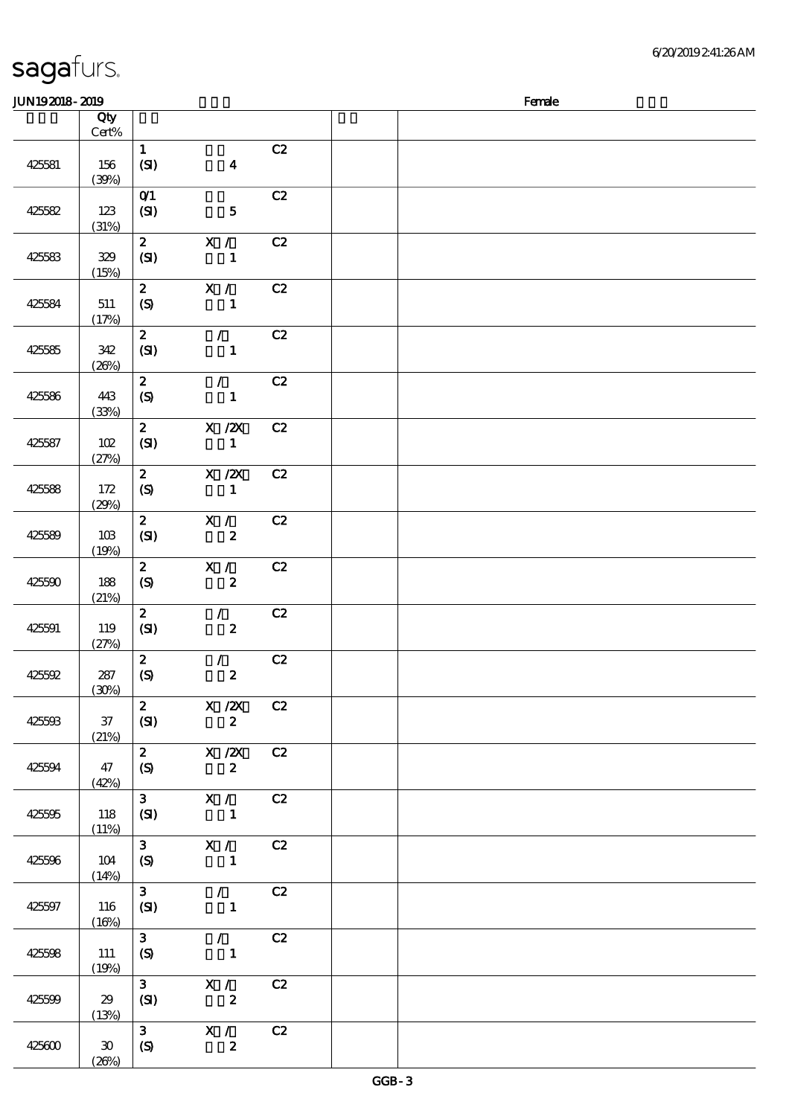|  | sagafurs. |
|--|-----------|
|  |           |

 $(26%)$ 

#### 顺序号 Qty Cert% 说明 价格 425581 156  $(39%)$  $1$  C<sub>2</sub>  $(SI)$  4 425582 123 (31%) 0<sup>1</sup> C<sub>2</sub>  $(SI)$  5 425583 329 (15%)  $2$  X / C2  $(SI)$  1 425584 511 (17%)  $\overline{\text{2}}$  X / C2  $(S)$  1 425585 342  $(20%)$  $\overline{2}$  / C<sub>2</sub>  $(SI)$  1 425586 443 (33%) 2 / C2  $(S)$  1 425587 102  $(27%)$  $\overline{\text{2}}$  X  $\overline{\text{2}}$  C<sub>2</sub>  $(SI)$  1 425588 172 (29%)  $\overline{2}$   $\overline{X}/\overline{2}$   $\overline{C}$   $\overline{2}$  $(S)$  1 425589 103 (19%)  $\overline{2}$   $\overline{X}$  /  $\overline{C}$  $(SI)$  2 425590 188 (21%)  $\overline{\text{2}}$  X / C2  $(S)$  2 425591 119 (27%) 2 / C2  $(SI)$  2 425592 287 (30%)  $2 / C2$  $(S)$  2 425593 37 (21%)  $2$  X  $\cancel{2}$  C<sub>2</sub>  $(SI)$  2 425594 47 (42%) 2 X /2X C2  $(S)$  2 425595 118 (11%)  $\overline{3}$  X / C2  $(SI)$  1 425596 104  $(14%)$ 3 X / C2  $(S)$  1 425597 116  $(16%)$  $\overline{3}$  / C2  $(SI)$  1 425598 111  $(19%)$ 3 / C2  $(S)$  1 425599 29 (13%)  $\overline{\textbf{3}}$   $\overline{\textbf{X}}$  /  $\overline{\textbf{C2}}$  $(SI)$  2  $425600$  30 3 X / C2  $(S)$  2

 $J<sub>UN19</sub>$ 2019 -  $R<sub>en</sub>$   $R<sub>en</sub>$   $R<sub>en</sub>$   $R<sub>en</sub>$   $R<sub>en</sub>$   $R<sub>en</sub>$   $R<sub>en</sub>$   $R<sub>en</sub>$   $R<sub>en</sub>$   $R<sub>en</sub>$   $R<sub>en</sub>$   $R<sub>en</sub>$   $R<sub>en</sub>$   $R<sub>en</sub>$   $R<sub>en</sub>$   $R<sub>en</sub>$   $R<sub>en</sub>$   $R<sub>en</sub>$   $R$